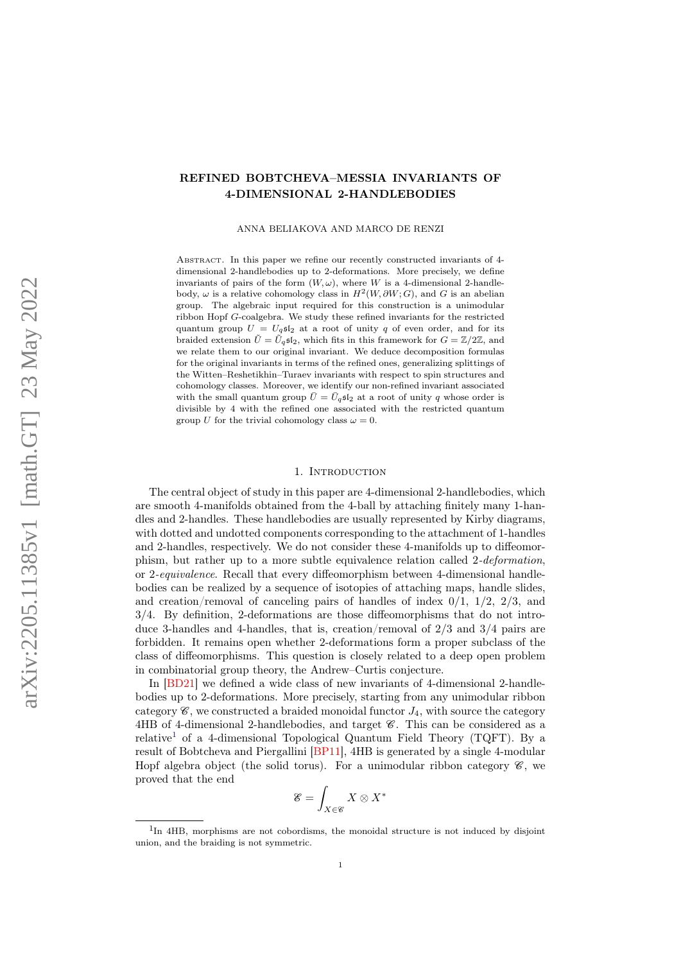# REFINED BOBTCHEVA–MESSIA INVARIANTS OF 4-DIMENSIONAL 2-HANDLEBODIES

ANNA BELIAKOVA AND MARCO DE RENZI

Abstract. In this paper we refine our recently constructed invariants of 4 dimensional 2-handlebodies up to 2-deformations. More precisely, we define invariants of pairs of the form  $(W, \omega)$ , where W is a 4-dimensional 2-handlebody,  $\omega$  is a relative cohomology class in  $H^2(W, \partial W; G)$ , and G is an abelian group. The algebraic input required for this construction is a unimodular ribbon Hopf G-coalgebra. We study these refined invariants for the restricted quantum group  $U = U_q$ s<sup>[</sup>2] at a root of unity q of even order, and for its braided extension  $\tilde{U} = \tilde{U}_q \mathfrak{sl}_2$ , which fits in this framework for  $G = \mathbb{Z}/2\mathbb{Z}$ , and we relate them to our original invariant. We deduce decomposition formulas for the original invariants in terms of the refined ones, generalizing splittings of the Witten–Reshetikhin–Turaev invariants with respect to spin structures and cohomology classes. Moreover, we identify our non-refined invariant associated with the small quantum group  $\bar{U} = \bar{U}_q \mathfrak{sl}_2$  at a root of unity q whose order is divisible by 4 with the refined one associated with the restricted quantum group U for the trivial cohomology class  $\omega = 0$ .

### 1. INTRODUCTION

The central object of study in this paper are 4-dimensional 2-handlebodies, which are smooth 4-manifolds obtained from the 4-ball by attaching finitely many 1-handles and 2-handles. These handlebodies are usually represented by Kirby diagrams, with dotted and undotted components corresponding to the attachment of 1-handles and 2-handles, respectively. We do not consider these 4-manifolds up to diffeomorphism, but rather up to a more subtle equivalence relation called 2-deformation, or 2-equivalence. Recall that every diffeomorphism between 4-dimensional handlebodies can be realized by a sequence of isotopies of attaching maps, handle slides, and creation/removal of canceling pairs of handles of index  $0/1$ ,  $1/2$ ,  $2/3$ , and 3/4. By definition, 2-deformations are those diffeomorphisms that do not introduce 3-handles and 4-handles, that is, creation/removal of 2/3 and 3/4 pairs are forbidden. It remains open whether 2-deformations form a proper subclass of the class of diffeomorphisms. This question is closely related to a deep open problem in combinatorial group theory, the Andrew–Curtis conjecture.

In [\[BD21\]](#page-32-0) we defined a wide class of new invariants of 4-dimensional 2-handlebodies up to 2-deformations. More precisely, starting from any unimodular ribbon category  $\mathscr{C}$ , we constructed a braided monoidal functor  $J_4$ , with source the category  $4HB$  of 4-dimensional 2-handlebodies, and target  $\mathscr{C}$ . This can be considered as a relative<sup>[1](#page-0-0)</sup> of a 4-dimensional Topological Quantum Field Theory (TQFT). By a result of Bobtcheva and Piergallini [\[BP11\]](#page-32-1), 4HB is generated by a single 4-modular Hopf algebra object (the solid torus). For a unimodular ribbon category  $\mathscr{C}$ , we proved that the end

$$
\mathcal{E} = \int_{X \in \mathcal{C}} X \otimes X^*
$$

<span id="page-0-0"></span><sup>&</sup>lt;sup>1</sup>In 4HB, morphisms are not cobordisms, the monoidal structure is not induced by disjoint union, and the braiding is not symmetric.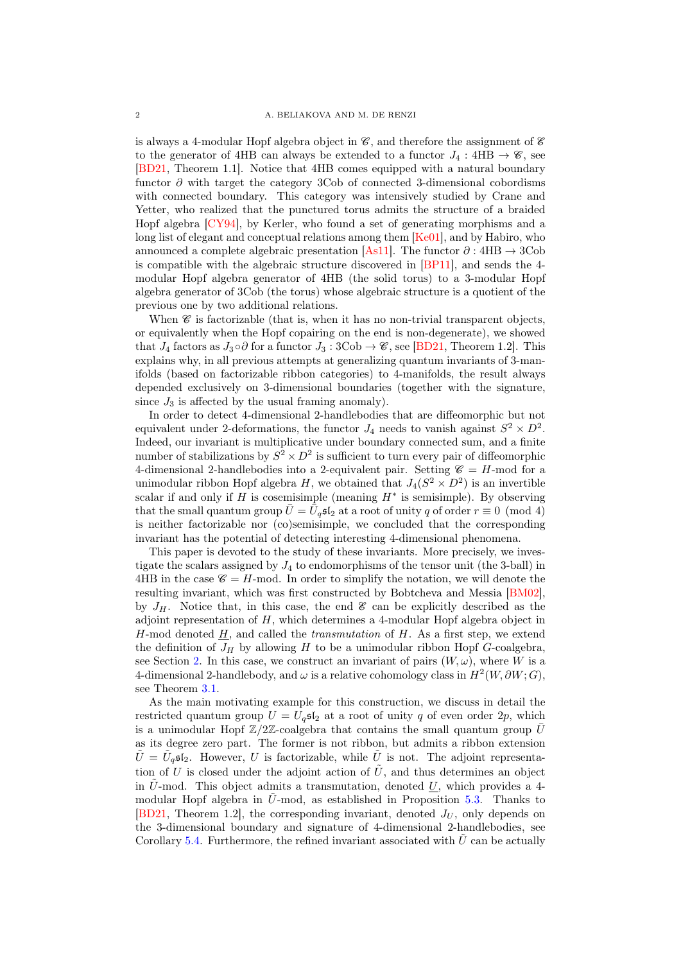is always a 4-modular Hopf algebra object in  $\mathscr{C}$ , and therefore the assignment of  $\mathscr{E}$ to the generator of 4HB can always be extended to a functor  $J_4$ : 4HB  $\rightarrow \mathscr{C}$ , see [\[BD21,](#page-32-0) Theorem 1.1]. Notice that 4HB comes equipped with a natural boundary functor  $\partial$  with target the category 3Cob of connected 3-dimensional cobordisms with connected boundary. This category was intensively studied by Crane and Yetter, who realized that the punctured torus admits the structure of a braided Hopf algebra [\[CY94\]](#page-32-2), by Kerler, who found a set of generating morphisms and a long list of elegant and conceptual relations among them [\[Ke01\]](#page-32-3), and by Habiro, who announced a complete algebraic presentation [\[As11\]](#page-32-4). The functor  $\partial$  : 4HB  $\rightarrow$  3Cob is compatible with the algebraic structure discovered in [\[BP11\]](#page-32-1), and sends the 4 modular Hopf algebra generator of 4HB (the solid torus) to a 3-modular Hopf algebra generator of 3Cob (the torus) whose algebraic structure is a quotient of the previous one by two additional relations.

When  $\mathscr C$  is factorizable (that is, when it has no non-trivial transparent objects, or equivalently when the Hopf copairing on the end is non-degenerate), we showed that  $J_4$  factors as  $J_3 \circ \partial$  for a functor  $J_3 : 3Cob \rightarrow \mathcal{C}$ , see [\[BD21,](#page-32-0) Theorem 1.2]. This explains why, in all previous attempts at generalizing quantum invariants of 3-manifolds (based on factorizable ribbon categories) to 4-manifolds, the result always depended exclusively on 3-dimensional boundaries (together with the signature, since  $J_3$  is affected by the usual framing anomaly).

In order to detect 4-dimensional 2-handlebodies that are diffeomorphic but not equivalent under 2-deformations, the functor  $J_4$  needs to vanish against  $S^2 \times D^2$ . Indeed, our invariant is multiplicative under boundary connected sum, and a finite number of stabilizations by  $S^2 \times D^2$  is sufficient to turn every pair of diffeomorphic 4-dimensional 2-handlebodies into a 2-equivalent pair. Setting  $\mathscr{C} = H$ -mod for a unimodular ribbon Hopf algebra H, we obtained that  $J_4(S^2 \times D^2)$  is an invertible scalar if and only if  $H$  is cosemisimple (meaning  $H^*$  is semisimple). By observing that the small quantum group  $\bar{U} = \bar{U}_q \mathfrak{sl}_2$  at a root of unity q of order  $r \equiv 0 \pmod{4}$ is neither factorizable nor (co)semisimple, we concluded that the corresponding invariant has the potential of detecting interesting 4-dimensional phenomena.

This paper is devoted to the study of these invariants. More precisely, we investigate the scalars assigned by  $J_4$  to endomorphisms of the tensor unit (the 3-ball) in 4HB in the case  $\mathscr{C} = H$ -mod. In order to simplify the notation, we will denote the resulting invariant, which was first constructed by Bobtcheva and Messia [\[BM02\]](#page-32-5), by  $J_H$ . Notice that, in this case, the end  $\mathscr E$  can be explicitly described as the adjoint representation of  $H$ , which determines a 4-modular Hopf algebra object in  $H$ -mod denoted  $H$ , and called the *transmutation* of  $H$ . As a first step, we extend the definition of  $J_H$  by allowing H to be a unimodular ribbon Hopf G-coalgebra, see Section [2.](#page-3-0) In this case, we construct an invariant of pairs  $(W, \omega)$ , where W is a 4-dimensional 2-handlebody, and  $\omega$  is a relative cohomology class in  $H^2(W, \partial W; G)$ , see Theorem [3.1.](#page-8-0)

As the main motivating example for this construction, we discuss in detail the restricted quantum group  $U = U_q \mathfrak{sl}_2$  at a root of unity q of even order  $2p$ , which is a unimodular Hopf  $\mathbb{Z}/2\mathbb{Z}$ -coalgebra that contains the small quantum group  $\overline{U}$ as its degree zero part. The former is not ribbon, but admits a ribbon extension  $\tilde{U} = \tilde{U}_q \mathfrak{sl}_2$ . However, U is factorizable, while  $\tilde{U}$  is not. The adjoint representation of U is closed under the adjoint action of  $\tilde{U}$ , and thus determines an object in  $\hat{U}$ -mod. This object admits a transmutation, denoted U, which provides a 4modular Hopf algebra in  $U$ -mod, as established in Proposition [5.3.](#page-14-0) Thanks to [\[BD21,](#page-32-0) Theorem 1.2], the corresponding invariant, denoted  $J_U$ , only depends on the 3-dimensional boundary and signature of 4-dimensional 2-handlebodies, see Corollary [5.4.](#page-15-0) Furthermore, the refined invariant associated with  $\tilde{U}$  can be actually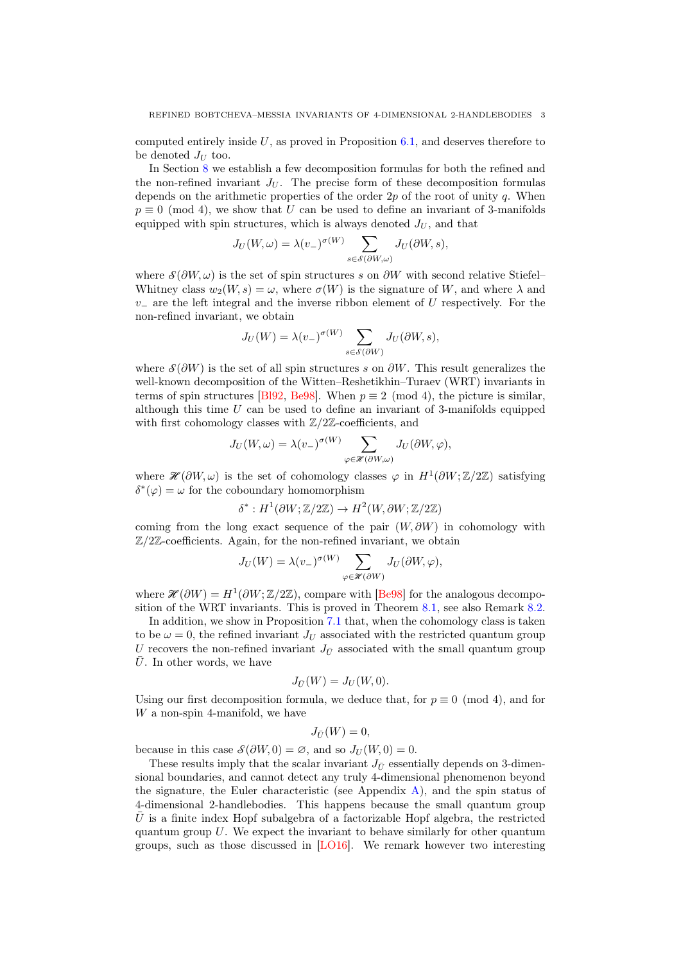computed entirely inside  $U$ , as proved in Proposition [6.1,](#page-15-1) and deserves therefore to be denoted  $J_U$  too.

In Section [8](#page-19-0) we establish a few decomposition formulas for both the refined and the non-refined invariant  $J_U$ . The precise form of these decomposition formulas depends on the arithmetic properties of the order  $2p$  of the root of unity q. When  $p \equiv 0 \pmod{4}$ , we show that U can be used to define an invariant of 3-manifolds equipped with spin structures, which is always denoted  $J_U$ , and that

$$
J_U(W, \omega) = \lambda(v_-)^{\sigma(W)} \sum_{s \in \mathcal{S}(\partial W, \omega)} J_U(\partial W, s),
$$

where  $\mathcal{S}(\partial W, \omega)$  is the set of spin structures s on  $\partial W$  with second relative Stiefel– Whitney class  $w_2(W, s) = \omega$ , where  $\sigma(W)$  is the signature of W, and where  $\lambda$  and  $v_-\,$  are the left integral and the inverse ribbon element of U respectively. For the non-refined invariant, we obtain

$$
J_U(W) = \lambda(v_-)^{\sigma(W)} \sum_{s \in \mathcal{S}(\partial W)} J_U(\partial W, s),
$$

where  $\mathcal{S}(\partial W)$  is the set of all spin structures s on  $\partial W$ . This result generalizes the well-known decomposition of the Witten–Reshetikhin–Turaev (WRT) invariants in terms of spin structures [\[Bl92,](#page-32-6) [Be98\]](#page-32-7). When  $p \equiv 2 \pmod{4}$ , the picture is similar, although this time  $U$  can be used to define an invariant of 3-manifolds equipped with first cohomology classes with  $\mathbb{Z}/2\mathbb{Z}$ -coefficients, and

$$
J_U(W, \omega) = \lambda(v_-)^{\sigma(W)} \sum_{\varphi \in \mathscr{H}(\partial W, \omega)} J_U(\partial W, \varphi),
$$

where  $\mathscr{H}(\partial W,\omega)$  is the set of cohomology classes  $\varphi$  in  $H^1(\partial W;\mathbb{Z}/2\mathbb{Z})$  satisfying  $\delta^*(\varphi) = \omega$  for the coboundary homomorphism

$$
\delta^*: H^1(\partial W; \mathbb{Z}/2\mathbb{Z}) \to H^2(W, \partial W; \mathbb{Z}/2\mathbb{Z})
$$

coming from the long exact sequence of the pair  $(W, \partial W)$  in cohomology with  $\mathbb{Z}/2\mathbb{Z}$ -coefficients. Again, for the non-refined invariant, we obtain

$$
J_U(W) = \lambda(v_-)^{\sigma(W)} \sum_{\varphi \in \mathscr{H}(\partial W)} J_U(\partial W, \varphi),
$$

where  $\mathcal{H}(\partial W) = H^1(\partial W; \mathbb{Z}/2\mathbb{Z})$ , compare with [\[Be98\]](#page-32-7) for the analogous decomposition of the WRT invariants. This is proved in Theorem [8.1,](#page-21-0) see also Remark [8.2.](#page-22-0)

In addition, we show in Proposition [7.1](#page-18-0) that, when the cohomology class is taken to be  $\omega = 0$ , the refined invariant  $J_U$  associated with the restricted quantum group U recovers the non-refined invariant  $J_{\bar{U}}$  associated with the small quantum group  $\overline{U}$ . In other words, we have

$$
J_{\bar{U}}(W) = J_U(W, 0).
$$

Using our first decomposition formula, we deduce that, for  $p \equiv 0 \pmod{4}$ , and for  $W$  a non-spin 4-manifold, we have

$$
J_{\bar{U}}(W)=0,
$$

because in this case  $\mathcal{S}(\partial W, 0) = \emptyset$ , and so  $J_U(W, 0) = 0$ .

These results imply that the scalar invariant  $J_{\bar{U}}$  essentially depends on 3-dimensional boundaries, and cannot detect any truly 4-dimensional phenomenon beyond the signature, the Euler characteristic (see Appendix  $\hat{A}$ ), and the spin status of 4-dimensional 2-handlebodies. This happens because the small quantum group  $\bar{U}$  is a finite index Hopf subalgebra of a factorizable Hopf algebra, the restricted quantum group  $U$ . We expect the invariant to behave similarly for other quantum groups, such as those discussed in [\[LO16\]](#page-32-8). We remark however two interesting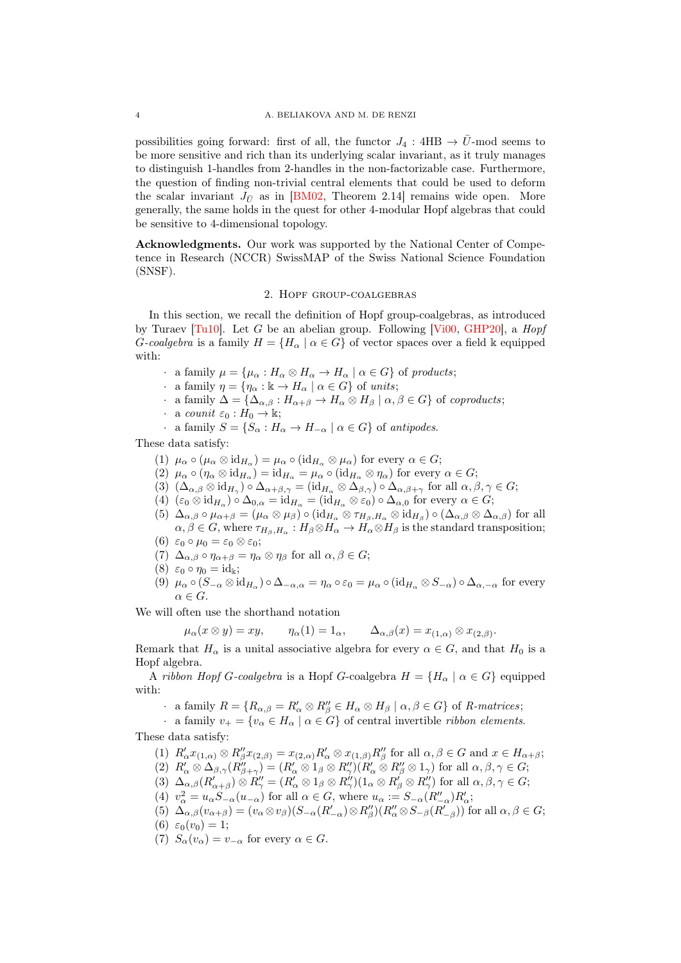possibilities going forward: first of all, the functor  $J_4$ : 4HB  $\rightarrow \bar{U}$ -mod seems to be more sensitive and rich than its underlying scalar invariant, as it truly manages to distinguish 1-handles from 2-handles in the non-factorizable case. Furthermore, the question of finding non-trivial central elements that could be used to deform the scalar invariant  $J_{\bar{U}}$  as in [\[BM02,](#page-32-5) Theorem 2.14] remains wide open. More generally, the same holds in the quest for other 4-modular Hopf algebras that could be sensitive to 4-dimensional topology.

Acknowledgments. Our work was supported by the National Center of Competence in Research (NCCR) SwissMAP of the Swiss National Science Foundation (SNSF).

# 2. Hopf group-coalgebras

<span id="page-3-0"></span>In this section, we recall the definition of Hopf group-coalgebras, as introduced by Turaev [\[Tu10\]](#page-32-9). Let G be an abelian group. Following [\[Vi00,](#page-32-10) [GHP20\]](#page-32-11), a  $Hopf$ G-coalgebra is a family  $H = \{H_\alpha \mid \alpha \in G\}$  of vector spaces over a field k equipped with:

- · a family  $\mu = {\mu_\alpha : H_\alpha \otimes H_\alpha \to H_\alpha \mid \alpha \in G}$  of products;
- · a family  $\eta = {\eta_\alpha : \mathbb{k} \to H_\alpha \mid \alpha \in G}$  of units;
- $\therefore$  a family  $\Delta = {\Delta_{\alpha,\beta} : H_{\alpha+\beta} \to H_\alpha \otimes H_\beta \mid \alpha, \beta \in G}$  of coproducts;
- · a counit  $\varepsilon_0 : H_0 \to \mathbb{k}$ ;
- a family  $S = \{S_\alpha : H_\alpha \to H_{-\alpha} \mid \alpha \in G\}$  of antipodes.

These data satisfy:

- (1)  $\mu_{\alpha} \circ (\mu_{\alpha} \otimes id_{H_{\alpha}}) = \mu_{\alpha} \circ (id_{H_{\alpha}} \otimes \mu_{\alpha})$  for every  $\alpha \in G$ ;
- (2)  $\mu_{\alpha} \circ (\eta_{\alpha} \otimes id_{H_{\alpha}}) = id_{H_{\alpha}} = \mu_{\alpha} \circ (id_{H_{\alpha}} \otimes \eta_{\alpha})$  for every  $\alpha \in G$ ;
- (3)  $(\Delta_{\alpha,\beta} \otimes id_{H_\gamma}) \circ \Delta_{\alpha+\beta,\gamma} = (id_{H_\alpha} \otimes \Delta_{\beta,\gamma}) \circ \Delta_{\alpha,\beta+\gamma}$  for all  $\alpha,\beta,\gamma \in G;$
- (4)  $(\varepsilon_0 \otimes id_{H_\alpha}) \circ \Delta_{0,\alpha} = id_{H_\alpha} = (id_{H_\alpha} \otimes \varepsilon_0) \circ \Delta_{\alpha,0}$  for every  $\alpha \in G;$
- (5)  $\Delta_{\alpha,\beta} \circ \mu_{\alpha+\beta} = (\mu_{\alpha} \otimes \mu_{\beta}) \circ (\mathrm{id}_{H_{\alpha}} \otimes \tau_{H_{\beta},H_{\alpha}} \otimes \mathrm{id}_{H_{\beta}}) \circ (\Delta_{\alpha,\beta} \otimes \Delta_{\alpha,\beta})$  for all  $\alpha, \beta \in G$ , where  $\tau_{H_\beta,H_\alpha}: H_\beta \otimes H_\alpha \to H_\alpha \otimes H_\beta$  is the standard transposition;
- (6)  $\varepsilon_0 \circ \mu_0 = \varepsilon_0 \otimes \varepsilon_0;$
- (7)  $\Delta_{\alpha,\beta} \circ \eta_{\alpha+\beta} = \eta_{\alpha} \otimes \eta_{\beta}$  for all  $\alpha, \beta \in G$ ;
- (8)  $\varepsilon_0 \circ \eta_0 = \mathrm{id}_{\Bbbk};$
- (9)  $\mu_{\alpha} \circ (S_{-\alpha} \otimes id_{H_{\alpha}}) \circ \Delta_{-\alpha,\alpha} = \eta_{\alpha} \circ \varepsilon_0 = \mu_{\alpha} \circ (id_{H_{\alpha}} \otimes S_{-\alpha}) \circ \Delta_{\alpha,-\alpha}$  for every  $\alpha \in G$ .

We will often use the shorthand notation

$$
\mu_{\alpha}(x \otimes y) = xy, \qquad \eta_{\alpha}(1) = 1_{\alpha}, \qquad \Delta_{\alpha,\beta}(x) = x_{(1,\alpha)} \otimes x_{(2,\beta)}.
$$

Remark that  $H_{\alpha}$  is a unital associative algebra for every  $\alpha \in G$ , and that  $H_0$  is a Hopf algebra.

A ribbon Hopf G-coalgebra is a Hopf G-coalgebra  $H = \{H_\alpha \mid \alpha \in G\}$  equipped with:

a family  $R = \{R_{\alpha,\beta} = R'_\alpha \otimes R''_\beta \in H_\alpha \otimes H_\beta \mid \alpha, \beta \in G\}$  of R-matrices;

· a family  $v_+ = \{v_\alpha \in H_\alpha \mid \alpha \in G\}$  of central invertible *ribbon elements*. These data satisfy:

- (1)  $R'_\alpha x_{(1,\alpha)} \otimes R''_\beta x_{(2,\beta)} = x_{(2,\alpha)} R'_\alpha \otimes x_{(1,\beta)} R''_\beta$  for all  $\alpha, \beta \in G$  and  $x \in H_{\alpha+\beta}$ ; (2)  $R'_\alpha \otimes \Delta_{\beta,\gamma}(R''_{\beta+\gamma}) = (R'_\alpha \otimes 1_\beta \otimes R''_\gamma)(R'_\alpha \otimes R''_\beta \otimes 1_\gamma)$  for all  $\alpha,\beta,\gamma \in G;$
- (3)  $\Delta_{\alpha,\beta}(R_{\alpha+\beta}')\otimes R_{\gamma}'' = (R_{\alpha}'\otimes 1_{\beta}\otimes R_{\gamma}'')(1_{\alpha}\otimes R_{\beta}'\otimes R_{\gamma}'')$  for all  $\alpha,\beta,\gamma\in G;$
- (4)  $v_\alpha^2 = u_\alpha S_{-\alpha}(u_{-\alpha})$  for all  $\alpha \in G$ , where  $u_\alpha := S_{-\alpha}(R''_{-\alpha})R'_\alpha$ ;
- (5)  $\Delta_{\alpha,\beta}(v_{\alpha+\beta}) = (v_{\alpha} \otimes v_{\beta})(S_{-\alpha}(R'_{-\alpha}) \otimes R''_{\beta})(R''_{\alpha} \otimes S_{-\beta}(R'_{-\beta}))$  for all  $\alpha, \beta \in G$ ;
- (6)  $\varepsilon_0(v_0) = 1$ ;
- (7)  $S_{\alpha}(v_{\alpha}) = v_{-\alpha}$  for every  $\alpha \in G$ .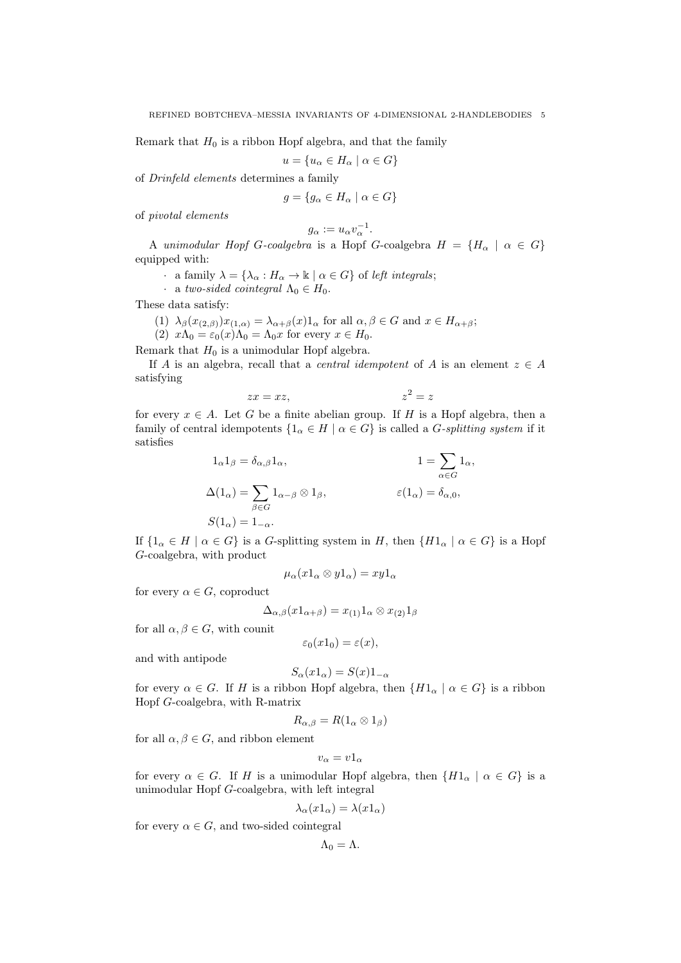Remark that  $H_0$  is a ribbon Hopf algebra, and that the family

$$
u=\{u_\alpha\in H_\alpha\mid \alpha\in G\}
$$

of Drinfeld elements determines a family

$$
g = \{ g_{\alpha} \in H_{\alpha} \mid \alpha \in G \}
$$

of pivotal elements

$$
g_\alpha:=u_\alpha v_\alpha^{-1}.
$$

A unimodular Hopf G-coalgebra is a Hopf G-coalgebra  $H = \{H_\alpha \mid \alpha \in G\}$ equipped with:

· a family  $\lambda = {\lambda_\alpha : H_\alpha \to \mathbb{k} \mid \alpha \in G}$  of left integrals;

· a two-sided cointegral  $\Lambda_0 \in H_0$ .

These data satisfy:

(1) 
$$
\lambda_{\beta}(x_{(2,\beta)})x_{(1,\alpha)} = \lambda_{\alpha+\beta}(x)1_{\alpha}
$$
 for all  $\alpha, \beta \in G$  and  $x \in H_{\alpha+\beta}$ ;

(2)  $x\Lambda_0 = \varepsilon_0(x)\Lambda_0 = \Lambda_0x$  for every  $x \in H_0$ .

Remark that  $H_0$  is a unimodular Hopf algebra.

If A is an algebra, recall that a *central idempotent* of A is an element  $z \in A$ satisfying

$$
zx = xz, \qquad \qquad z^2 = z
$$

for every  $x \in A$ . Let G be a finite abelian group. If H is a Hopf algebra, then a family of central idempotents  $\{1_\alpha \in H \mid \alpha \in G\}$  is called a *G-splitting system* if it satisfies

$$
1_{\alpha}1_{\beta} = \delta_{\alpha,\beta}1_{\alpha}, \qquad 1 = \sum_{\alpha \in G} 1_{\alpha},
$$
  

$$
\Delta(1_{\alpha}) = \sum_{\beta \in G} 1_{\alpha-\beta} \otimes 1_{\beta}, \qquad \varepsilon(1_{\alpha}) = \delta_{\alpha,0},
$$
  

$$
S(1_{\alpha}) = 1_{-\alpha}.
$$

If  $\{1_\alpha \in H \mid \alpha \in G\}$  is a G-splitting system in H, then  $\{H1_\alpha \mid \alpha \in G\}$  is a Hopf G-coalgebra, with product

$$
\mu_{\alpha}(x1_{\alpha}\otimes y1_{\alpha})=xy1_{\alpha}
$$

for every  $\alpha \in G$ , coproduct

$$
\Delta_{\alpha,\beta}(x1_{\alpha+\beta}) = x_{(1)}1_{\alpha} \otimes x_{(2)}1_{\beta}
$$

for all  $\alpha, \beta \in G$ , with counit

$$
\varepsilon_0(x1_0) = \varepsilon(x),
$$

and with antipode

$$
S_{\alpha}(x1_{\alpha}) = S(x)1_{-\alpha}
$$

for every  $\alpha \in G$ . If H is a ribbon Hopf algebra, then  $\{H1_{\alpha} \mid \alpha \in G\}$  is a ribbon Hopf G-coalgebra, with R-matrix

$$
R_{\alpha,\beta}=R(1_\alpha\otimes 1_\beta)
$$

for all  $\alpha, \beta \in G$ , and ribbon element

$$
v_{\alpha}=v1_{\alpha}
$$

for every  $\alpha \in G$ . If H is a unimodular Hopf algebra, then  $\{H1_{\alpha} \mid \alpha \in G\}$  is a unimodular Hopf G-coalgebra, with left integral

$$
\lambda_{\alpha}(x1_{\alpha}) = \lambda(x1_{\alpha})
$$

for every  $\alpha \in G$ , and two-sided cointegral

$$
\Lambda_0=\Lambda.
$$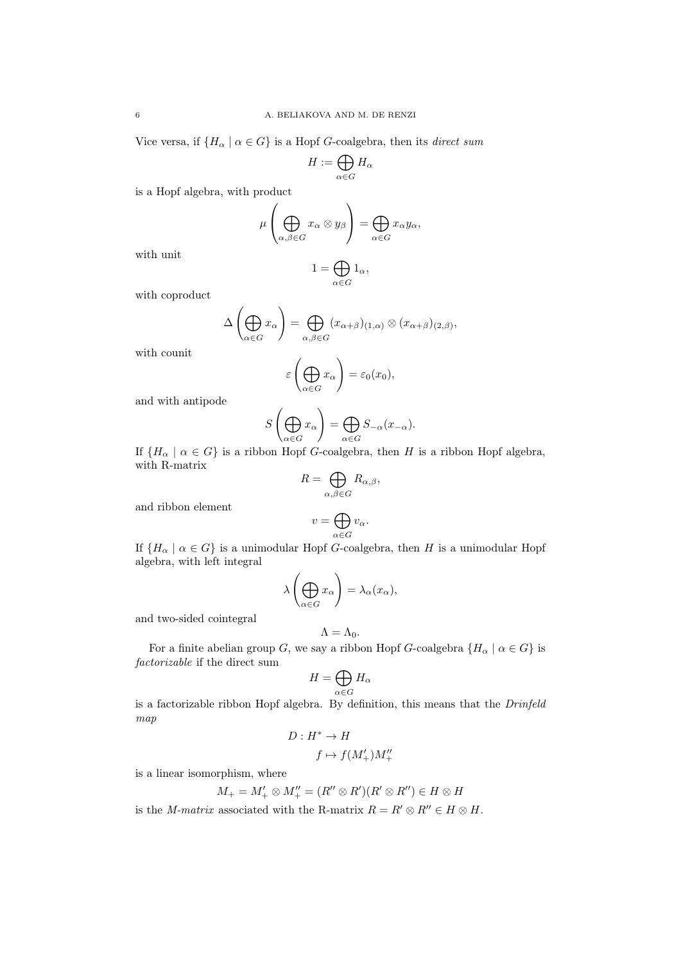Vice versa, if  $\{H_{\alpha} \mid \alpha \in G\}$  is a Hopf G-coalgebra, then its *direct sum* 

$$
H:=\bigoplus_{\alpha\in G}H_\alpha
$$

is a Hopf algebra, with product

$$
\mu\left(\bigoplus_{\alpha,\beta\in G}x_{\alpha}\otimes y_{\beta}\right)=\bigoplus_{\alpha\in G}x_{\alpha}y_{\alpha},
$$

with unit

$$
1=\bigoplus_{\alpha\in G}1_\alpha,
$$

with coproduct

$$
\Delta\left(\bigoplus_{\alpha\in G}x_{\alpha}\right)=\bigoplus_{\alpha,\beta\in G}(x_{\alpha+\beta})_{(1,\alpha)}\otimes (x_{\alpha+\beta})_{(2,\beta)},
$$

with counit

$$
\varepsilon\left(\bigoplus_{\alpha\in G}x_{\alpha}\right)=\varepsilon_0(x_0),
$$

and with antipode

$$
S\left(\bigoplus_{\alpha \in G} x_{\alpha}\right) = \bigoplus_{\alpha \in G} S_{-\alpha}(x_{-\alpha}).
$$

If  $\{H_{\alpha} \mid \alpha \in G\}$  is a ribbon Hopf G-coalgebra, then H is a ribbon Hopf algebra, with R-matrix

$$
R = \bigoplus_{\alpha,\beta \in G} R_{\alpha,\beta},
$$

and ribbon element

$$
v = \bigoplus_{\alpha \in G} v_{\alpha}.
$$

If  ${H_{\alpha} \mid \alpha \in G}$  is a unimodular Hopf G-coalgebra, then H is a unimodular Hopf algebra, with left integral

$$
\lambda\left(\bigoplus_{\alpha\in G}x_{\alpha}\right)=\lambda_{\alpha}(x_{\alpha}),
$$

and two-sided cointegral

$$
\Lambda=\Lambda_0.
$$

For a finite abelian group G, we say a ribbon Hopf G-coalgebra  $\{H_{\alpha} \mid \alpha \in G\}$  is factorizable if the direct sum

$$
H=\bigoplus_{\alpha\in G}H_\alpha
$$

is a factorizable ribbon Hopf algebra. By definition, this means that the Drinfeld map

$$
D: H^* \to H
$$

$$
f \mapsto f(M'_+)M''_+
$$

is a linear isomorphism, where

$$
M_+ = M'_+ \otimes M''_+ = (R'' \otimes R')(R' \otimes R'') \in H \otimes H
$$

is the M-matrix associated with the R-matrix  $R = R' \otimes R'' \in H \otimes H$ .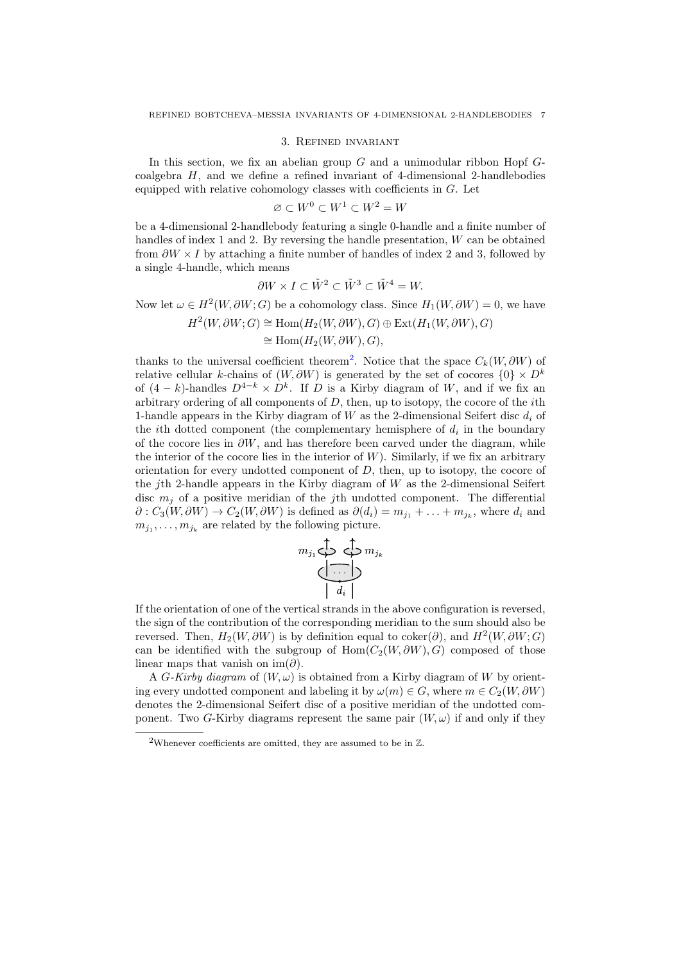#### 3. Refined invariant

In this section, we fix an abelian group  $G$  and a unimodular ribbon Hopf  $G$ coalgebra  $H$ , and we define a refined invariant of 4-dimensional 2-handlebodies equipped with relative cohomology classes with coefficients in  $G$ . Let

$$
\varnothing\subset W^0\subset W^1\subset W^2=W
$$

be a 4-dimensional 2-handlebody featuring a single 0-handle and a finite number of handles of index 1 and 2. By reversing the handle presentation, W can be obtained from  $\partial W \times I$  by attaching a finite number of handles of index 2 and 3, followed by a single 4-handle, which means

$$
\partial W \times I \subset \tilde{W}^2 \subset \tilde{W}^3 \subset \tilde{W}^4 = W.
$$

Now let  $\omega \in H^2(W, \partial W; G)$  be a cohomology class. Since  $H_1(W, \partial W) = 0$ , we have

$$
H^2(W, \partial W; G) \cong \text{Hom}(H_2(W, \partial W), G) \oplus \text{Ext}(H_1(W, \partial W), G)
$$

$$
\cong \operatorname{Hom}(H_2(W,\partial W),G),
$$

thanks to the universal coefficient theorem<sup>[2](#page-6-0)</sup>. Notice that the space  $C_k(W, \partial W)$  of relative cellular k-chains of  $(W, \partial W)$  is generated by the set of cocores  $\{0\} \times D^k$ of  $(4 - k)$ -handles  $D^{4-k} \times D^k$ . If D is a Kirby diagram of W, and if we fix an arbitrary ordering of all components of  $D$ , then, up to isotopy, the cocore of the *i*th 1-handle appears in the Kirby diagram of W as the 2-dimensional Seifert disc  $d_i$  of the *i*th dotted component (the complementary hemisphere of  $d_i$  in the boundary of the cocore lies in  $\partial W$ , and has therefore been carved under the diagram, while the interior of the cocore lies in the interior of  $W$ ). Similarly, if we fix an arbitrary orientation for every undotted component of  $D$ , then, up to isotopy, the cocore of the *j*th 2-handle appears in the Kirby diagram of  $W$  as the 2-dimensional Seifert disc  $m_i$  of a positive meridian of the *j*th undotted component. The differential  $\partial: C_3(W, \partial W) \to C_2(W, \partial W)$  is defined as  $\partial(d_i) = m_{j_1} + \ldots + m_{j_k}$ , where  $d_i$  and  $m_{j_1}, \ldots, m_{j_k}$  are related by the following picture.

$$
n_{j_1} \bigoplus \bigoplus \limits_{i \in \{1, \ldots, k\}} m_{j_k}
$$

If the orientation of one of the vertical strands in the above configuration is reversed, the sign of the contribution of the corresponding meridian to the sum should also be reversed. Then,  $H_2(W, \partial W)$  is by definition equal to coker $(\partial)$ , and  $H^2(W, \partial W; G)$ can be identified with the subgroup of Hom $(C_2(W, \partial W), G)$  composed of those linear maps that vanish on im $(\partial)$ .

A G-Kirby diagram of  $(W, \omega)$  is obtained from a Kirby diagram of W by orienting every undotted component and labeling it by  $\omega(m) \in G$ , where  $m \in C_2(W, \partial W)$ denotes the 2-dimensional Seifert disc of a positive meridian of the undotted component. Two G-Kirby diagrams represent the same pair  $(W, \omega)$  if and only if they

<span id="page-6-0"></span><sup>&</sup>lt;sup>2</sup>Whenever coefficients are omitted, they are assumed to be in  $\mathbb{Z}$ .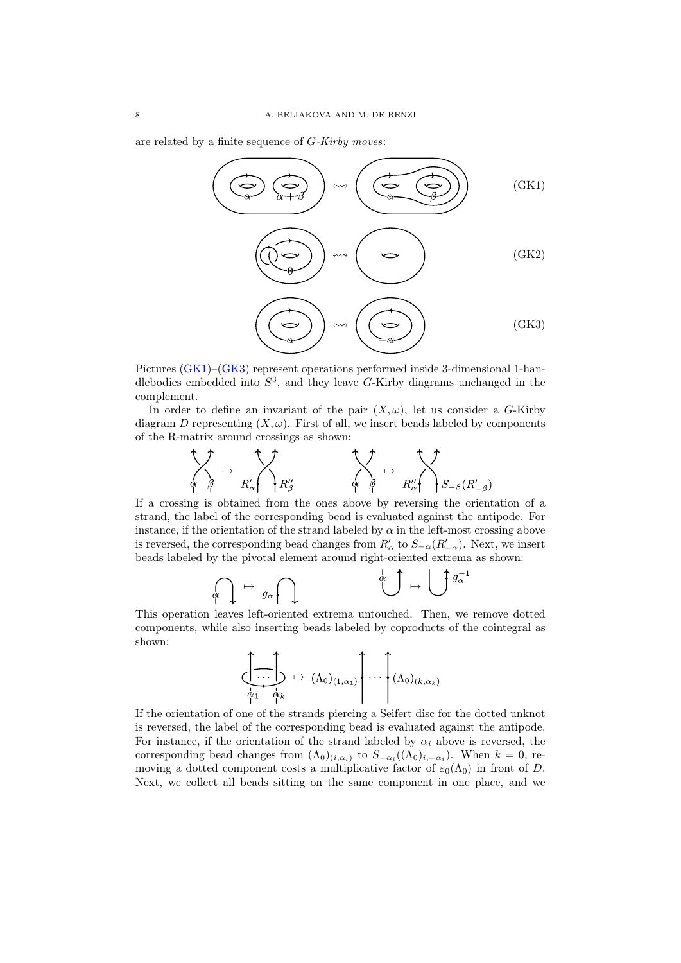are related by a finite sequence of G-Kirby moves:

<span id="page-7-2"></span><span id="page-7-1"></span><span id="page-7-0"></span>

Pictures [\(GK1\)](#page-7-0)–[\(GK3\)](#page-7-1) represent operations performed inside 3-dimensional 1-handlebodies embedded into  $S^3$ , and they leave G-Kirby diagrams unchanged in the complement.

In order to define an invariant of the pair  $(X, \omega)$ , let us consider a G-Kirby diagram D representing  $(X, \omega)$ . First of all, we insert beads labeled by components of the R-matrix around crossings as shown:

$$
\begin{array}{ccc}\n\bullet & \bullet & \bullet & \bullet \\
\hline\n\phi & \beta & \beta' & \beta' \\
\beta & \beta & \beta' & \beta''\n\end{array}\n\qquad\n\begin{array}{ccc}\n\bullet & \bullet & \bullet & \bullet \\
\bullet & \beta & \beta' & \beta' \\
\gamma & \delta & \beta' & \gamma\n\end{array}\n\qquad\n\begin{array}{ccc}\n\bullet & \bullet & \bullet & \bullet \\
\bullet & \bullet & \bullet & \beta' & \gamma\n\end{array}
$$

If a crossing is obtained from the ones above by reversing the orientation of a strand, the label of the corresponding bead is evaluated against the antipode. For instance, if the orientation of the strand labeled by  $\alpha$  in the left-most crossing above is reversed, the corresponding bead changes from  $R'_\n\alpha$  to  $S_{-\alpha}(R'_{-\alpha})$ . Next, we insert beads labeled by the pivotal element around right-oriented extrema as shown:

$$
\bigcap_{\alpha \in \Lambda} \alpha \mapsto g_{\alpha} \bigcap_{\alpha \in \Lambda} \alpha \qquad \qquad \bigcup_{\alpha \in \Lambda} g_{\alpha}^{-1}
$$

This operation leaves left-oriented extrema untouched. Then, we remove dotted components, while also inserting beads labeled by coproducts of the cointegral as shown:

$$
\left(\begin{matrix} \cdot & \cdot & \cdot \\ \cdot & \cdot & \cdot \\ \cdot & \cdot & \cdot \\ \alpha_1 & \alpha_k & \cdot \end{matrix}\right) \mapsto (\Lambda_0)_{(1,\alpha_1)} \left(\begin{matrix} \cdot & \cdot & \cdot \\ \cdot & \cdot & \cdot \\ \cdot & \cdot & \cdot \\ \cdot & \cdot & \cdot \end{matrix}\right)_{(k,\alpha_k)}
$$

If the orientation of one of the strands piercing a Seifert disc for the dotted unknot is reversed, the label of the corresponding bead is evaluated against the antipode. For instance, if the orientation of the strand labeled by  $\alpha_i$  above is reversed, the corresponding bead changes from  $(\Lambda_0)_{(i,\alpha_i)}$  to  $S_{-\alpha_i}((\Lambda_0)_{i,-\alpha_i})$ . When  $k=0$ , removing a dotted component costs a multiplicative factor of  $\varepsilon_0(\Lambda_0)$  in front of D. Next, we collect all beads sitting on the same component in one place, and we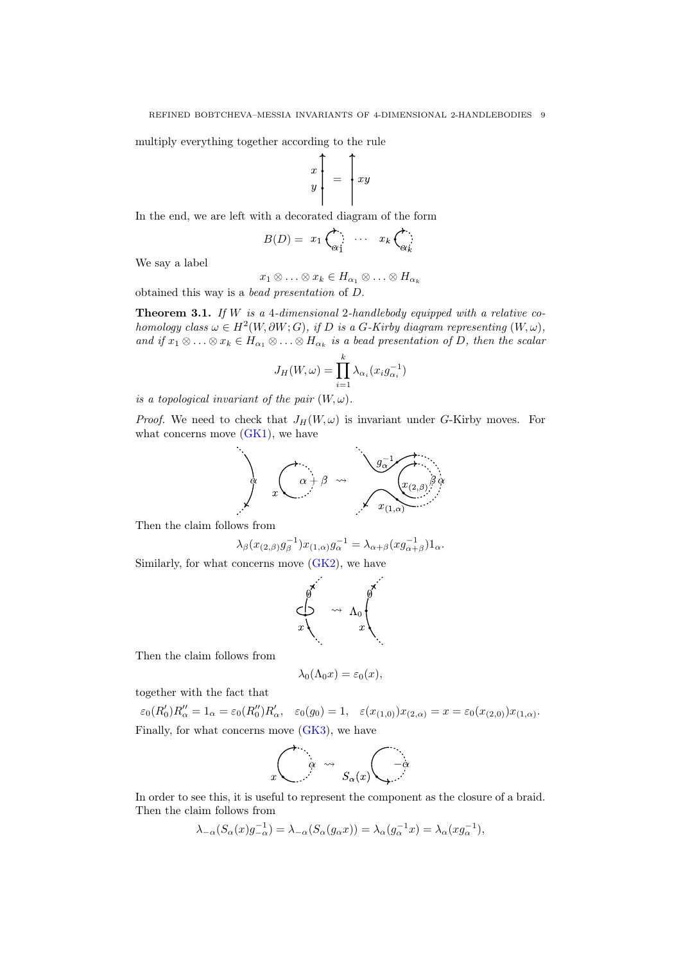multiply everything together according to the rule

$$
\begin{bmatrix} x \\ y \\ \end{bmatrix} = \begin{bmatrix} xy \\ xy \end{bmatrix}
$$

In the end, we are left with a decorated diagram of the form

$$
B(D) = x_1 \overbrace{\alpha_1} \cdots x_k \overbrace{\alpha_k}
$$

We say a label

$$
x_1 \otimes \ldots \otimes x_k \in H_{\alpha_1} \otimes \ldots \otimes H_{\alpha_k}
$$

obtained this way is a bead presentation of D.

<span id="page-8-0"></span>**Theorem 3.1.** If W is a 4-dimensional 2-handlebody equipped with a relative cohomology class  $\omega \in H^2(W, \partial W; G)$ , if D is a G-Kirby diagram representing  $(W, \omega)$ , and if  $x_1 \otimes \ldots \otimes x_k \in H_{\alpha_1} \otimes \ldots \otimes H_{\alpha_k}$  is a bead presentation of D, then the scalar

$$
J_H(W, \omega) = \prod_{i=1}^k \lambda_{\alpha_i}(x_i g_{\alpha_i}^{-1})
$$

is a topological invariant of the pair  $(W, \omega)$ .

*Proof.* We need to check that  $J_H(W, \omega)$  is invariant under G-Kirby moves. For what concerns move  $(GK1)$ , we have



Then the claim follows from

$$
\lambda_{\beta}(x_{(2,\beta)}g_{\beta}^{-1})x_{(1,\alpha)}g_{\alpha}^{-1} = \lambda_{\alpha+\beta}(xg_{\alpha+\beta}^{-1})1_{\alpha}.
$$

Similarly, for what concerns move [\(GK2\)](#page-7-2), we have

$$
\begin{pmatrix}\n\frac{1}{\sqrt{2}} & & & & \\
\frac{1}{\sqrt{2}} & & & & \\
\frac{1}{\sqrt{2}} & & & & \\
\frac{1}{\sqrt{2}} & & & & \\
\frac{1}{\sqrt{2}} & & & & \\
\frac{1}{\sqrt{2}} & & & & \\
\frac{1}{\sqrt{2}} & & & & \\
\frac{1}{\sqrt{2}} & & & & \\
\frac{1}{\sqrt{2}} & & & & \\
\frac{1}{\sqrt{2}} & & & & \\
\frac{1}{\sqrt{2}} & & & & \\
\frac{1}{\sqrt{2}} & & & & \\
\frac{1}{\sqrt{2}} & & & & \\
\frac{1}{\sqrt{2}} & & & & \\
\frac{1}{\sqrt{2}} & & & & \\
\frac{1}{\sqrt{2}} & & & & \\
\frac{1}{\sqrt{2}} & & & & \\
\frac{1}{\sqrt{2}} & & & & \\
\frac{1}{\sqrt{2}} & & & & \\
\frac{1}{\sqrt{2}} & & & & \\
\frac{1}{\sqrt{2}} & & & & \\
\frac{1}{\sqrt{2}} & & & & \\
\frac{1}{\sqrt{2}} & & & & \\
\frac{1}{\sqrt{2}} & & & & \\
\frac{1}{\sqrt{2}} & & & & \\
\frac{1}{\sqrt{2}} & & & & \\
\frac{1}{\sqrt{2}} & & & & \\
\frac{1}{\sqrt{2}} & & & & \\
\frac{1}{\sqrt{2}} & & & & \\
\frac{1}{\sqrt{2}} & & & & \\
\frac{1}{\sqrt{2}} & & & & \\
\frac{1}{\sqrt{2}} & & & & \\
\frac{1}{\sqrt{2}} & & & & \\
\frac{1}{\sqrt{2}} & & & & \\
\frac{1}{\sqrt{2}} & & & & \\
\frac{1}{\sqrt{2}} & & & & \\
\frac{1}{\sqrt{2}} & & & & & \\
\frac{1}{\sqrt{2}} & & & & & \\
\frac{1}{\sqrt{2}} & & & & & \\
\frac{1}{\sqrt{2}} & & & & & \\
\frac{1}{\sqrt{2}} & & & & & \\
\frac{1}{\sqrt{2}} & & & & & \\
\frac{1}{\sqrt{2}} & & & & & \\
\frac{1}{\sqrt{2}} & & & & & \\
\frac{1}{\sqrt{2}} & & & & & \\
\frac{1}{\sqrt{2}} & & & & & \\
\frac{1}{\sqrt{2}} & & & & & \\
\frac{1}{\sqrt{2}} & & & & & \\
\frac{1}{\sqrt{2}} & & & & & \\
\frac{1}{
$$

Then the claim follows from

$$
\lambda_0(\Lambda_0 x) = \varepsilon_0(x),
$$

together with the fact that

$$
\varepsilon_0(R'_0)R''_{\alpha} = 1_{\alpha} = \varepsilon_0(R''_0)R'_{\alpha}, \quad \varepsilon_0(g_0) = 1, \quad \varepsilon(x_{(1,0)})x_{(2,\alpha)} = x = \varepsilon_0(x_{(2,0)})x_{(1,\alpha)}.
$$
  
Finally, for what concerns move (GK3), we have

$$
\int_{x} \left( \begin{array}{cc} \alpha & \leadsto & \\ \alpha & \beta_{\alpha}(x) \end{array} \right) \left( \begin{array}{cc} -\alpha & & \\ & -\alpha & \\ & & \end{array} \right)
$$

In order to see this, it is useful to represent the component as the closure of a braid. Then the claim follows from

$$
\lambda_{-\alpha}(S_{\alpha}(x)g_{-\alpha}^{-1}) = \lambda_{-\alpha}(S_{\alpha}(g_{\alpha}x)) = \lambda_{\alpha}(g_{\alpha}^{-1}x) = \lambda_{\alpha}(xg_{\alpha}^{-1}),
$$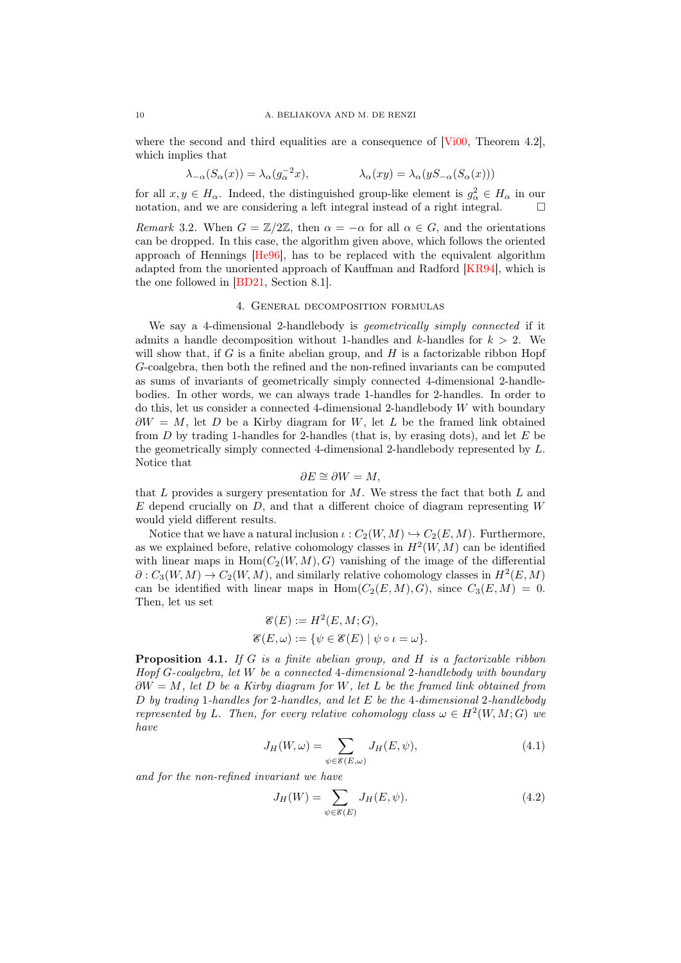#### 10 A. BELIAKOVA AND M. DE RENZI

where the second and third equalities are a consequence of [\[Vi00,](#page-32-10) Theorem 4.2], which implies that

$$
\lambda_{-\alpha}(S_{\alpha}(x)) = \lambda_{\alpha}(g_{\alpha}^{-2}x), \qquad \lambda_{\alpha}(xy) = \lambda_{\alpha}(yS_{-\alpha}(S_{\alpha}(x)))
$$

for all  $x, y \in H_\alpha$ . Indeed, the distinguished group-like element is  $g_\alpha^2 \in H_\alpha$  in our notation, and we are considering a left integral instead of a right integral.  $\square$ 

Remark 3.2. When  $G = \mathbb{Z}/2\mathbb{Z}$ , then  $\alpha = -\alpha$  for all  $\alpha \in G$ , and the orientations can be dropped. In this case, the algorithm given above, which follows the oriented approach of Hennings [\[He96\]](#page-32-12), has to be replaced with the equivalent algorithm adapted from the unoriented approach of Kauffman and Radford [\[KR94\]](#page-32-13), which is the one followed in [\[BD21,](#page-32-0) Section 8.1].

# 4. General decomposition formulas

We say a 4-dimensional 2-handlebody is *geometrically simply connected* if it admits a handle decomposition without 1-handles and k-handles for  $k > 2$ . We will show that, if  $G$  is a finite abelian group, and  $H$  is a factorizable ribbon Hopf G-coalgebra, then both the refined and the non-refined invariants can be computed as sums of invariants of geometrically simply connected 4-dimensional 2-handlebodies. In other words, we can always trade 1-handles for 2-handles. In order to do this, let us consider a connected 4-dimensional 2-handlebody W with boundary  $\partial W = M$ , let D be a Kirby diagram for W, let L be the framed link obtained from  $D$  by trading 1-handles for 2-handles (that is, by erasing dots), and let  $E$  be the geometrically simply connected 4-dimensional 2-handlebody represented by L. Notice that

$$
\partial E \cong \partial W = M,
$$

that  $L$  provides a surgery presentation for  $M$ . We stress the fact that both  $L$  and  $E$  depend crucially on  $D$ , and that a different choice of diagram representing  $W$ would yield different results.

Notice that we have a natural inclusion  $\iota : C_2(W, M) \hookrightarrow C_2(E, M)$ . Furthermore, as we explained before, relative cohomology classes in  $H^2(W, M)$  can be identified with linear maps in  $Hom(C_2(W, M), G)$  vanishing of the image of the differential  $\partial: C_3(W, M) \to C_2(W, M)$ , and similarly relative cohomology classes in  $H^2(E, M)$ can be identified with linear maps in  $Hom(C_2(E, M), G)$ , since  $C_3(E, M) = 0$ . Then, let us set

$$
\mathcal{E}(E) := H^2(E, M; G),
$$
  

$$
\mathcal{E}(E, \omega) := \{ \psi \in \mathcal{E}(E) \mid \psi \circ \iota = \omega \}.
$$

<span id="page-9-2"></span>**Proposition 4.1.** If G is a finite abelian group, and H is a factorizable ribbon Hopf G-coalgebra, let W be a connected 4-dimensional 2-handlebody with boundary  $\partial W = M$ , let D be a Kirby diagram for W, let L be the framed link obtained from  $D$  by trading 1-handles for 2-handles, and let  $E$  be the 4-dimensional 2-handlebody represented by L. Then, for every relative cohomology class  $\omega \in H^2(W, M; G)$  we have

$$
J_H(W,\omega) = \sum_{\psi \in \mathcal{E}(E,\omega)} J_H(E,\psi),\tag{4.1}
$$

and for the non-refined invariant we have

<span id="page-9-1"></span><span id="page-9-0"></span>
$$
J_H(W) = \sum_{\psi \in \mathcal{E}(E)} J_H(E, \psi). \tag{4.2}
$$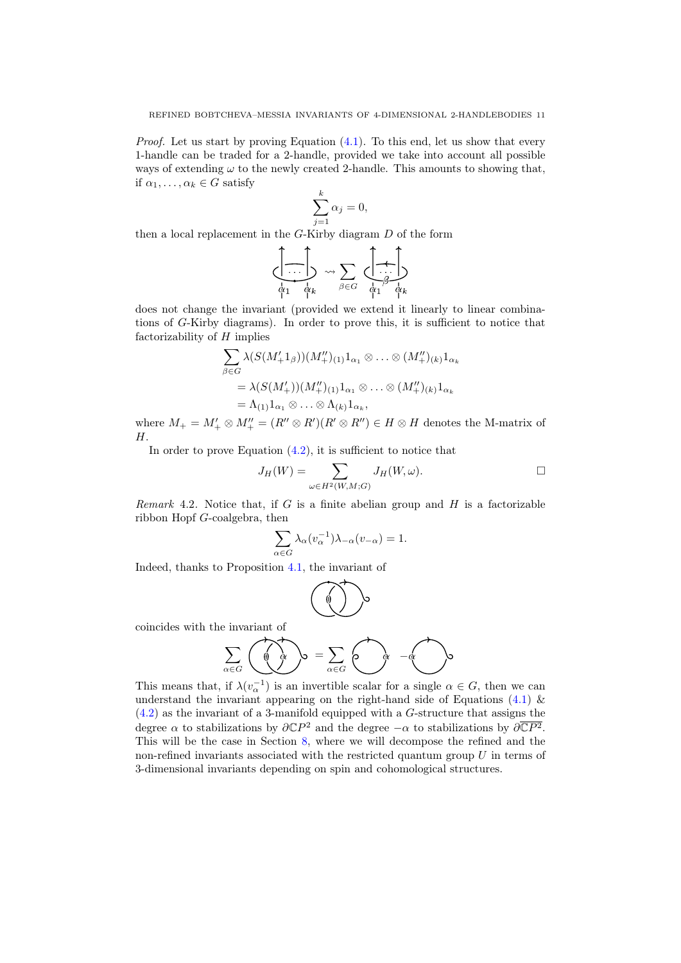*Proof.* Let us start by proving Equation  $(4.1)$ . To this end, let us show that every 1-handle can be traded for a 2-handle, provided we take into account all possible ways of extending  $\omega$  to the newly created 2-handle. This amounts to showing that, if  $\alpha_1, \ldots, \alpha_k \in G$  satisfy

$$
\sum_{j=1}^{k} \alpha_j = 0,
$$

then a local replacement in the G-Kirby diagram D of the form

$$
\left\{\begin{array}{c}\n\cdot & \cdot & \cdot \\
\cdot & \cdot & \cdot \\
\downarrow & \downarrow & \downarrow \\
\phi_1 & \phi_k & \phi_1 & \phi_1\n\end{array}\right\} \rightsquigarrow \sum_{\beta \in G} \left\{\begin{array}{c}\n\cdot & \cdot & \cdot \\
\cdot & \cdot & \cdot \\
\phi_1 & \phi_k & \phi_k\n\end{array}\right.
$$

does not change the invariant (provided we extend it linearly to linear combinations of G-Kirby diagrams). In order to prove this, it is sufficient to notice that factorizability of  $H$  implies

$$
\sum_{\beta \in G} \lambda(S(M'_+1_\beta))(M''_+)_{{(1)}}1_{\alpha_1} \otimes \ldots \otimes (M''_+)_{{(k)}}1_{\alpha_k}
$$
  
=  $\lambda(S(M'_+))(M''_+)_{{(1)}}1_{\alpha_1} \otimes \ldots \otimes (M''_+)_{{(k)}}1_{\alpha_k}$   
=  $\Lambda_{(1)}1_{\alpha_1} \otimes \ldots \otimes \Lambda_{(k)}1_{\alpha_k}$ ,

where  $M_+ = M'_+ \otimes M''_+ = (R'' \otimes R')(R' \otimes R'') \in H \otimes H$  denotes the M-matrix of H.

In order to prove Equation  $(4.2)$ , it is sufficient to notice that

$$
J_H(W) = \sum_{\omega \in H^2(W, M; G)} J_H(W, \omega).
$$

Remark 4.2. Notice that, if  $G$  is a finite abelian group and  $H$  is a factorizable ribbon Hopf G-coalgebra, then

$$
\sum_{\alpha \in G} \lambda_{\alpha} (v_{\alpha}^{-1}) \lambda_{-\alpha} (v_{-\alpha}) = 1.
$$

Indeed, thanks to Proposition [4.1,](#page-9-2) the invariant of

$$
\left(\begin{matrix}\begin{matrix}0\\0\end{matrix}\end{matrix}\right)\circ
$$

coincides with the invariant of

$$
\sum_{\alpha \in G} \left( \overrightarrow{a} \right)_{\alpha} = \sum_{\alpha \in G} \left( \overrightarrow{a} \right)_{\alpha} - \overrightarrow{a}
$$

This means that, if  $\lambda(v_\alpha^{-1})$  is an invertible scalar for a single  $\alpha \in G$ , then we can understand the invariant appearing on the right-hand side of Equations  $(4.1)$  & [\(4.2\)](#page-9-1) as the invariant of a 3-manifold equipped with a G-structure that assigns the degree  $\alpha$  to stabilizations by  $\partial \mathbb{C}P^2$  and the degree  $-\alpha$  to stabilizations by  $\partial \overline{\mathbb{C}P^2}$ . This will be the case in Section [8,](#page-19-0) where we will decompose the refined and the non-refined invariants associated with the restricted quantum group  $U$  in terms of 3-dimensional invariants depending on spin and cohomological structures.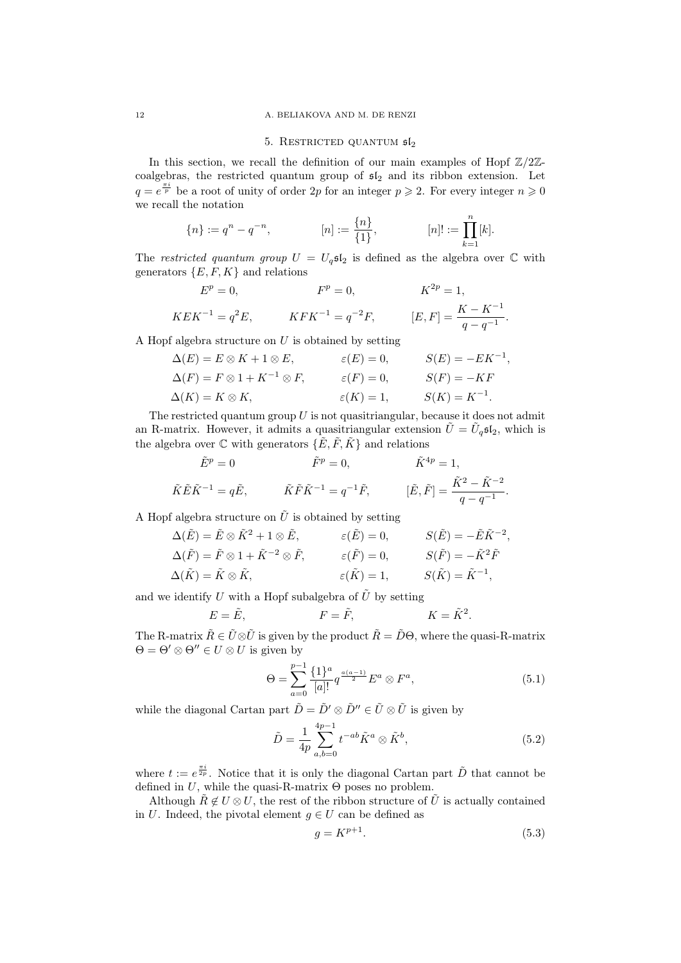## 12 A. BELIAKOVA AND M. DE RENZI

## 5. RESTRICTED QUANTUM  $5l_2$

In this section, we recall the definition of our main examples of Hopf  $\mathbb{Z}/2\mathbb{Z}$ coalgebras, the restricted quantum group of  $\mathfrak{sl}_2$  and its ribbon extension. Let  $q = e^{\frac{\pi i}{p}}$  be a root of unity of order 2p for an integer  $p \geq 2$ . For every integer  $n \geq 0$ we recall the notation

$$
\{n\}:=q^n-q^{-n}, \hspace{10mm} [n]:=\frac{\{n\}}{\{1\}}, \hspace{10mm} [n] := \prod_{k=1}^n [k].
$$

The restricted quantum group  $U = U<sub>q</sub> \mathfrak{sl}_2$  is defined as the algebra over  $\mathbb C$  with generators  $\{E, F, K\}$  and relations

$$
E^{p} = 0, \t F^{p} = 0, \t K^{2p} = 1,
$$
  

$$
KEK^{-1} = q^{2}E, \t KFK^{-1} = q^{-2}F, \t [E, F] = \frac{K - K^{-1}}{q - q^{-1}}.
$$

A Hopf algebra structure on U is obtained by setting

$$
\Delta(E) = E \otimes K + 1 \otimes E, \qquad \varepsilon(E) = 0, \qquad S(E) = -EK^{-1}
$$
  
\n
$$
\Delta(F) = F \otimes 1 + K^{-1} \otimes F, \qquad \varepsilon(F) = 0, \qquad S(F) = -KF
$$
  
\n
$$
\Delta(K) = K \otimes K, \qquad \varepsilon(K) = 1, \qquad S(K) = K^{-1}.
$$

The restricted quantum group  $U$  is not quasitriangular, because it does not admit an R-matrix. However, it admits a quasitriangular extension  $\tilde{U} = \tilde{U}_q \mathfrak{sl}_2$ , which is the algebra over  $\mathbb C$  with generators  $\{\tilde{E}, \tilde{F}, \tilde{K}\}\$  and relations

$$
\tilde{E}^{p} = 0 \qquad \qquad \tilde{F}^{p} = 0, \qquad \qquad \tilde{K}^{4p} = 1,
$$
  

$$
\tilde{K}\tilde{E}\tilde{K}^{-1} = q\tilde{E}, \qquad \tilde{K}\tilde{F}\tilde{K}^{-1} = q^{-1}\tilde{F}, \qquad [\tilde{E}, \tilde{F}] = \frac{\tilde{K}^{2} - \tilde{K}^{-2}}{q - q^{-1}}.
$$

A Hopf algebra structure on  $\tilde{U}$  is obtained by setting

$$
\Delta(\tilde{E}) = \tilde{E} \otimes \tilde{K}^2 + 1 \otimes \tilde{E}, \qquad \varepsilon(\tilde{E}) = 0, \qquad S(\tilde{E}) = -\tilde{E}\tilde{K}^{-2},
$$
  
\n
$$
\Delta(\tilde{F}) = \tilde{F} \otimes 1 + \tilde{K}^{-2} \otimes \tilde{F}, \qquad \varepsilon(\tilde{F}) = 0, \qquad S(\tilde{F}) = -\tilde{K}^2 \tilde{F}
$$
  
\n
$$
\Delta(\tilde{K}) = \tilde{K} \otimes \tilde{K}, \qquad \varepsilon(\tilde{K}) = 1, \qquad S(\tilde{K}) = \tilde{K}^{-1},
$$

and we identify U with a Hopf subalgebra of  $\tilde{U}$  by setting

$$
E = \tilde{E}, \qquad \qquad F = \tilde{F}, \qquad \qquad K = \tilde{K}^2.
$$

The R-matrix  $\tilde{R} \in \tilde{U} \otimes \tilde{U}$  is given by the product  $\tilde{R} = \tilde{D}\Theta$ , where the quasi-R-matrix  $\Theta = \Theta' \otimes \Theta'' \in U \otimes U$  is given by

$$
\Theta = \sum_{a=0}^{p-1} \frac{\{1\}^a}{[a]!} q^{\frac{a(a-1)}{2}} E^a \otimes F^a, \tag{5.1}
$$

,

while the diagonal Cartan part  $\tilde{D} = \tilde{D}' \otimes \tilde{D}'' \in \tilde{U} \otimes \tilde{U}$  is given by

$$
\tilde{D} = \frac{1}{4p} \sum_{a,b=0}^{4p-1} t^{-ab} \tilde{K}^a \otimes \tilde{K}^b,
$$
\n(5.2)

where  $t := e^{\frac{\pi i}{2p}}$ . Notice that it is only the diagonal Cartan part  $\tilde{D}$  that cannot be defined in U, while the quasi-R-matrix  $\Theta$  poses no problem.

Although  $\tilde{R} \notin U \otimes U$ , the rest of the ribbon structure of  $\tilde{U}$  is actually contained in U. Indeed, the pivotal element  $q \in U$  can be defined as

$$
g = K^{p+1}.\tag{5.3}
$$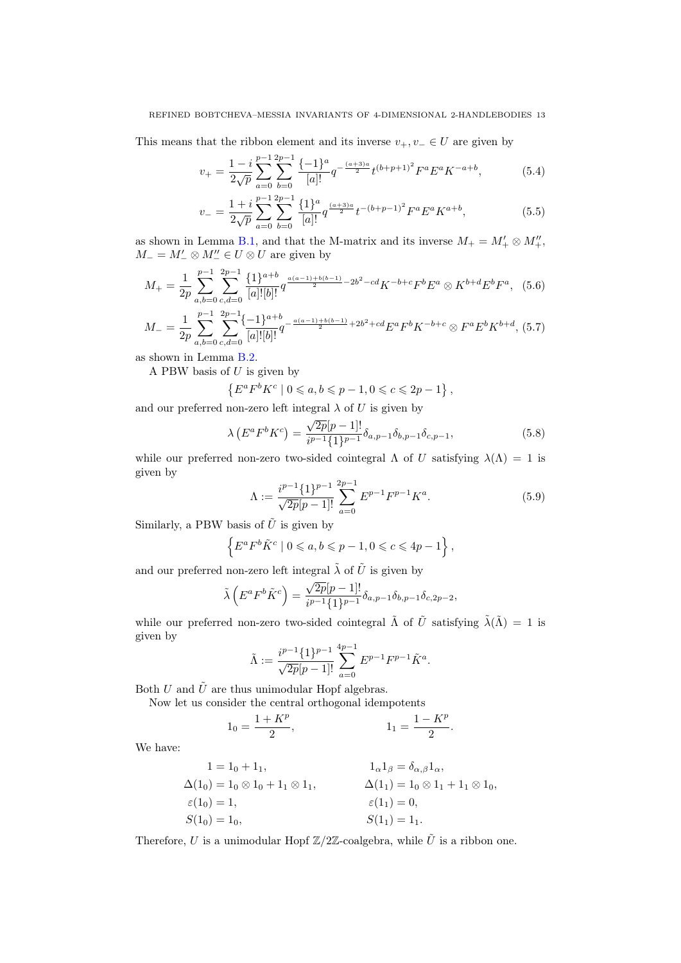This means that the ribbon element and its inverse  $v_+, v_- \in U$  are given by

<span id="page-12-0"></span>
$$
v_{+} = \frac{1-i}{2\sqrt{p}} \sum_{a=0}^{p-1} \sum_{b=0}^{2p-1} \frac{\{-1\}^a}{[a]!} q^{-\frac{(a+3)a}{2}} t^{(b+p+1)^2} F^a E^a K^{-a+b}, \tag{5.4}
$$

<span id="page-12-1"></span>
$$
v_{-} = \frac{1+i}{2\sqrt{p}} \sum_{a=0}^{p-1} \sum_{b=0}^{2p-1} \frac{\{1\}^a}{[a]!} q^{\frac{(a+3)a}{2}} t^{-(b+p-1)^2} F^a E^a K^{a+b}, \tag{5.5}
$$

as shown in Lemma [B.1,](#page-25-0) and that the M-matrix and its inverse  $M_+ = M'_+ \otimes M''_+$ ,  $M_-=M'_- \otimes M''_-\in U\otimes U$  are given by

$$
M_{+} = \frac{1}{2p} \sum_{a,b=0}^{p-1} \sum_{c,d=0}^{2p-1} \frac{\{1\}^{a+b}}{[a]![b]!} q^{\frac{a(a-1)+b(b-1)}{2} - 2b^2 - cd} K^{-b+c} F^b E^a \otimes K^{b+d} E^b F^a, \tag{5.6}
$$

$$
M_{-} = \frac{1}{2p} \sum_{a,b=0}^{p-1} \sum_{c,d=0}^{2p-1} \frac{\{-1\}^{a+b}}{[a]![b]!} q^{-\frac{a(a-1)+b(b-1)}{2}+2b^2+cd} E^a F^b K^{-b+c} \otimes F^a E^b K^{b+d},
$$
 (5.7)

as shown in Lemma [B.2.](#page-26-0)

A PBW basis of  $U$  is given by

$$
\{E^a F^b K^c \mid 0 \leq a, b \leq p-1, 0 \leq c \leq 2p-1\},\
$$

and our preferred non-zero left integral  $\lambda$  of U is given by

<span id="page-12-2"></span>
$$
\lambda \left( E^a F^b K^c \right) = \frac{\sqrt{2p}[p-1]!}{i^{p-1} \{1\}^{p-1}} \delta_{a, p-1} \delta_{b, p-1} \delta_{c, p-1}, \tag{5.8}
$$

while our preferred non-zero two-sided cointegral  $\Lambda$  of U satisfying  $\lambda(\Lambda) = 1$  is given by

<span id="page-12-3"></span>
$$
\Lambda := \frac{i^{p-1} \{1\}^{p-1}}{\sqrt{2p}[p-1]!} \sum_{a=0}^{2p-1} E^{p-1} F^{p-1} K^a.
$$
\n(5.9)

Similarly, a PBW basis of  $\hat{U}$  is given by

$$
\left\{ E^a F^b \tilde{K}^c \mid 0 \leqslant a, b \leqslant p-1, 0 \leqslant c \leqslant 4p-1 \right\},\
$$

and our preferred non-zero left integral  $\tilde{\lambda}$  of  $\tilde{U}$  is given by

$$
\tilde{\lambda}\left(E^a F^b \tilde{K}^c\right) = \frac{\sqrt{2p}[p-1]!}{i^{p-1}\{1\}^{p-1}} \delta_{a,p-1} \delta_{b,p-1} \delta_{c,2p-2},
$$

while our preferred non-zero two-sided cointegral  $\tilde{\Lambda}$  of  $\tilde{U}$  satisfying  $\tilde{\lambda}(\tilde{\Lambda}) = 1$  is given by

$$
\tilde{\Lambda}:=\frac{i^{p-1}\{1\}^{p-1}}{\sqrt{2p}[p-1]!}\sum_{a=0}^{4p-1}E^{p-1}F^{p-1}\tilde{K}^a.
$$

Both U and  $\tilde{U}$  are thus unimodular Hopf algebras.

Now let us consider the central orthogonal idempotents

$$
1_0 = \frac{1 + K^p}{2}, \qquad \qquad 1_1 = \frac{1 - K^p}{2}.
$$

We have:

$$
1 = 1_0 + 1_1,
$$
  
\n
$$
\Delta(1_0) = 1_0 \otimes 1_0 + 1_1 \otimes 1_1,
$$
  
\n
$$
\epsilon(1_0) = 1,
$$
  
\n
$$
S(1_0) = 1_0,
$$
  
\n
$$
S(1_1) = 0,
$$
  
\n
$$
S(1_1) = 1_1.
$$
  
\n
$$
S(1_1) = 1_1.
$$

Therefore, U is a unimodular Hopf  $\mathbb{Z}/2\mathbb{Z}$ -coalgebra, while  $\tilde{U}$  is a ribbon one.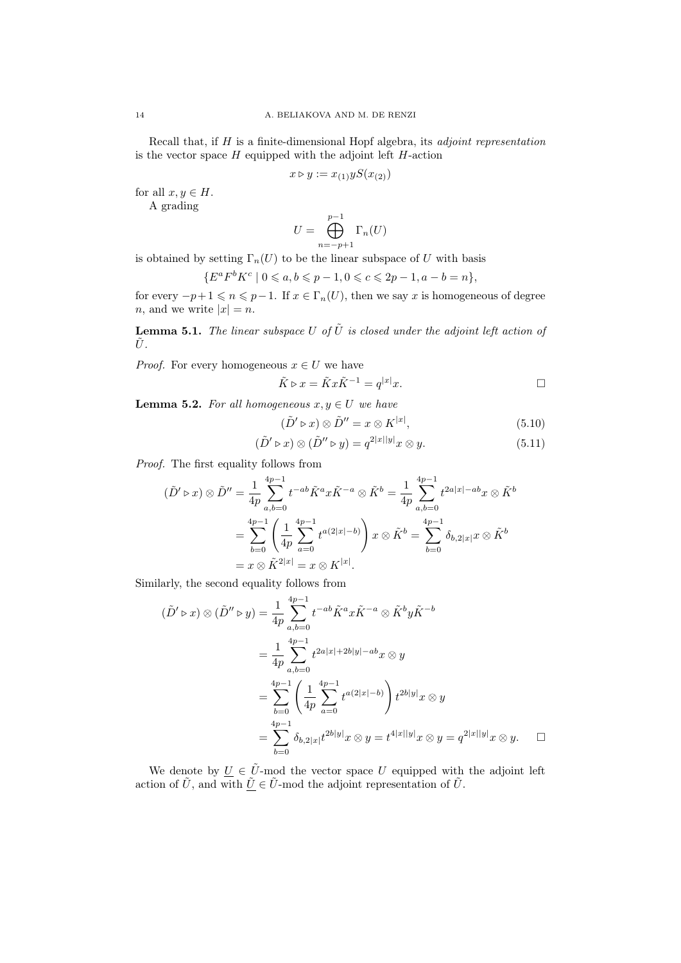Recall that, if  $H$  is a finite-dimensional Hopf algebra, its *adjoint representation* is the vector space  $H$  equipped with the adjoint left  $H$ -action

$$
x \triangleright y := x_{(1)} y S(x_{(2)})
$$

for all  $x, y \in H$ .

A grading

$$
U = \bigoplus_{n=-p+1}^{p-1} \Gamma_n(U)
$$

is obtained by setting  $\Gamma_n(U)$  to be the linear subspace of U with basis

$$
\{E^a F^b K^c \mid 0 \leq a, b \leq p-1, 0 \leq c \leq 2p-1, a-b=n\},\
$$

for every  $-p+1 \leq n \leq p-1$ . If  $x \in \Gamma_n(U)$ , then we say x is homogeneous of degree *n*, and we write  $|x| = n$ .

**Lemma 5.1.** The linear subspace U of  $\tilde{U}$  is closed under the adjoint left action of  $\tilde{U}$ .

*Proof.* For every homogeneous  $x \in U$  we have

$$
\tilde{K} \triangleright x = \tilde{K} x \tilde{K}^{-1} = q^{|x|} x.
$$

<span id="page-13-2"></span>**Lemma 5.2.** For all homogeneous  $x, y \in U$  we have

<span id="page-13-1"></span><span id="page-13-0"></span>
$$
(\tilde{D}' \triangleright x) \otimes \tilde{D}'' = x \otimes K^{|x|}, \tag{5.10}
$$

$$
(\tilde{D}' \triangleright x) \otimes (\tilde{D}'' \triangleright y) = q^{2|x||y|} x \otimes y.
$$
\n(5.11)

Proof. The first equality follows from

$$
(\tilde{D}' \triangleright x) \otimes \tilde{D}'' = \frac{1}{4p} \sum_{a,b=0}^{4p-1} t^{-ab} \tilde{K}^a x \tilde{K}^{-a} \otimes \tilde{K}^b = \frac{1}{4p} \sum_{a,b=0}^{4p-1} t^{2a|x| - ab} x \otimes \tilde{K}^b
$$

$$
= \sum_{b=0}^{4p-1} \left( \frac{1}{4p} \sum_{a=0}^{4p-1} t^{a(2|x| - b)} \right) x \otimes \tilde{K}^b = \sum_{b=0}^{4p-1} \delta_{b,2|x|} x \otimes \tilde{K}^b
$$

$$
= x \otimes \tilde{K}^{2|x|} = x \otimes K^{|x|}.
$$

Similarly, the second equality follows from

$$
(\tilde{D}' \triangleright x) \otimes (\tilde{D}'' \triangleright y) = \frac{1}{4p} \sum_{a,b=0}^{4p-1} t^{-ab} \tilde{K}^a x \tilde{K}^{-a} \otimes \tilde{K}^b y \tilde{K}^{-b}
$$
  

$$
= \frac{1}{4p} \sum_{a,b=0}^{4p-1} t^{2a|x|+2b|y|-ab} x \otimes y
$$
  

$$
= \sum_{b=0}^{4p-1} \left( \frac{1}{4p} \sum_{a=0}^{4p-1} t^{a(2|x|-b)} \right) t^{2b|y|} x \otimes y
$$
  

$$
= \sum_{b=0}^{4p-1} \delta_{b,2|x|} t^{2b|y|} x \otimes y = t^{4|x||y|} x \otimes y = q^{2|x||y|} x \otimes y.
$$

We denote by  $U \in \tilde{U}$ -mod the vector space U equipped with the adjoint left action of  $\tilde{U}$ , and with  $\tilde{U} \in \tilde{U}$ -mod the adjoint representation of  $\tilde{U}$ .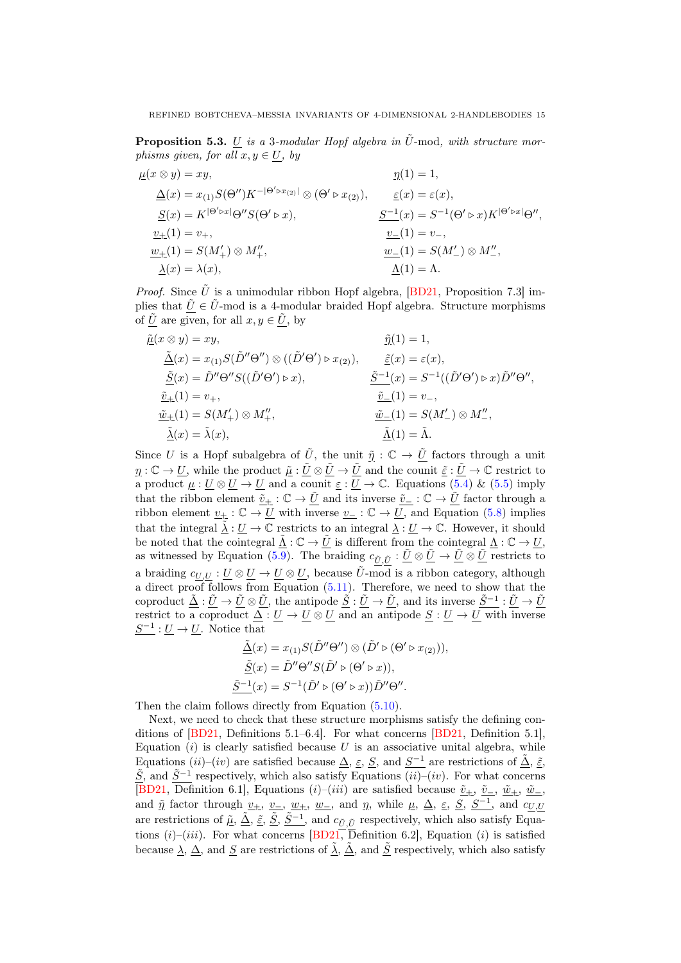<span id="page-14-0"></span>**Proposition 5.3.** U is a 3-modular Hopf algebra in  $\tilde{U}$ -mod, with structure morphisms given, for all  $x, y \in U$ , by

$$
\begin{aligned}\n\underline{\mu}(x \otimes y) &= xy, & \underline{\eta}(1) &= 1, \\
\underline{\Delta}(x) &= x_{(1)}S(\Theta'')K^{-|\Theta'\triangleright x_{(2)}|} \otimes (\Theta'\triangleright x_{(2)}), & \underline{\varepsilon}(x) &= \varepsilon(x), \\
\underline{S}(x) &= K^{|\Theta'\triangleright x|} \Theta'' S(\Theta'\triangleright x), & \underline{S^{-1}}(x) &= S^{-1}(\Theta'\triangleright x)K^{|\Theta'\triangleright x|} \Theta'', \\
\underline{v}_{+}(1) &= v_{+}, & \underline{v}_{-}(1) &= v_{-}, \\
\underline{w}_{+}(1) &= S(M'_{+}) \otimes M''_{+}, & \underline{w}_{-}(1) &= S(M'_{-}) \otimes M''_{-}, \\
\underline{\lambda}(x) &= \lambda(x), & \underline{\Lambda}(1) &= \Lambda.\n\end{aligned}
$$

*Proof.* Since  $\tilde{U}$  is a unimodular ribbon Hopf algebra, [\[BD21,](#page-32-0) Proposition 7.3] implies that  $\tilde{U} \in \tilde{U}$ -mod is a 4-modular braided Hopf algebra. Structure morphisms of  $\tilde{U}$  are given, for all  $x, y \in \tilde{U}$ , by

$$
\tilde{\underline{\mu}}(x \otimes y) = xy, \qquad \tilde{\underline{\eta}}(1) = 1,
$$
\n
$$
\underline{\tilde{\Delta}}(x) = x_{(1)}S(\tilde{D}''\Theta'') \otimes ((\tilde{D}'\Theta') \triangleright x_{(2)}), \qquad \underline{\tilde{\varepsilon}}(x) = \varepsilon(x),
$$
\n
$$
\underline{\tilde{S}}(x) = \tilde{D}''\Theta''S((\tilde{D}'\Theta') \triangleright x), \qquad \qquad \underline{\tilde{S}^{-1}}(x) = S^{-1}((\tilde{D}'\Theta') \triangleright x)\tilde{D}''\Theta'',
$$
\n
$$
\underline{\tilde{v}}_{\pm}(1) = v_+, \qquad \qquad \underline{\tilde{v}}_{\pm}(1) = S(M'_+) \otimes M''_+, \qquad \qquad \underline{\tilde{w}}_{\pm}(1) = S(M'_+) \otimes M''',
$$
\n
$$
\underline{\tilde{\Lambda}}(x) = \tilde{\lambda}(x), \qquad \qquad \underline{\tilde{\Lambda}}(1) = \tilde{\Lambda}.
$$

Since U is a Hopf subalgebra of U it, the unit  $\tilde{\eta}: \mathbb{C} \to U$  factors through a unit  $\eta: \mathbb{C} \to U$ , while the product  $\tilde{\mu}: \tilde{U} \otimes \tilde{U} \to \tilde{U}$  and the counit  $\tilde{\varepsilon}: \tilde{U} \to \mathbb{C}$  restrict to a product  $\mu: U \otimes U \to U$  and a counit  $\underline{\varepsilon}: U \to \mathbb{C}$ . Equations [\(5.4\)](#page-12-0) & [\(5.5\)](#page-12-1) imply that the ribbon element  $\tilde{v}_+:\mathbb{C}\to \tilde{U}$  and its inverse  $\tilde{v}_-:\mathbb{C}\to \tilde{U}$  factor through a ribbon element  $\underline{v_+}$  :  $\mathbb{C} \to \underline{U}$  with inverse  $\underline{v_-}$  :  $\mathbb{C} \to \underline{U}$ , and Equation [\(5.8\)](#page-12-2) implies that the integral  $\tilde{\lambda}: U \to \mathbb{C}$  restricts to an integral  $\lambda: U \to \mathbb{C}$ . However, it should be noted that the cointegral  $\tilde{\Lambda}: \mathbb{C} \to \tilde{U}$  is different from the cointegral  $\Lambda: \mathbb{C} \to U$ , as witnessed by Equation [\(5.9\)](#page-12-3). The braiding  $c_{\tilde{U}, \tilde{U}} : \underline{\tilde{U}} \otimes \underline{\tilde{U}} \to \underline{\tilde{U}} \otimes \underline{\tilde{U}}$  restricts to a braiding  $c_{U,U} : U \otimes U \to U \otimes U$ , because  $\tilde{U}$ -mod is a ribbon category, although a direct proof follows from Equation  $(5.11)$ . Therefore, we need to show that the coproduct  $\underline{\tilde{\Delta}} : \underline{\tilde{U}} \to \underline{\tilde{U}} \otimes \underline{\tilde{U}}$ , the antipode  $\underline{\tilde{S}} : \underline{\tilde{U}} \to \underline{\tilde{U}}$ , and its inverse  $\underline{\tilde{S}}^{-1} : \underline{\tilde{U}} \to \underline{\tilde{U}}$ restrict to a coproduct  $\Delta: U \to U \otimes U$  and an antipode  $\underline{S}: U \to U$  with inverse  $S^{-1}: U \to U$ . Notice that

$$
\underline{\tilde{\Delta}}(x) = x_{(1)}S(\tilde{D}''\Theta'') \otimes (\tilde{D}' \triangleright (\Theta' \triangleright x_{(2)})),
$$

$$
\underline{\tilde{S}}(x) = \tilde{D}''\Theta''S(\tilde{D}' \triangleright (\Theta' \triangleright x)),
$$

$$
\underline{\tilde{S}^{-1}}(x) = S^{-1}(\tilde{D}' \triangleright (\Theta' \triangleright x))\tilde{D}''\Theta''.
$$

Then the claim follows directly from Equation  $(5.10)$ .

Next, we need to check that these structure morphisms satisfy the defining conditions of [\[BD21,](#page-32-0) Definitions 5.1–6.4]. For what concerns [\[BD21,](#page-32-0) Definition 5.1], Equation  $(i)$  is clearly satisfied because U is an associative unital algebra, while Equations  $(ii)-(iv)$  are satisfied because  $\Delta$ ,  $\varepsilon$ ,  $S$ , and  $S^{-1}$  are restrictions of  $\tilde{\Delta}$ ,  $\tilde{\varepsilon}$ ,  $S$ , and  $\widetilde{S}^{-1}$  respectively, which also satisfy Equations (ii)–(iv). For what concerns [\[BD21,](#page-32-0) Definition 6.1], Equations (i)–(iii) are satisfied because  $\underline{\tilde{v}}_{+}$ ,  $\underline{\tilde{v}}_{-}$ ,  $\underline{\tilde{w}}_{+}$ ,  $\underline{\tilde{w}}_{-}$ , and  $\tilde{\eta}$  factor through  $v_+$ ,  $v_-$ ,  $w_+$ ,  $w_-$ , and  $\eta$ , while  $\mu$ ,  $\Delta$ ,  $\varepsilon$ ,  $S$ ,  $S^{-1}$ , and  $c_{U,U}$ are restrictions of  $\tilde{\mu}$ ,  $\tilde{\Delta}$ ,  $\tilde{\varepsilon}$ ,  $\tilde{S}$ ,  $\tilde{S}^{-1}$ , and  $c_{\tilde{U}, \tilde{U}}$  respectively, which also satisfy Equations  $(i)-(iii)$ . For what concerns [\[BD21,](#page-32-0) Definition 6.2], Equation  $(i)$  is satisfied because  $\lambda$ ,  $\Delta$ , and S are restrictions of  $\tilde{\lambda}$ ,  $\tilde{\Delta}$ , and  $\tilde{S}$  respectively, which also satisfy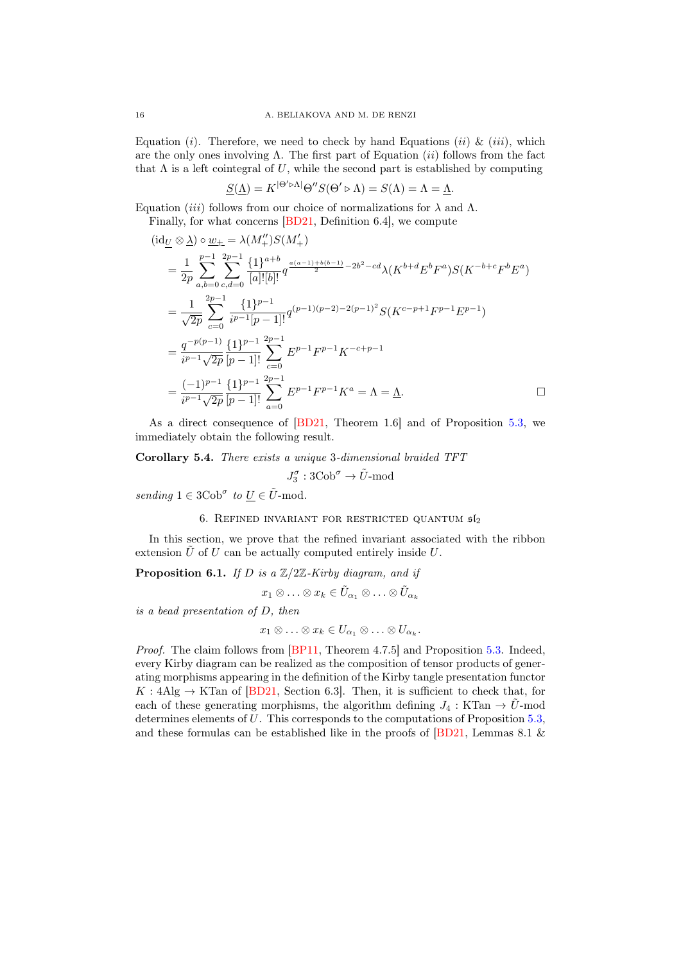Equation (*i*). Therefore, we need to check by hand Equations (*ii*) & (*iii*), which are the only ones involving  $\Lambda$ . The first part of Equation (ii) follows from the fact that  $\Lambda$  is a left cointegral of U, while the second part is established by computing

$$
\underline{S}(\underline{\Lambda}) = K^{|\Theta' \triangleright \Lambda|} \Theta'' S(\Theta' \triangleright \Lambda) = S(\Lambda) = \Lambda = \underline{\Lambda}.
$$

Equation (iii) follows from our choice of normalizations for  $\lambda$  and  $Λ$ . Finally, for what concerns [\[BD21,](#page-32-0) Definition 6.4], we compute

$$
(\mathrm{id}_{\underline{U}} \otimes \underline{\lambda}) \circ \underline{w}_{+} = \lambda(M_{+}^{\prime\prime})S(M_{+}^{\prime})
$$
\n
$$
= \frac{1}{2p} \sum_{a,b=0}^{p-1} \sum_{c,d=0}^{2p-1} \frac{\{1\}^{a+b}}{[a]![b]!} q^{\frac{a(a-1)+b(b-1)}{2} - 2b^{2} - cd} \lambda(K^{b+d}E^{b}F^{a})S(K^{-b+c}F^{b}E^{a})
$$
\n
$$
= \frac{1}{\sqrt{2p}} \sum_{c=0}^{2p-1} \frac{\{1\}^{p-1}}{i^{p-1}[p-1]!} q^{(p-1)(p-2)-2(p-1)^{2}} S(K^{c-p+1}F^{p-1}E^{p-1})
$$
\n
$$
= \frac{q^{-p(p-1)}}{i^{p-1}\sqrt{2p}} \frac{\{1\}^{p-1}}{[p-1]!} \sum_{c=0}^{2p-1} E^{p-1}F^{p-1}K^{-c+p-1}
$$
\n
$$
= \frac{(-1)^{p-1}}{i^{p-1}\sqrt{2p}} \frac{\{1\}^{p-1}}{[p-1]!} \sum_{a=0}^{2p-1} E^{p-1}F^{p-1}K^{a} = \Lambda = \underline{\Lambda}.
$$

As a direct consequence of [\[BD21,](#page-32-0) Theorem 1.6] and of Proposition [5.3,](#page-14-0) we immediately obtain the following result.

<span id="page-15-0"></span>Corollary 5.4. There exists a unique 3-dimensional braided TFT

$$
J_3^{\sigma}: \mathrm{3Cob}^{\sigma} \to \tilde{U} \text{-mod}
$$

sending  $1 \in 3\text{Cob}^{\sigma}$  to  $\underline{U} \in \tilde{U}$ -mod.

## 6. REFINED INVARIANT FOR RESTRICTED QUANTUM  $\mathfrak{sl}_2$

In this section, we prove that the refined invariant associated with the ribbon extension  $\tilde{U}$  of  $U$  can be actually computed entirely inside  $U$ .

<span id="page-15-1"></span>**Proposition 6.1.** If D is a  $\mathbb{Z}/2\mathbb{Z}$ -Kirby diagram, and if

$$
x_1 \otimes \ldots \otimes x_k \in \tilde{U}_{\alpha_1} \otimes \ldots \otimes \tilde{U}_{\alpha_k}
$$

is a bead presentation of D, then

$$
x_1 \otimes \ldots \otimes x_k \in U_{\alpha_1} \otimes \ldots \otimes U_{\alpha_k}.
$$

Proof. The claim follows from [\[BP11,](#page-32-1) Theorem 4.7.5] and Proposition [5.3.](#page-14-0) Indeed, every Kirby diagram can be realized as the composition of tensor products of generating morphisms appearing in the definition of the Kirby tangle presentation functor  $K: 4\text{Alg} \to \text{KTan}$  of [\[BD21,](#page-32-0) Section 6.3]. Then, it is sufficient to check that, for each of these generating morphisms, the algorithm defining  $J_4 : KTan \rightarrow \tilde{U}$ -mod determines elements of U. This corresponds to the computations of Proposition [5.3,](#page-14-0) and these formulas can be established like in the proofs of [\[BD21,](#page-32-0) Lemmas 8.1 &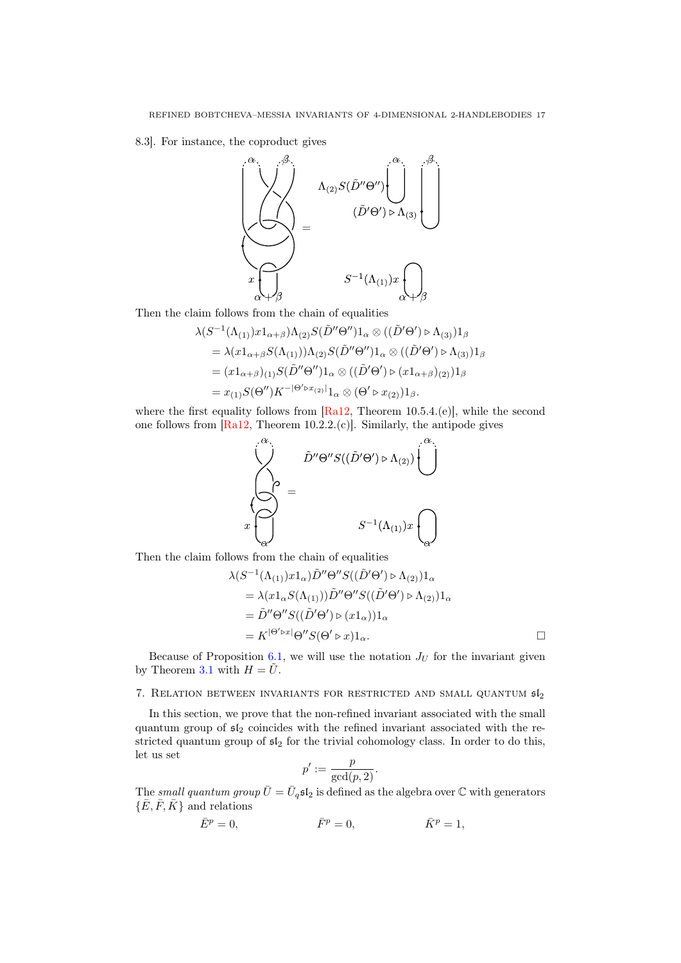8.3]. For instance, the coproduct gives



Then the claim follows from the chain of equalities

$$
\lambda(S^{-1}(\Lambda_{(1)})x1_{\alpha+\beta})\Lambda_{(2)}S(\tilde{D}''\Theta'')1_{\alpha}\otimes((\tilde{D}'\Theta')\triangleright\Lambda_{(3)})1_{\beta}
$$
  
=  $\lambda(x1_{\alpha+\beta}S(\Lambda_{(1)}))\Lambda_{(2)}S(\tilde{D}''\Theta'')1_{\alpha}\otimes((\tilde{D}'\Theta')\triangleright\Lambda_{(3)})1_{\beta}$   
=  $(x1_{\alpha+\beta})_{(1)}S(\tilde{D}''\Theta'')1_{\alpha}\otimes((\tilde{D}'\Theta')\triangleright(x1_{\alpha+\beta})_{(2)})1_{\beta}$   
=  $x_{(1)}S(\Theta'')K^{-|\Theta'\triangleright x_{(2)}|1_{\alpha}\otimes(\Theta'\triangleright x_{(2)})1_{\beta}.$ 

where the first equality follows from  $[Ra12, Theorem 10.5.4. (e)],$  $[Ra12, Theorem 10.5.4. (e)],$  while the second one follows from [\[Ra12,](#page-32-14) Theorem 10.2.2.(c)]. Similarly, the antipode gives



Then the claim follows from the chain of equalities

$$
\lambda(S^{-1}(\Lambda_{(1)})x1_\alpha)\tilde{D}''\Theta''S((\tilde{D}'\Theta') \triangleright \Lambda_{(2)})1_\alpha
$$
  
=  $\lambda(x1_\alpha S(\Lambda_{(1)}))\tilde{D}''\Theta''S((\tilde{D}'\Theta') \triangleright \Lambda_{(2)})1_\alpha$   
=  $\tilde{D}''\Theta''S((\tilde{D}'\Theta') \triangleright (x1_\alpha))1_\alpha$   
=  $K^{|\Theta'\triangleright x|}\Theta''S(\Theta' \triangleright x)1_\alpha$ .

Because of Proposition [6.1,](#page-15-1) we will use the notation  $J_U$  for the invariant given by Theorem [3.1](#page-8-0) with  $H = \tilde{U}$ .

# 7. RELATION BETWEEN INVARIANTS FOR RESTRICTED AND SMALL QUANTUM  $\mathfrak{sl}_2$

In this section, we prove that the non-refined invariant associated with the small quantum group of  $5l_2$  coincides with the refined invariant associated with the restricted quantum group of  $\mathfrak{sl}_2$  for the trivial cohomology class. In order to do this, let us set

$$
p':=\frac{p}{\gcd(p,2)}.
$$

The small quantum group  $\bar{U} = \bar{U}_q \mathfrak{sl}_2$  is defined as the algebra over  $\mathbb C$  with generators  $\{\bar{E}, \bar{F}, \bar{K}\}$  and relations

$$
\bar{E}^p = 0, \qquad \qquad \bar{F}^p = 0, \qquad \qquad \bar{K}^p = 1,
$$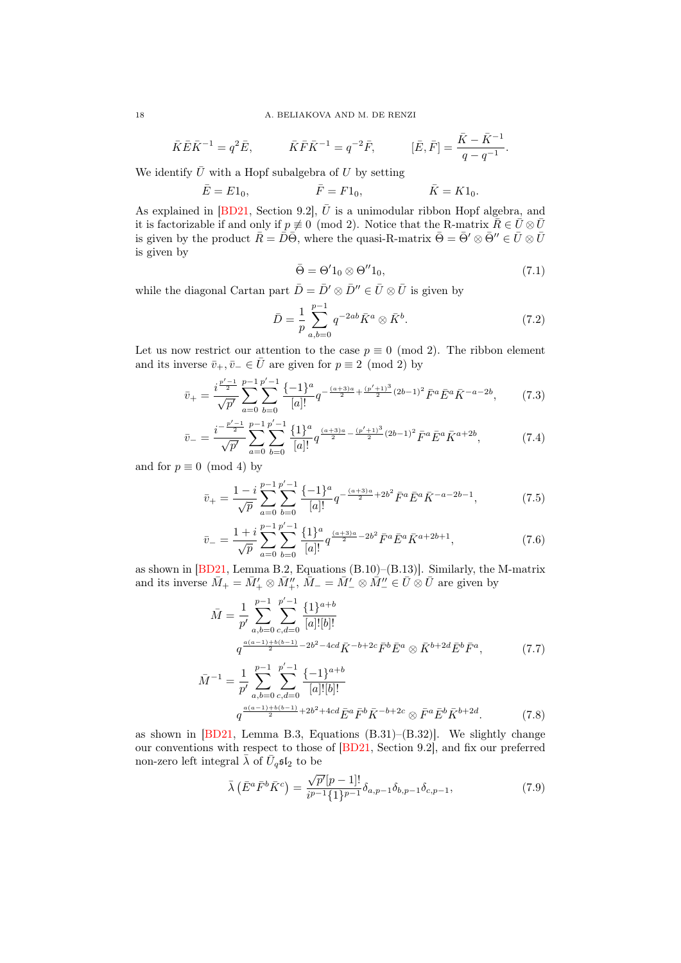#### 18 A. BELIAKOVA AND M. DE RENZI

$$
\bar{K}\bar{E}\bar{K}^{-1} = q^2\bar{E}, \qquad \bar{K}\bar{F}\bar{K}^{-1} = q^{-2}\bar{F}, \qquad [\bar{E}, \bar{F}] = \frac{\bar{K} - \bar{K}^{-1}}{q - q^{-1}}.
$$

We identify  $\bar{U}$  with a Hopf subalgebra of U by setting

$$
\bar{E} = E1_0,
$$
  $\bar{F} = F1_0,$   $\bar{K} = K1_0.$ 

As explained in [\[BD21,](#page-32-0) Section 9.2],  $\overline{U}$  is a unimodular ribbon Hopf algebra, and it is factorizable if and only if  $p \neq 0 \pmod{2}$ . Notice that the R-matrix  $\overline{R} \in \overline{U} \otimes \overline{U}$ is given by the product  $\bar{R}=\bar{D}\bar{\Theta}$ , where the quasi-R-matrix  $\bar{\Theta}=\bar{\Theta}'\otimes\bar{\Theta}''\in\bar{U}\otimes\bar{U}$ is given by

<span id="page-17-0"></span>
$$
\bar{\Theta} = \Theta' 1_0 \otimes \Theta'' 1_0, \tag{7.1}
$$

while the diagonal Cartan part  $\bar{D} = \bar{D}' \otimes \bar{D}'' \in \bar{U} \otimes \bar{U}$  is given by

<span id="page-17-1"></span>
$$
\bar{D} = \frac{1}{p} \sum_{a,b=0}^{p-1} q^{-2ab} \bar{K}^a \otimes \bar{K}^b.
$$
 (7.2)

Let us now restrict our attention to the case  $p \equiv 0 \pmod{2}$ . The ribbon element and its inverse  $\bar{v}_+$ ,  $\bar{v}_- \in \bar{U}$  are given for  $p \equiv 2 \pmod{2}$  by

$$
\bar{v}_{+} = \frac{i^{\frac{p'-1}{2}}}{\sqrt{p'}} \sum_{a=0}^{p-1} \sum_{b=0}^{p'-1} \frac{\{-1\}^{a}}{[a]!} q^{-\frac{(a+3)a}{2} + \frac{(p'+1)^{3}}{2}(2b-1)^{2}} \bar{F}^{a} \bar{E}^{a} \bar{K}^{-a-2b},\tag{7.3}
$$

$$
\bar{v}_{-} = \frac{i^{-\frac{p'-1}{2}}}{\sqrt{p'}} \sum_{a=0}^{p-1} \sum_{b=0}^{p'-1} \frac{\{1\}^a}{[a]!} q^{\frac{(a+3)a}{2} - \frac{(p'+1)^3}{2}(2b-1)^2} \bar{F}^a \bar{E}^a \bar{K}^{a+2b},\tag{7.4}
$$

and for  $p \equiv 0 \pmod{4}$  by

$$
\bar{v}_{+} = \frac{1-i}{\sqrt{p}} \sum_{a=0}^{p-1} \sum_{b=0}^{p'-1} \frac{\{-1\}^a}{[a]!} q^{-\frac{(a+3)a}{2} + 2b^2} \bar{F}^a \bar{E}^a \bar{K}^{-a-2b-1},\tag{7.5}
$$

$$
\bar{v}_{-} = \frac{1+i}{\sqrt{p}} \sum_{a=0}^{p-1} \sum_{b=0}^{p'-1} \frac{\{1\}^a}{[a]!} q^{\frac{(a+3)a}{2} - 2b^2} \bar{F}^a \bar{E}^a \bar{K}^{a+2b+1},\tag{7.6}
$$

as shown in [\[BD21,](#page-32-0) Lemma B.2, Equations (B.10)–(B.13)]. Similarly, the M-matrix and its inverse  $\bar{M}_+ = \bar{M}'_+ \otimes \bar{M}''_+, \, \bar{M}_- = \bar{M}'_- \otimes \bar{M}''_- \in \bar{U} \otimes \bar{U}$  are given by

$$
\bar{M} = \frac{1}{p'} \sum_{a,b=0}^{p-1} \sum_{c,d=0}^{p'-1} \frac{\{1\}^{a+b}}{[a]![b]!} \n q^{\frac{a(a-1)+b(b-1)}{2} - 2b^2 - 4cd} \bar{K}^{-b+2c} \bar{F}^b \bar{E}^a \otimes \bar{K}^{b+2d} \bar{E}^b \bar{F}^a, \n\tag{7.7}
$$
\n
$$
\bar{A}^{-1} = \frac{1}{p} \sum_{a=0}^{p-1} \sum_{c=0}^{p'-1} \frac{\{-1\}^{a+b}}{2}
$$

$$
\bar{M}^{-1} = \frac{1}{p'} \sum_{a,b=0}^{n} \sum_{c,d=0}^{n} \frac{\{-1\}^{a+v}}{[a]![b]!} \frac{\{a\}^{-1}}{[a]![b]!} \frac{\{a\}^{-1}}{[a]! \{b\}!} \frac{\{a\}^{-1}}{[a]! \{b\}!} \frac{\{a\}^{-1}}{[a]! \{b\}!} \bar{K}^{-b+2c} \otimes \bar{F}^a \bar{E}^b \bar{K}^{b+2d}.
$$
 (7.8)

as shown in [\[BD21,](#page-32-0) Lemma B.3, Equations (B.31)–(B.32)]. We slightly change our conventions with respect to those of [\[BD21,](#page-32-0) Section 9.2], and fix our preferred non-zero left integral  $\bar{\lambda}$  of  $\bar{U}_q \mathfrak{sl}_2$  to be

<span id="page-17-2"></span>
$$
\bar{\lambda} \left( \bar{E}^a \bar{F}^b \bar{K}^c \right) = \frac{\sqrt{p'}[p-1]!}{i^{p-1} \{1\}^{p-1}} \delta_{a,p-1} \delta_{b,p-1} \delta_{c,p-1},\tag{7.9}
$$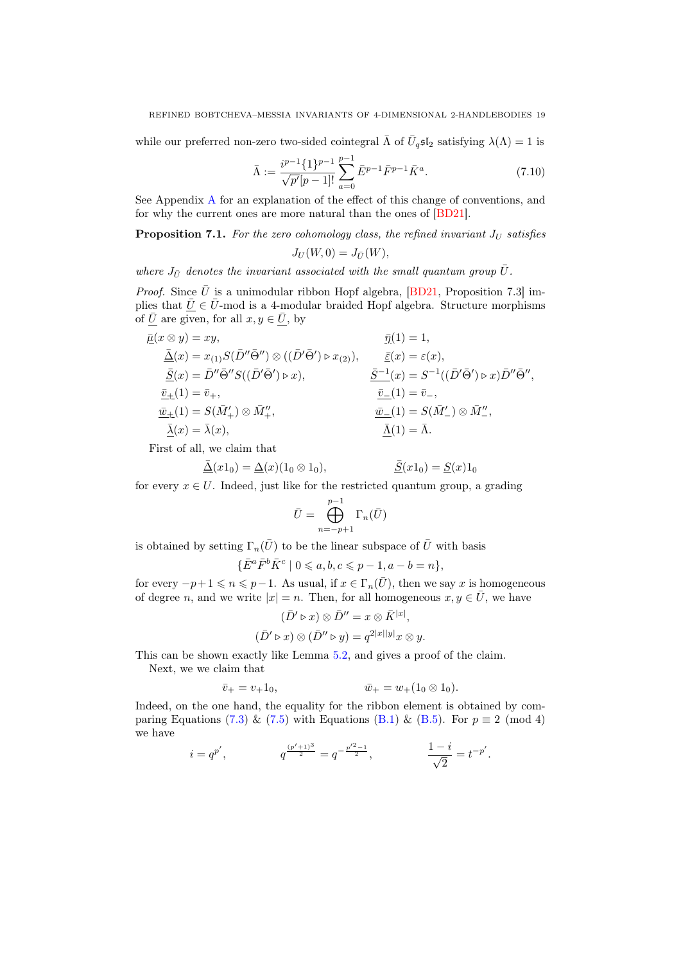while our preferred non-zero two-sided cointegral  $\bar{\Lambda}$  of  $\bar{U}_q\mathfrak{sl}_2$  satisfying  $\lambda(\Lambda) = 1$  is

<span id="page-18-1"></span>
$$
\bar{\Lambda} := \frac{i^{p-1} \{ 1 \}^{p-1}}{\sqrt{p'} [p-1]!} \sum_{a=0}^{p-1} \bar{E}^{p-1} \bar{F}^{p-1} \bar{K}^a.
$$
\n(7.10)

See Appendix [A](#page-24-0) for an explanation of the effect of this change of conventions, and for why the current ones are more natural than the ones of [\[BD21\]](#page-32-0).

<span id="page-18-0"></span>**Proposition 7.1.** For the zero cohomology class, the refined invariant  $J_U$  satisfies

 $J_U(W, 0) = J_{\bar{U}}(W)$ ,

where  $J_{\bar{U}}$  denotes the invariant associated with the small quantum group  $\bar{U}$ .

*Proof.* Since  $\overline{U}$  is a unimodular ribbon Hopf algebra, [\[BD21,](#page-32-0) Proposition 7.3] implies that  $\overline{U} \in \overline{U}$ -mod is a 4-modular braided Hopf algebra. Structure morphisms of  $\bar{U}$  are given, for all  $x, y \in \bar{U}$ , by

$$
\begin{aligned}\n\bar{\mu}(x \otimes y) &= xy, & \bar{\eta}(1) &= 1, \\
\bar{\Delta}(x) &= x_{(1)}S(\bar{D}''\bar{\Theta}'') \otimes ((\bar{D}'\bar{\Theta}') \rhd x_{(2)}), & \bar{\underline{\underline{\xi}}}(x) &= \varepsilon(x), \\
\bar{\underline{S}}(x) &= \bar{D}''\bar{\Theta}''S((\bar{D}'\bar{\Theta}') \rhd x), & \bar{\underline{S}}^{-1}(x) &= S^{-1}((\bar{D}'\bar{\Theta}') \rhd x)\bar{D}''\bar{\Theta}'', \\
\bar{\underline{v}}_{\pm}(1) &= \bar{v}_{+}, & \bar{\underline{v}}_{-}(1) &= \bar{v}_{-}, \\
\bar{\underline{w}}_{\pm}(1) &= S(\bar{M}'_{+}) \otimes \bar{M}''_{+}, & \bar{\underline{w}}_{-}(1) &= S(\bar{M}'_{-}) \otimes \bar{M}''_{-}, \\
\bar{\underline{\lambda}}(x) &= \bar{\lambda}(x), & \bar{\underline{\Lambda}}(1) &= \bar{\Lambda}.\n\end{aligned}
$$

First of all, we claim that

$$
\underline{\bar{\Delta}}(x1_0) = \underline{\Delta}(x)(1_0 \otimes 1_0), \qquad \qquad \underline{\bar{S}}(x1_0) = \underline{S}(x)1_0
$$

for every  $x \in U$ . Indeed, just like for the restricted quantum group, a grading

$$
\bar{U} = \bigoplus_{n=-p+1}^{p-1} \Gamma_n(\bar{U})
$$

is obtained by setting  $\Gamma_n(\bar{U})$  to be the linear subspace of  $\bar{U}$  with basis

$$
\{\bar{E}^a \bar{F}^b \bar{K}^c \mid 0 \leq a, b, c \leq p-1, a-b = n\},\
$$

for every  $-p+1 \leq n \leq p-1$ . As usual, if  $x \in \Gamma_n(\overline{U})$ , then we say x is homogeneous of degree n, and we write  $|x| = n$ . Then, for all homogeneous  $x, y \in \overline{U}$ , we have

$$
(\bar{D}' \triangleright x) \otimes \bar{D}'' = x \otimes \bar{K}^{|x|},
$$
  

$$
(\bar{D}' \triangleright x) \otimes (\bar{D}'' \triangleright y) = q^{2|x||y|} x \otimes y.
$$

This can be shown exactly like Lemma [5.2,](#page-13-2) and gives a proof of the claim.

Next, we we claim that

$$
\bar{v}_+ = v_+ 1_0, \qquad \qquad \bar{w}_+ = w_+ (1_0 \otimes 1_0).
$$

Indeed, on the one hand, the equality for the ribbon element is obtained by com-paring Equations [\(7.3\)](#page-17-0) & [\(7.5\)](#page-17-1) with Equations [\(B.1\)](#page-29-0) & [\(B.5\)](#page-29-1). For  $p \equiv 2 \pmod{4}$ we have

$$
i=q^{p'}, \hspace{1.5cm} q^{\frac{(p'+1)^3}{2}}=q^{-\frac{p'^2-1}{2}}, \hspace{1.5cm} \frac{1-i}{\sqrt{2}}=t^{-p'}.
$$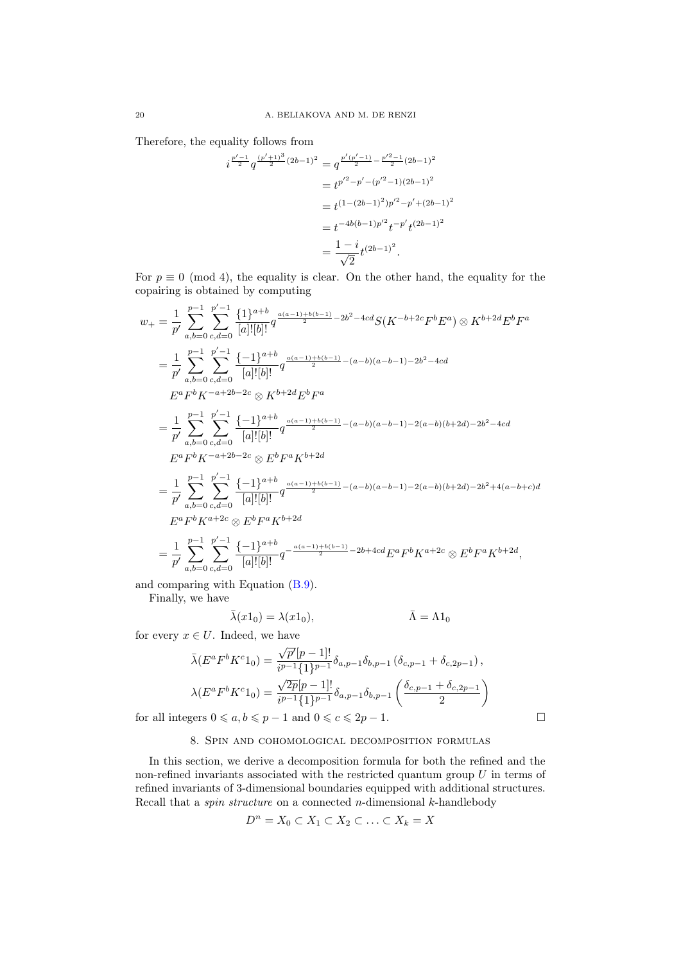Therefore, the equality follows from

$$
i^{\frac{p'-1}{2}} q^{\frac{(p'+1)^3}{2}(2b-1)^2} = q^{\frac{p'(p'-1)}{2} - \frac{p'^2-1}{2}(2b-1)^2}
$$
  
=  $t^{p'^2-p'-(p'^2-1)(2b-1)^2}$   
=  $t^{(1-(2b-1)^2)p'^2-p'+(2b-1)^2}$   
=  $t^{-4b(b-1)p'^2} t^{-p'} t^{(2b-1)^2}$   
=  $\frac{1-i}{\sqrt{2}} t^{(2b-1)^2}.$ 

For  $p \equiv 0 \pmod{4}$ , the equality is clear. On the other hand, the equality for the copairing is obtained by computing

$$
w_{+} = \frac{1}{p'} \sum_{a,b=0}^{p'-1} \sum_{c,d=0}^{p'-1} \frac{\{1\}^{a+b} q^{\frac{a(a-1)+b(b-1)}{2} - 2b^{2} - 4cd} S(K^{-b+2c} F^{b} E^{a}) \otimes K^{b+2d} E^{b} F^{a}
$$
  
\n
$$
= \frac{1}{p'} \sum_{a,b=0}^{p-1} \sum_{c,d=0}^{p'-1} \frac{\{-1\}^{a+b} q^{\frac{a(a-1)+b(b-1)}{2} - (a-b)(a-b-1) - 2b^{2} - 4cd}}{[a]![b]!} G^{\frac{a(a-1)+b(b-1)}{2} - (a-b)(a-b-1) - 2b^{2} - 4cd}
$$
  
\n
$$
= \frac{1}{p'} \sum_{a,b=0}^{p-1} \sum_{c,d=0}^{p'-1} \frac{\{-1\}^{a+b} q^{\frac{a(a-1)+b(b-1)}{2} - (a-b)(a-b-1) - 2(a-b)(b+2d) - 2b^{2} - 4cd}}{[a]![b]!} G^{\frac{a(a-1)+b(b-1)}{2} - (a-b)(a-b-1) - 2(a-b)(b+2d) - 2b^{2} + 4(a-b+c)d}
$$
  
\n
$$
= \frac{1}{p'} \sum_{a,b=0}^{p-1} \sum_{c,d=0}^{p'-1} \frac{\{-1\}^{a+b} q^{\frac{a(a-1)+b(b-1)}{2} - (a-b)(a-b-1) - 2(a-b)(b+2d) - 2b^{2} + 4(a-b+c)d}}{[a]![b]!} G^{\frac{a(a-1)+b(b-1)}{2} - (a-b)(a-b-1) - 2(a-b)(b+2d) - 2b^{2} + 4(a-b+c)d}
$$
  
\n
$$
= \frac{1}{p'} \sum_{a,b=0}^{p-1} \sum_{c,d=0}^{p'-1} \frac{\{-1\}^{a+b} q^{-\frac{a(a-1)+b(b-1)}{2} - 2b + 4cd \, E^{a} F^{b} K^{a+2c} \otimes E^{b} F^{a} K^{b+2d}}{[a]![b]!} G^{\frac{a(a-1)+b(b-1)}{2} - 2b + 4cd \, E^{a}
$$

and comparing with Equation [\(B.9\)](#page-30-0).

Finally, we have

$$
\bar{\lambda}(x1_0) = \lambda(x1_0), \qquad \bar{\Lambda} = \Lambda 1_0
$$

for every  $x \in U$ . Indeed, we have

$$
\bar{\lambda}(E^a F^b K^c 1_0) = \frac{\sqrt{p'}[p-1]!}{i^{p-1} \{1\}^{p-1}} \delta_{a,p-1} \delta_{b,p-1} (\delta_{c,p-1} + \delta_{c,2p-1}),
$$
  

$$
\lambda(E^a F^b K^c 1_0) = \frac{\sqrt{2p}[p-1]!}{i^{p-1} \{1\}^{p-1}} \delta_{a,p-1} \delta_{b,p-1} \left(\frac{\delta_{c,p-1} + \delta_{c,2p-1}}{2}\right)
$$

<span id="page-19-0"></span>for all integers  $0 \le a, b \le p - 1$  and  $0 \le c \le 2p - 1$ .

# 8. Spin and cohomological decomposition formulas

In this section, we derive a decomposition formula for both the refined and the non-refined invariants associated with the restricted quantum group  $U$  in terms of refined invariants of 3-dimensional boundaries equipped with additional structures. Recall that a *spin structure* on a connected *n*-dimensional  $k$ -handlebody

$$
D^n = X_0 \subset X_1 \subset X_2 \subset \ldots \subset X_k = X
$$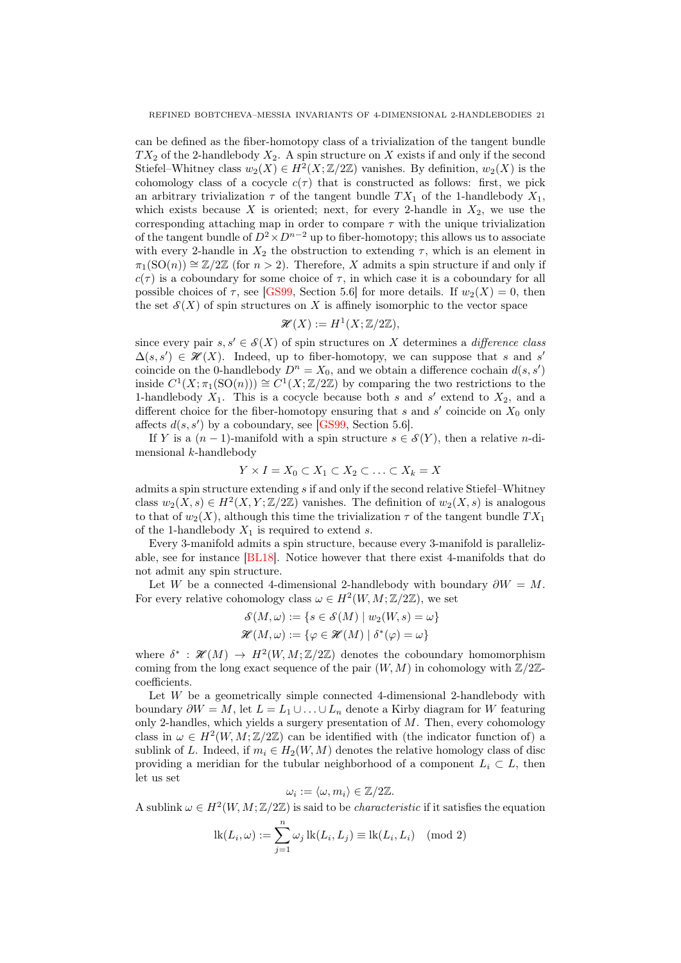can be defined as the fiber-homotopy class of a trivialization of the tangent bundle  $TX_2$  of the 2-handlebody  $X_2$ . A spin structure on X exists if and only if the second Stiefel–Whitney class  $w_2(X) \in H^2(X; \mathbb{Z}/2\mathbb{Z})$  vanishes. By definition,  $w_2(X)$  is the cohomology class of a cocycle  $c(\tau)$  that is constructed as follows: first, we pick an arbitrary trivialization  $\tau$  of the tangent bundle  $TX_1$  of the 1-handlebody  $X_1$ , which exists because X is oriented; next, for every 2-handle in  $X_2$ , we use the corresponding attaching map in order to compare  $\tau$  with the unique trivialization of the tangent bundle of  $D^2 \times D^{n-2}$  up to fiber-homotopy; this allows us to associate with every 2-handle in  $X_2$  the obstruction to extending  $\tau$ , which is an element in  $\pi_1(SO(n)) \cong \mathbb{Z}/2\mathbb{Z}$  (for  $n > 2$ ). Therefore, X admits a spin structure if and only if  $c(\tau)$  is a coboundary for some choice of  $\tau$ , in which case it is a coboundary for all possible choices of  $\tau$ , see [\[GS99,](#page-32-15) Section 5.6] for more details. If  $w_2(X) = 0$ , then the set  $\mathcal{S}(X)$  of spin structures on X is affinely isomorphic to the vector space

$$
\mathcal{H}(X) := H^1(X; \mathbb{Z}/2\mathbb{Z}),
$$

since every pair  $s, s' \in \mathcal{S}(X)$  of spin structures on X determines a *difference class*  $\Delta(s, s') \in \mathcal{H}(X)$ . Indeed, up to fiber-homotopy, we can suppose that s and s' coincide on the 0-handlebody  $D^n = X_0$ , and we obtain a difference cochain  $d(s, s')$ inside  $C^1(X; \pi_1(SO(n))) \cong C^1(X; \mathbb{Z}/2\mathbb{Z})$  by comparing the two restrictions to the 1-handlebody  $X_1$ . This is a cocycle because both s and s' extend to  $X_2$ , and a different choice for the fiber-homotopy ensuring that s and s' coincide on  $X_0$  only affects  $d(s, s')$  by a coboundary, see [\[GS99,](#page-32-15) Section 5.6].

If Y is a  $(n-1)$ -manifold with a spin structure  $s \in \mathcal{S}(Y)$ , then a relative n-dimensional k-handlebody

$$
Y \times I = X_0 \subset X_1 \subset X_2 \subset \ldots \subset X_k = X
$$

admits a spin structure extending  $s$  if and only if the second relative Stiefel–Whitney class  $w_2(X, s) \in H^2(X, Y; \mathbb{Z}/2\mathbb{Z})$  vanishes. The definition of  $w_2(X, s)$  is analogous to that of  $w_2(X)$ , although this time the trivialization  $\tau$  of the tangent bundle  $TX_1$ of the 1-handlebody  $X_1$  is required to extend s.

Every 3-manifold admits a spin structure, because every 3-manifold is parallelizable, see for instance [\[BL18\]](#page-32-16). Notice however that there exist 4-manifolds that do not admit any spin structure.

Let W be a connected 4-dimensional 2-handlebody with boundary  $\partial W = M$ . For every relative cohomology class  $\omega \in H^2(W, M; \mathbb{Z}/2\mathbb{Z})$ , we set

$$
\mathcal{S}(M,\omega) := \{ s \in \mathcal{S}(M) \mid w_2(W,s) = \omega \}
$$

$$
\mathcal{H}(M,\omega) := \{ \varphi \in \mathcal{H}(M) \mid \delta^*(\varphi) = \omega \}
$$

where  $\delta^* : \mathcal{H}(M) \to H^2(W, M; \mathbb{Z}/2\mathbb{Z})$  denotes the coboundary homomorphism coming from the long exact sequence of the pair  $(W, M)$  in cohomology with  $\mathbb{Z}/2\mathbb{Z}$ coefficients.

Let W be a geometrically simple connected 4-dimensional 2-handlebody with boundary  $\partial W = M$ , let  $L = L_1 \cup \ldots \cup L_n$  denote a Kirby diagram for W featuring only 2-handles, which yields a surgery presentation of  $M$ . Then, every cohomology class in  $\omega \in H^2(W, M; \mathbb{Z}/2\mathbb{Z})$  can be identified with (the indicator function of) a sublink of L. Indeed, if  $m_i \in H_2(W, M)$  denotes the relative homology class of disc providing a meridian for the tubular neighborhood of a component  $L_i \subset L$ , then let us set

$$
\omega_i := \langle \omega, m_i \rangle \in \mathbb{Z}/2\mathbb{Z}.
$$

A sublink  $\omega \in H^2(W, M; \mathbb{Z}/2\mathbb{Z})$  is said to be *characteristic* if it satisfies the equation

$$
lk(L_i, \omega) := \sum_{j=1}^n \omega_j lk(L_i, L_j) \equiv lk(L_i, L_i) \pmod{2}
$$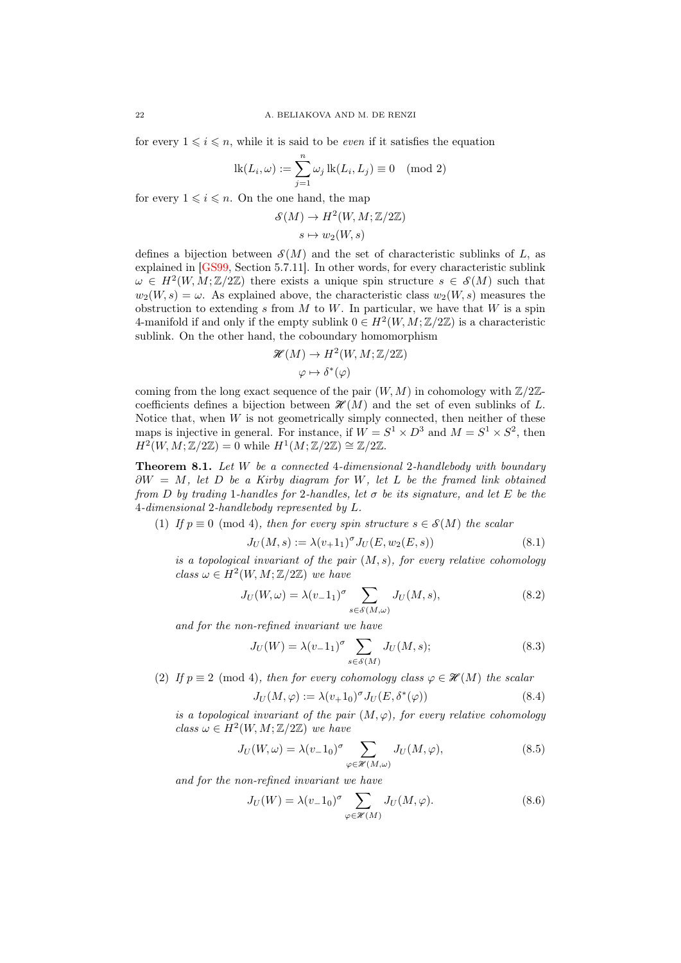for every  $1 \leq i \leq n$ , while it is said to be *even* if it satisfies the equation

$$
lk(L_i, \omega) := \sum_{j=1}^n \omega_j lk(L_i, L_j) \equiv 0 \pmod{2}
$$

for every  $1 \leq i \leq n$ . On the one hand, the map

$$
\mathcal{S}(M) \to H^2(W, M; \mathbb{Z}/2\mathbb{Z})
$$

$$
s \mapsto w_2(W, s)
$$

defines a bijection between  $\mathcal{S}(M)$  and the set of characteristic sublinks of L, as explained in [\[GS99,](#page-32-15) Section 5.7.11]. In other words, for every characteristic sublink  $\omega \in H^2(W, M; \mathbb{Z}/2\mathbb{Z})$  there exists a unique spin structure  $s \in \mathcal{S}(M)$  such that  $w_2(W, s) = \omega$ . As explained above, the characteristic class  $w_2(W, s)$  measures the obstruction to extending s from  $M$  to  $W$ . In particular, we have that  $W$  is a spin 4-manifold if and only if the empty sublink  $0 \in H^2(W, M; \mathbb{Z}/2\mathbb{Z})$  is a characteristic sublink. On the other hand, the coboundary homomorphism

$$
\mathcal{H}(M) \to H^2(W, M; \mathbb{Z}/2\mathbb{Z})
$$

$$
\varphi \mapsto \delta^*(\varphi)
$$

coming from the long exact sequence of the pair  $(W, M)$  in cohomology with  $\mathbb{Z}/2\mathbb{Z}$ coefficients defines a bijection between  $\mathcal{H}(M)$  and the set of even sublinks of L. Notice that, when  $W$  is not geometrically simply connected, then neither of these maps is injective in general. For instance, if  $W = S^1 \times D^3$  and  $M = S^1 \times S^2$ , then  $H^2(W, M; \mathbb{Z}/2\mathbb{Z}) = 0$  while  $H^1(M; \mathbb{Z}/2\mathbb{Z}) \cong \mathbb{Z}/2\mathbb{Z}$ .

<span id="page-21-0"></span>Theorem 8.1. Let W be a connected 4-dimensional 2-handlebody with boundary  $\partial W = M$ , let D be a Kirby diagram for W, let L be the framed link obtained from D by trading 1-handles for 2-handles, let  $\sigma$  be its signature, and let E be the 4-dimensional 2-handlebody represented by L.

(1) If  $p \equiv 0 \pmod{4}$ , then for every spin structure  $s \in \mathcal{S}(M)$  the scalar

$$
J_U(M, s) := \lambda(v_+ 1_1)^\sigma J_U(E, w_2(E, s))
$$
\n(8.1)

is a topological invariant of the pair  $(M, s)$ , for every relative cohomology class  $\omega \in H^2(W, M; \mathbb{Z}/2\mathbb{Z})$  we have

$$
J_U(W,\omega) = \lambda(v_{-1})^{\sigma} \sum_{s \in \mathcal{S}(M,\omega)} J_U(M,s), \qquad (8.2)
$$

and for the non-refined invariant we have

<span id="page-21-2"></span><span id="page-21-1"></span>
$$
J_U(W) = \lambda (v_- 1_1)^\sigma \sum_{s \in \mathcal{S}(M)} J_U(M, s); \tag{8.3}
$$

(2) If  $p \equiv 2 \pmod{4}$ , then for every cohomology class  $\varphi \in \mathcal{H}(M)$  the scalar

$$
J_U(M,\varphi) := \lambda (v_+ 1_0)^\sigma J_U(E, \delta^*(\varphi))
$$
\n(8.4)

is a topological invariant of the pair  $(M, \varphi)$ , for every relative cohomology class  $\omega \in H^2(W, M; \mathbb{Z}/2\mathbb{Z})$  we have

$$
J_U(W,\omega) = \lambda(v_{-}1_0)^{\sigma} \sum_{\varphi \in \mathcal{H}(M,\omega)} J_U(M,\varphi), \qquad (8.5)
$$

and for the non-refined invariant we have

$$
J_U(W) = \lambda (v_- 1_0)^{\sigma} \sum_{\varphi \in \mathcal{H}(M)} J_U(M, \varphi).
$$
 (8.6)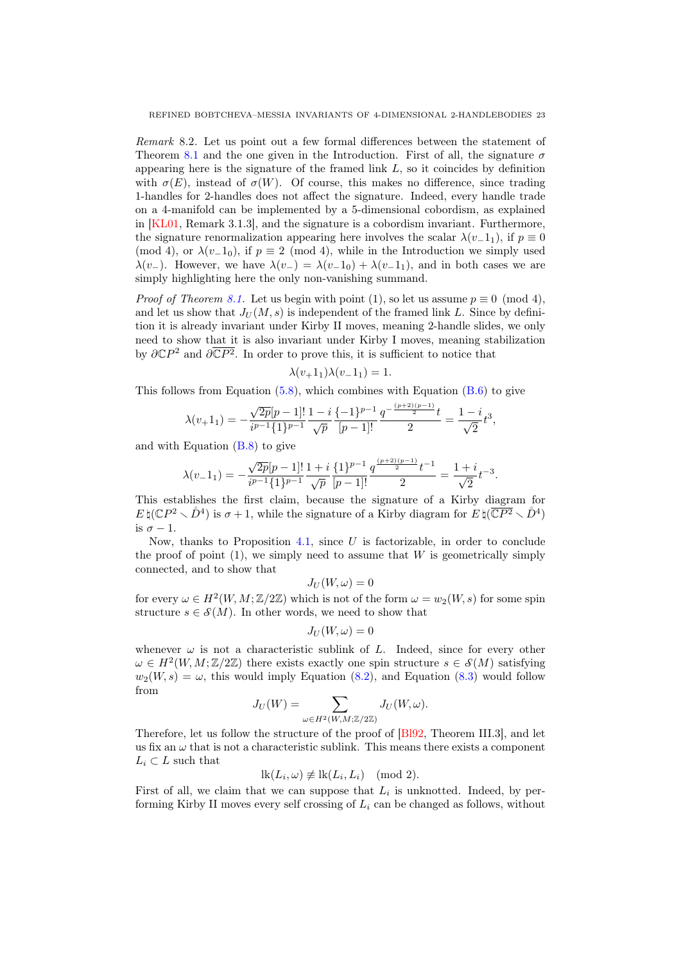<span id="page-22-0"></span>Remark 8.2. Let us point out a few formal differences between the statement of Theorem [8.1](#page-21-0) and the one given in the Introduction. First of all, the signature  $\sigma$ appearing here is the signature of the framed link  $L$ , so it coincides by definition with  $\sigma(E)$ , instead of  $\sigma(W)$ . Of course, this makes no difference, since trading 1-handles for 2-handles does not affect the signature. Indeed, every handle trade on a 4-manifold can be implemented by a 5-dimensional cobordism, as explained in [\[KL01,](#page-32-17) Remark 3.1.3], and the signature is a cobordism invariant. Furthermore, the signature renormalization appearing here involves the scalar  $\lambda(v_1, 1_1)$ , if  $p \equiv 0$ (mod 4), or  $\lambda(v_1, 1_0)$ , if  $p \equiv 2 \pmod{4}$ , while in the Introduction we simply used  $\lambda(v_{-})$ . However, we have  $\lambda(v_{-}) = \lambda(v_{-}1_0) + \lambda(v_{-}1_1)$ , and in both cases we are simply highlighting here the only non-vanishing summand.

*Proof of Theorem [8.1.](#page-21-0)* Let us begin with point (1), so let us assume  $p \equiv 0 \pmod{4}$ , and let us show that  $J_U(M, s)$  is independent of the framed link L. Since by definition it is already invariant under Kirby II moves, meaning 2-handle slides, we only need to show that it is also invariant under Kirby I moves, meaning stabilization by  $\partial \mathbb{C}P^2$  and  $\partial \overline{\mathbb{C}P^2}$ . In order to prove this, it is sufficient to notice that

$$
\lambda(v+1_1)\lambda(v-1_1) = 1.
$$

This follows from Equation  $(5.8)$ , which combines with Equation  $(B.6)$  to give

$$
\lambda(v+1_1) = -\frac{\sqrt{2p}[p-1]!}{i^{p-1}\{1\}^{p-1}} \frac{1-i}{\sqrt{p}} \frac{\{-1\}^{p-1} q^{-\frac{(p+2)(p-1)}{2}t}}{[p-1]!} = \frac{1-i}{\sqrt{2}} t^3,
$$

and with Equation  $(B.8)$  to give

$$
\lambda(v_{-}1_{1}) = -\frac{\sqrt{2p}[p-1]!}{i^{p-1}\{1\}^{p-1}} \frac{1+i}{\sqrt{p}} \frac{\{1\}^{p-1} q^{\frac{(p+2)(p-1)}{2}} t^{-1}}{2} = \frac{1+i}{\sqrt{2}} t^{-3}.
$$

This establishes the first claim, because the signature of a Kirby diagram for  $E \natural (\mathbb{C}P^2 \setminus \mathring{D}^4)$  is  $\sigma + 1$ , while the signature of a Kirby diagram for  $E \natural (\overline{\mathbb{C}P^2} \setminus \mathring{D}^4)$ is  $\sigma - 1$ .

Now, thanks to Proposition [4.1,](#page-9-2) since  $U$  is factorizable, in order to conclude the proof of point  $(1)$ , we simply need to assume that W is geometrically simply connected, and to show that

$$
J_U(W,\omega)=0
$$

for every  $\omega \in H^2(W, M; \mathbb{Z}/2\mathbb{Z})$  which is not of the form  $\omega = w_2(W, s)$  for some spin structure  $s \in \mathcal{S}(M)$ . In other words, we need to show that

$$
J_U(W,\omega)=0
$$

whenever  $\omega$  is not a characteristic sublink of L. Indeed, since for every other  $\omega \in H^2(W, M; \mathbb{Z}/2\mathbb{Z})$  there exists exactly one spin structure  $s \in \mathcal{S}(M)$  satisfying  $w_2(W, s) = \omega$ , this would imply Equation [\(8.2\)](#page-21-1), and Equation [\(8.3\)](#page-21-2) would follow from

$$
J_U(W)=\sum_{\omega\in H^2(W,M;\mathbb{Z}/2\mathbb{Z})}J_U(W,\omega).
$$

Therefore, let us follow the structure of the proof of [\[Bl92,](#page-32-6) Theorem III.3], and let us fix an  $\omega$  that is not a characteristic sublink. This means there exists a component  $L_i \subset L$  such that

$$
lk(L_i, \omega) \not\equiv lk(L_i, L_i) \pmod{2}.
$$

First of all, we claim that we can suppose that  $L_i$  is unknotted. Indeed, by performing Kirby II moves every self crossing of  $L<sub>i</sub>$  can be changed as follows, without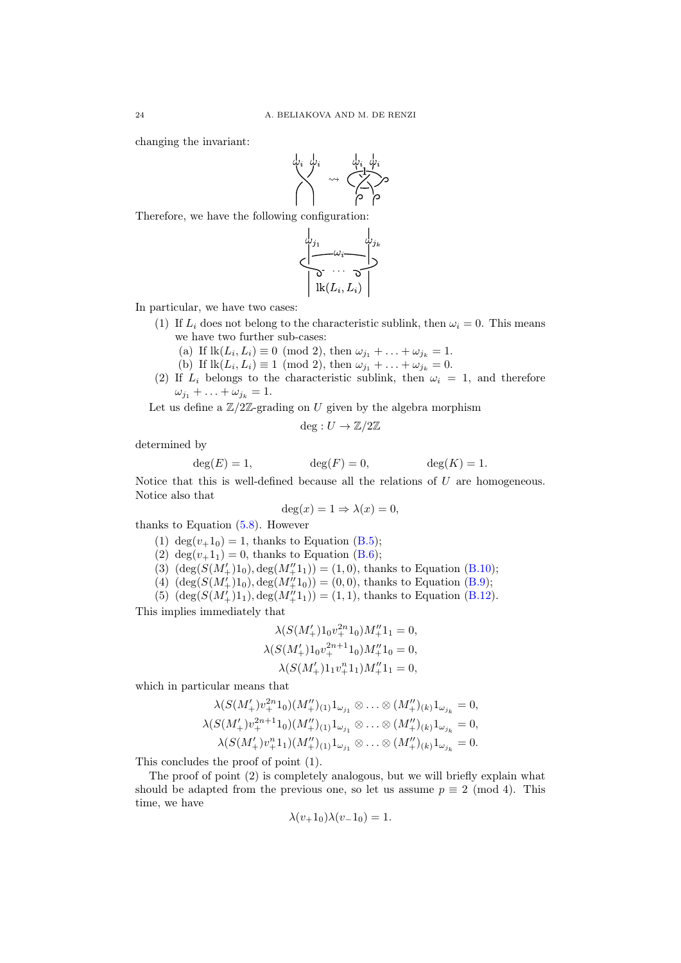changing the invariant:



Therefore, we have the following configuration:



In particular, we have two cases:

- (1) If  $L_i$  does not belong to the characteristic sublink, then  $\omega_i = 0$ . This means we have two further sub-cases:
	- (a) If  $\text{lk}(L_i, L_i) \equiv 0 \pmod{2}$ , then  $\omega_{j_1} + \ldots + \omega_{j_k} = 1$ .
	- (b) If  $\text{lk}(L_i, L_i) \equiv 1 \pmod{2}$ , then  $\omega_{j_1} + \ldots + \omega_{j_k} = 0$ .
- (2) If  $L_i$  belongs to the characteristic sublink, then  $\omega_i = 1$ , and therefore  $\omega_{j_1} + \ldots + \omega_{j_k} = 1.$

Let us define a  $\mathbb{Z}/2\mathbb{Z}$ -grading on U given by the algebra morphism

$$
deg: U \to \mathbb{Z}/2\mathbb{Z}
$$

determined by

$$
\deg(E) = 1, \qquad \deg(F) = 0, \qquad \deg(K) = 1.
$$

Notice that this is well-defined because all the relations of  $U$  are homogeneous. Notice also that

$$
\deg(x) = 1 \Rightarrow \lambda(x) = 0,
$$

thanks to Equation  $(5.8)$ . However

- (1) deg $(v+1<sub>0</sub>) = 1$ , thanks to Equation [\(B.5\)](#page-29-1);
- (2) deg( $v+1_1$ ) = 0, thanks to Equation [\(B.6\)](#page-29-2);
- (3)  $(\deg(S(M'_+)1_0), \deg(M''_+1_1)) = (1, 0)$ , thanks to Equation [\(B.10\)](#page-30-1);
- (4)  $(\deg(S(M'_+)1_0), \deg(M''_+1_0)) = (0,0)$ , thanks to Equation [\(B.9\)](#page-30-0);
- (5)  $(\deg(S(M'_+)1_1), \deg(M''_+1_1)) = (1, 1)$ , thanks to Equation [\(B.12\)](#page-30-2).

This implies immediately that

$$
\lambda(S(M'_+)1_0v_+^{2n}1_0)M''_+1_1 = 0,
$$
  
\n
$$
\lambda(S(M'_+)1_0v_+^{2n+1}1_0)M''_+1_0 = 0,
$$
  
\n
$$
\lambda(S(M'_+)1_1v_+^{n}1_1)M''_+1_1 = 0,
$$

which in particular means that

$$
\lambda(S(M'_+)v_+^{2n}1_0)(M''_+)_{(1)}1_{\omega_{j_1}} \otimes \ldots \otimes (M''_+)_{(k)}1_{\omega_{j_k}} = 0,
$$
  

$$
\lambda(S(M'_+)v_+^{2n+1}1_0)(M''_+)_{(1)}1_{\omega_{j_1}} \otimes \ldots \otimes (M''_+)_{(k)}1_{\omega_{j_k}} = 0,
$$
  

$$
\lambda(S(M'_+)v_+^{n}1_1)(M''_+)_{(1)}1_{\omega_{j_1}} \otimes \ldots \otimes (M''_+)_{(k)}1_{\omega_{j_k}} = 0.
$$

This concludes the proof of point (1).

The proof of point (2) is completely analogous, but we will briefly explain what should be adapted from the previous one, so let us assume  $p \equiv 2 \pmod{4}$ . This time, we have

$$
\lambda(v_+1_0)\lambda(v_-1_0) = 1.
$$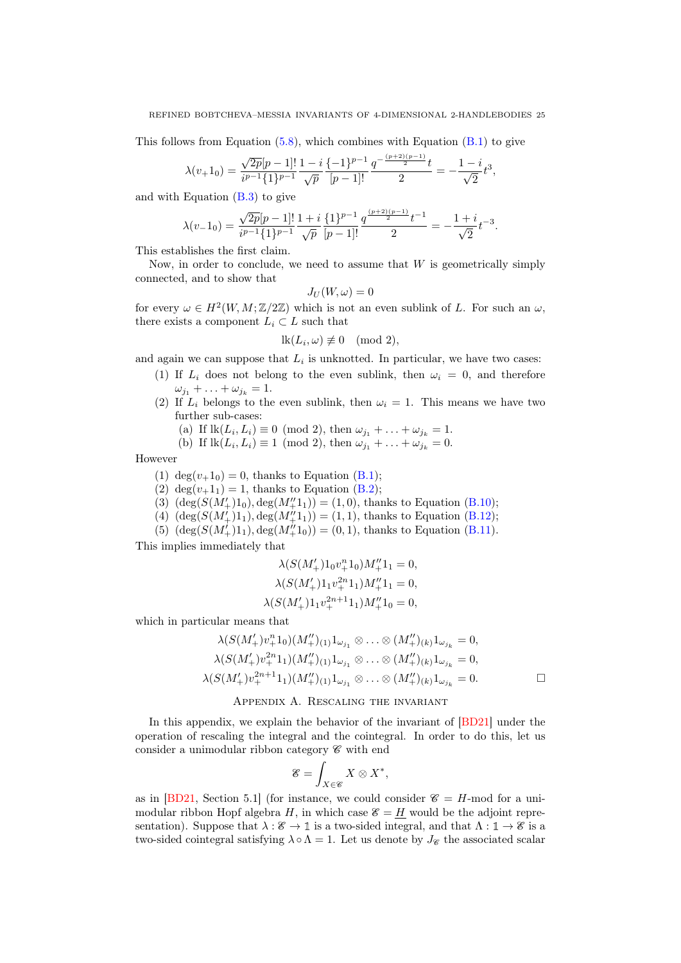This follows from Equation  $(5.8)$ , which combines with Equation  $(B.1)$  to give

$$
\lambda(v+1_0) = \frac{\sqrt{2p}[p-1]!}{i^{p-1}\{1\}^{p-1}} \frac{1-i}{\sqrt{p}} \frac{\{-1\}^{p-1}}{[p-1]!} \frac{q^{-\frac{(p+2)(p-1)}{2}}t}{2} = -\frac{1-i}{\sqrt{2}}t^3,
$$

and with Equation  $(B.3)$  to give

$$
\lambda(v_{-}1_{0}) = \frac{\sqrt{2p}[p-1]!}{i^{p-1}\{1\}^{p-1}} \frac{1+i}{\sqrt{p}} \frac{\{1\}^{p-1}}{[p-1]!} \frac{q^{\frac{(p+2)(p-1)}{2}}t^{-1}}{2} = -\frac{1+i}{\sqrt{2}}t^{-3}.
$$

This establishes the first claim.

Now, in order to conclude, we need to assume that  $W$  is geometrically simply connected, and to show that

$$
J_U(W,\omega)=0
$$

for every  $\omega \in H^2(W, M; \mathbb{Z}/2\mathbb{Z})$  which is not an even sublink of L. For such an  $\omega$ , there exists a component  $L_i \subset L$  such that

$$
lk(L_i, \omega) \not\equiv 0 \pmod{2},
$$

and again we can suppose that  $L_i$  is unknotted. In particular, we have two cases:

- (1) If  $L_i$  does not belong to the even sublink, then  $\omega_i = 0$ , and therefore  $\omega_{j_1} + \ldots + \omega_{j_k} = 1.$ 
	- (2) If  $L_i$  belongs to the even sublink, then  $\omega_i = 1$ . This means we have two further sub-cases:
		- (a) If  $\text{lk}(L_i, L_i) \equiv 0 \pmod{2}$ , then  $\omega_{j_1} + \ldots + \omega_{j_k} = 1$ .

(b) If 
$$
\text{lk}(L_i, L_i) \equiv 1 \pmod{2}
$$
, then  $\omega_{j_1} + \ldots + \omega_{j_k} = 0$ .

However

- (1) deg $(v+1<sub>0</sub>) = 0$ , thanks to Equation [\(B.1\)](#page-29-0);
- (2) deg $(v+1<sub>1</sub>) = 1$ , thanks to Equation [\(B.2\)](#page-29-5);
- (3)  $(\deg(S(M'_+)1_0), \deg(M''_+1_1)) = (1, 0)$ , thanks to Equation [\(B.10\)](#page-30-1);
- (4)  $(\deg(S(M'_+)1_1), \deg(M''_+1_1)) = (1, 1)$ , thanks to Equation [\(B.12\)](#page-30-2);
- (5)  $(\deg(S(M'_+)1_1), \deg(M''_+1_0)) = (0, 1)$ , thanks to Equation [\(B.11\)](#page-30-3).

This implies immediately that

$$
\begin{aligned} \lambda(S(M'_+)1_0v_+^n1_0)M''_+1_1&=0,\\ \lambda(S(M'_+)1_1v_+^{2n}1_1)M''_+1_1&=0,\\ \lambda(S(M'_+)1_1v_+^{2n+1}1_1)M''_+1_0&=0, \end{aligned}
$$

which in particular means that

$$
\lambda(S(M'_+)v_+^n 1_0)(M''_+)_{(1)}1_{\omega_{j_1}} \otimes \ldots \otimes (M''_+)_{(k)}1_{\omega_{j_k}} = 0,
$$
  

$$
\lambda(S(M'_+v_+^{2n}1_1)(M''_+)_{(1)}1_{\omega_{j_1}} \otimes \ldots \otimes (M''_+)_{(k)}1_{\omega_{j_k}} = 0,
$$
  

$$
\lambda(S(M'_+v_+^{2n+1}1_1)(M''_+)_{(1)}1_{\omega_{j_1}} \otimes \ldots \otimes (M''_+)_{(k)}1_{\omega_{j_k}} = 0.
$$

# Appendix A. Rescaling the invariant

<span id="page-24-0"></span>In this appendix, we explain the behavior of the invariant of [\[BD21\]](#page-32-0) under the operation of rescaling the integral and the cointegral. In order to do this, let us consider a unimodular ribbon category  $\mathscr C$  with end

$$
\mathscr{E} = \int_{X \in \mathscr{C}} X \otimes X^*,
$$

as in [\[BD21,](#page-32-0) Section 5.1] (for instance, we could consider  $\mathcal{C} = H$ -mod for a unimodular ribbon Hopf algebra H, in which case  $\mathcal{E} = \underline{H}$  would be the adjoint representation). Suppose that  $\lambda : \mathscr{E} \to \mathbb{I}$  is a two-sided integral, and that  $\Lambda : \mathbb{I} \to \mathscr{E}$  is a two-sided cointegral satisfying  $\lambda \circ \Lambda = 1$ . Let us denote by  $J_{\mathscr{C}}$  the associated scalar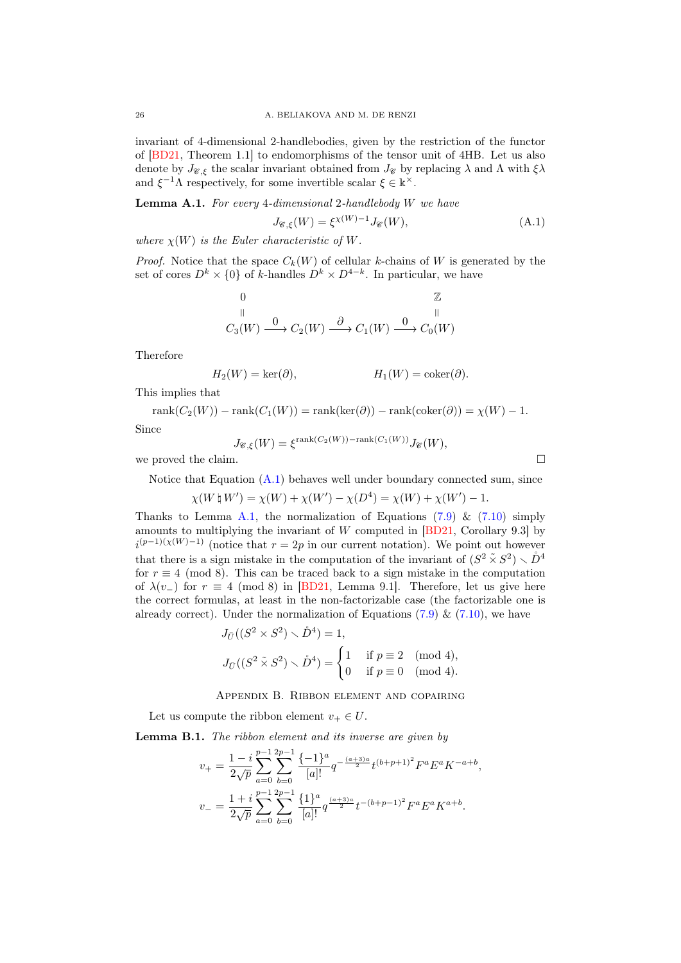invariant of 4-dimensional 2-handlebodies, given by the restriction of the functor of [\[BD21,](#page-32-0) Theorem 1.1] to endomorphisms of the tensor unit of 4HB. Let us also denote by  $J_{\mathscr{C},\xi}$  the scalar invariant obtained from  $J_{\mathscr{C}}$  by replacing  $\lambda$  and  $\Lambda$  with  $\xi\lambda$ and  $\xi^{-1}\Lambda$  respectively, for some invertible scalar  $\xi \in \mathbb{k}^{\times}$ .

<span id="page-25-2"></span>Lemma A.1. For every 4-dimensional 2-handlebody W we have

<span id="page-25-1"></span>
$$
J_{\mathcal{C},\xi}(W) = \xi^{\chi(W)-1} J_{\mathcal{C}}(W),\tag{A.1}
$$

where  $\chi(W)$  is the Euler characteristic of W.

*Proof.* Notice that the space  $C_k(W)$  of cellular k-chains of W is generated by the set of cores  $D^k \times \{0\}$  of k-handles  $D^k \times D^{4-k}$ . In particular, we have

$$
\begin{array}{ccc}\n0 & & \mathbb{Z} \\
\parallel & & \parallel \\
C_3(W) & \xrightarrow{\mathbf{0}} C_2(W) & \xrightarrow{\partial} C_1(W) & \xrightarrow{\mathbf{0}} C_0(W)\n\end{array}
$$

Therefore

$$
H_2(W) = \ker(\partial), \qquad H_1(W) = \text{coker}(\partial).
$$

This implies that

 $rank(C_2(W)) - rank(C_1(W)) = rank(ker(\partial)) - rank(coker(\partial)) = \chi(W) - 1.$ 

Since

$$
J_{\mathscr{C},\xi}(W) = \xi^{\text{rank}(C_2(W)) - \text{rank}(C_1(W))} J_{\mathscr{C}}(W),
$$

we proved the claim.  $\Box$ 

Notice that Equation  $(A.1)$  behaves well under boundary connected sum, since

$$
\chi(W \, \natural \, W') = \chi(W) + \chi(W') - \chi(D^4) = \chi(W) + \chi(W') - 1.
$$

Thanks to Lemma [A.1,](#page-25-2) the normalization of Equations [\(7.9\)](#page-17-2) & [\(7.10\)](#page-18-1) simply amounts to multiplying the invariant of W computed in [\[BD21,](#page-32-0) Corollary 9.3] by  $i^{(p-1)(\chi(W)-1)}$  (notice that  $r=2p$  in our current notation). We point out however that there is a sign mistake in the computation of the invariant of  $(S^2 \tilde{\times} S^2) \times D^4$ for  $r \equiv 4 \pmod{8}$ . This can be traced back to a sign mistake in the computation of  $\lambda(v_{-})$  for  $r \equiv 4 \pmod{8}$  in [\[BD21,](#page-32-0) Lemma 9.1]. Therefore, let us give here the correct formulas, at least in the non-factorizable case (the factorizable one is already correct). Under the normalization of Equations  $(7.9) \& (7.10)$  $(7.9) \& (7.10)$  $(7.9) \& (7.10)$ , we have

$$
J_{\tilde{U}}((S^2 \times S^2) \times \mathring{D}^4) = 1,
$$
  

$$
J_{\tilde{U}}((S^2 \tilde{\times} S^2) \times \mathring{D}^4) = \begin{cases} 1 & \text{if } p \equiv 2 \pmod{4}, \\ 0 & \text{if } p \equiv 0 \pmod{4}. \end{cases}
$$

Appendix B. Ribbon element and copairing

Let us compute the ribbon element  $v_+ \in U$ .

<span id="page-25-0"></span>Lemma B.1. The ribbon element and its inverse are given by

$$
v_{+} = \frac{1-i}{2\sqrt{p}} \sum_{a=0}^{p-1} \sum_{b=0}^{2p-1} \frac{\{-1\}^{a}}{[a]!} q^{-\frac{(a+3)a}{2}} t^{(b+p+1)^{2}} F^{a} E^{a} K^{-a+b},
$$
  

$$
v_{-} = \frac{1+i}{2\sqrt{p}} \sum_{a=0}^{p-1} \sum_{b=0}^{2p-1} \frac{\{1\}^{a}}{[a]!} q^{\frac{(a+3)a}{2}} t^{-(b+p-1)^{2}} F^{a} E^{a} K^{a+b}.
$$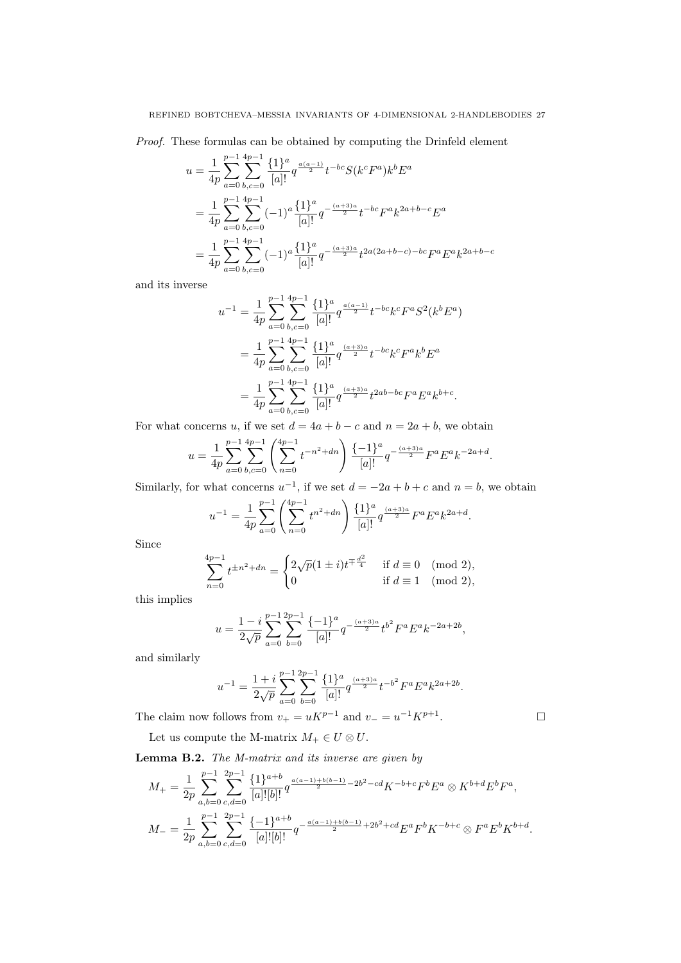Proof. These formulas can be obtained by computing the Drinfeld element

$$
u = \frac{1}{4p} \sum_{a=0}^{p-1} \sum_{b,c=0}^{4p-1} \frac{\{1\}^a}{[a]!} q^{\frac{a(a-1)}{2}} t^{-bc} S(k^c F^a) k^b E^a
$$
  
= 
$$
\frac{1}{4p} \sum_{a=0}^{p-1} \sum_{b,c=0}^{4p-1} (-1)^a \frac{\{1\}^a}{[a]!} q^{-\frac{(a+3)a}{2}} t^{-bc} F^a k^{2a+b-c} E^a
$$
  
= 
$$
\frac{1}{4p} \sum_{a=0}^{p-1} \sum_{b,c=0}^{4p-1} (-1)^a \frac{\{1\}^a}{[a]!} q^{-\frac{(a+3)a}{2}} t^{2a(2a+b-c)-bc} F^a E^a k^{2a+b-c}
$$

and its inverse

$$
u^{-1} = \frac{1}{4p} \sum_{a=0}^{p-1} \sum_{b,c=0}^{4p-1} \frac{\{1\}^a}{[a]!} q^{\frac{a(a-1)}{2}} t^{-bc} k^c F^a S^2(k^b E^a)
$$
  

$$
= \frac{1}{4p} \sum_{a=0}^{p-1} \sum_{b,c=0}^{4p-1} \frac{\{1\}^a}{[a]!} q^{\frac{(a+3)a}{2}} t^{-bc} k^c F^a k^b E^a
$$
  

$$
= \frac{1}{4p} \sum_{a=0}^{p-1} \sum_{b,c=0}^{4p-1} \frac{\{1\}^a}{[a]!} q^{\frac{(a+3)a}{2}} t^{2ab - bc} F^a E^a k^{b+c}.
$$

For what concerns u, if we set  $d = 4a + b - c$  and  $n = 2a + b$ , we obtain

$$
u = \frac{1}{4p} \sum_{a=0}^{p-1} \sum_{b,c=0}^{4p-1} \left( \sum_{n=0}^{4p-1} t^{-n^2+dn} \right) \frac{\{-1\}^a}{[a]!} q^{-\frac{(a+3)a}{2}} F^a E^a k^{-2a+d}.
$$

Similarly, for what concerns  $u^{-1}$ , if we set  $d = -2a + b + c$  and  $n = b$ , we obtain

$$
u^{-1} = \frac{1}{4p} \sum_{a=0}^{p-1} \left( \sum_{n=0}^{4p-1} t^{n^2+dn} \right) \frac{\{1\}^a}{[a]!} q^{\frac{(a+3)a}{2}} F^a E^a k^{2a+d}.
$$

Since

$$
\sum_{n=0}^{4p-1} t^{\pm n^2 + dn} = \begin{cases} 2\sqrt{p}(1 \pm i)t^{\mp \frac{d^2}{4}} & \text{if } d \equiv 0 \pmod{2}, \\ 0 & \text{if } d \equiv 1 \pmod{2}, \end{cases}
$$

this implies

$$
u = \frac{1 - i}{2\sqrt{p}} \sum_{a=0}^{p-1} \sum_{b=0}^{2p-1} \frac{\{-1\}^a}{[a]!} q^{-\frac{(a+3)a}{2}} t^{b^2} F^a E^a k^{-2a+2b},
$$

and similarly

$$
u^{-1} = \frac{1+i}{2\sqrt{p}} \sum_{a=0}^{p-1} \sum_{b=0}^{2p-1} \frac{\{1\}^a}{[a]!} q^{\frac{(a+3)a}{2}} t^{-b^2} F^a E^a k^{2a+2b}.
$$

The claim now follows from  $v_+ = uK^{p-1}$  and  $v_- = u^{-1}K^{p+1}$ .

Let us compute the M-matrix  $M_+ \in U \otimes U$ .

<span id="page-26-0"></span>Lemma B.2. The M-matrix and its inverse are given by

$$
M_{+} = \frac{1}{2p} \sum_{a,b=0}^{p-1} \sum_{c,d=0}^{2p-1} \frac{\{1\}^{a+b}}{[a]![b]!} q^{\frac{a(a-1)+b(b-1)}{2} - 2b^{2} - cd} K^{-b+c} F^{b} E^{a} \otimes K^{b+d} E^{b} F^{a},
$$
  

$$
M_{-} = \frac{1}{2p} \sum_{a,b=0}^{p-1} \sum_{c,d=0}^{2p-1} \frac{\{-1\}^{a+b}}{[a]![b]!} q^{-\frac{a(a-1)+b(b-1)}{2} + 2b^{2} + cd} E^{a} F^{b} K^{-b+c} \otimes F^{a} E^{b} K^{b+d}.
$$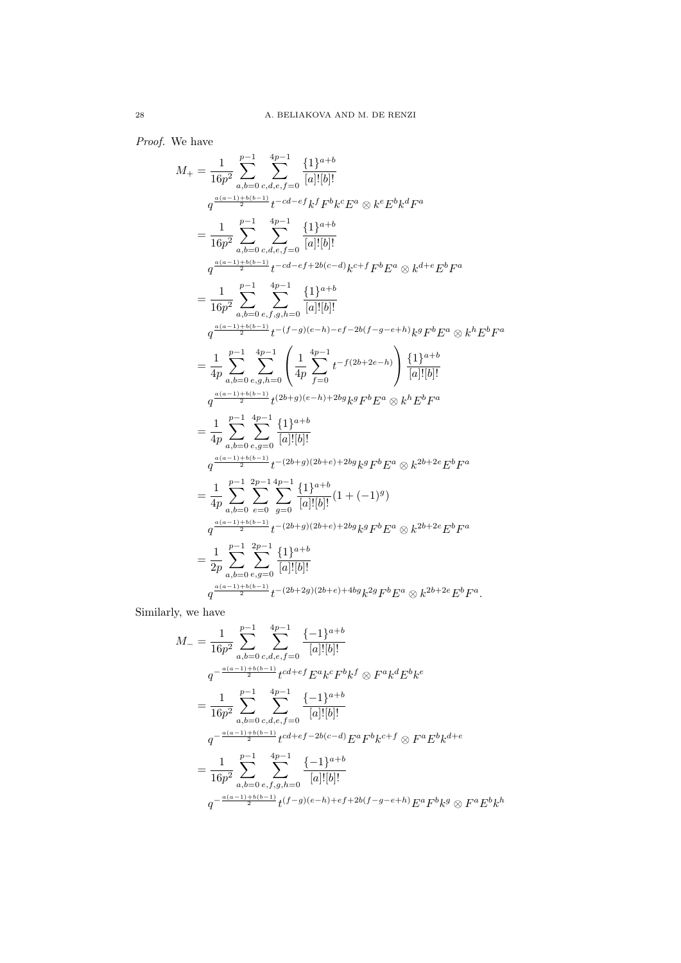Proof. We have

$$
M_{+} = \frac{1}{16p^{2}} \sum_{a,b=0}^{p-1} \sum_{c,d,e,f=0}^{4p-1} \frac{\{1\}^{a+b}}{[a]![b]!}
$$
  
\n
$$
q^{\frac{a(a-1)+b(b-1)}{2}} t^{-cd-ef} k^{f} F^{b} k^{c} E^{a} \otimes k^{e} E^{b} k^{d} F^{a}
$$
  
\n
$$
= \frac{1}{16p^{2}} \sum_{a,b=0}^{p-1} \sum_{c,d,e,f=0}^{4p-1} \frac{\{1\}^{a+b}}{[a]![b]!}
$$
  
\n
$$
q^{\frac{a(a-1)+b(b-1)}{2}} t^{-cd-ef+2b(c-d)} k^{c+f} F^{b} E^{a} \otimes k^{d+e} E^{b} F^{a}
$$
  
\n
$$
= \frac{1}{16p^{2}} \sum_{a,b=0}^{p-1} \sum_{e,f,g,h=0}^{4p-1} \frac{\{1\}^{a+b}}{[a]![b]!}
$$
  
\n
$$
q^{\frac{a(a-1)+b(b-1)}{2}} t^{-(f-g)(e-h)-ef-2b(f-g-e+h)} k^{g} F^{b} E^{a} \otimes k^{h} E^{b} F^{a}
$$
  
\n
$$
= \frac{1}{4p} \sum_{a,b=0}^{p-1} \sum_{e,g,h=0}^{4p-1} \left( \frac{1}{4p} \sum_{f=0}^{4p-1} t^{-f(2b+2e-h)} \right) \frac{\{1\}^{a+b}}{[a][b]!}
$$
  
\n
$$
q^{\frac{a(a-1)+b(b-1)}{2}} t^{(2b+g)(e-h)+2b} g_{k}^{g} F^{b} E^{a} \otimes k^{h} E^{b} F^{a}
$$
  
\n
$$
= \frac{1}{4p} \sum_{a,b=0}^{p-1} \sum_{e,g=0}^{4p-1} \frac{\{1\}^{a+b}}{[a][b]!}
$$
  
\n
$$
q^{\frac{a(a-1)+b(b-1)}{2}} t^{-(2b+g)(2b+e)+2bg} k^{g} F^{b} E^{a} \otimes k^{2b+2e} E^{b} F^{a}
$$
  
\n
$$
= \frac{1
$$

Similarly

$$
M_{-} = \frac{1}{16p^{2}} \sum_{a,b=0}^{p-1} \sum_{c,d,e,f=0}^{4p-1} \frac{\{-1\}^{a+b}}{[a]![b]!}
$$
  
\n
$$
q^{-\frac{a(a-1)+b(b-1)}{2}} t^{cd+ef} E^{a} k^{c} F^{b} k^{f} \otimes F^{a} k^{d} E^{b} k^{e}
$$
  
\n
$$
= \frac{1}{16p^{2}} \sum_{a,b=0}^{p-1} \sum_{c,d,e,f=0}^{4p-1} \frac{\{-1\}^{a+b}}{[a]![b]!}
$$
  
\n
$$
q^{-\frac{a(a-1)+b(b-1)}{2}} t^{cd+ef-2b(c-d)} E^{a} F^{b} k^{c+f} \otimes F^{a} E^{b} k^{d+e}
$$
  
\n
$$
= \frac{1}{16p^{2}} \sum_{a,b=0}^{p-1} \sum_{e,f,g,h=0}^{4p-1} \frac{\{-1\}^{a+b}}{[a]![b]!}
$$
  
\n
$$
q^{-\frac{a(a-1)+b(b-1)}{2}} t^{(f-g)(e-h)+ef+2b(f-g-e+h)} E^{a} F^{b} k^{g} \otimes F^{a} E^{b} k^{h}
$$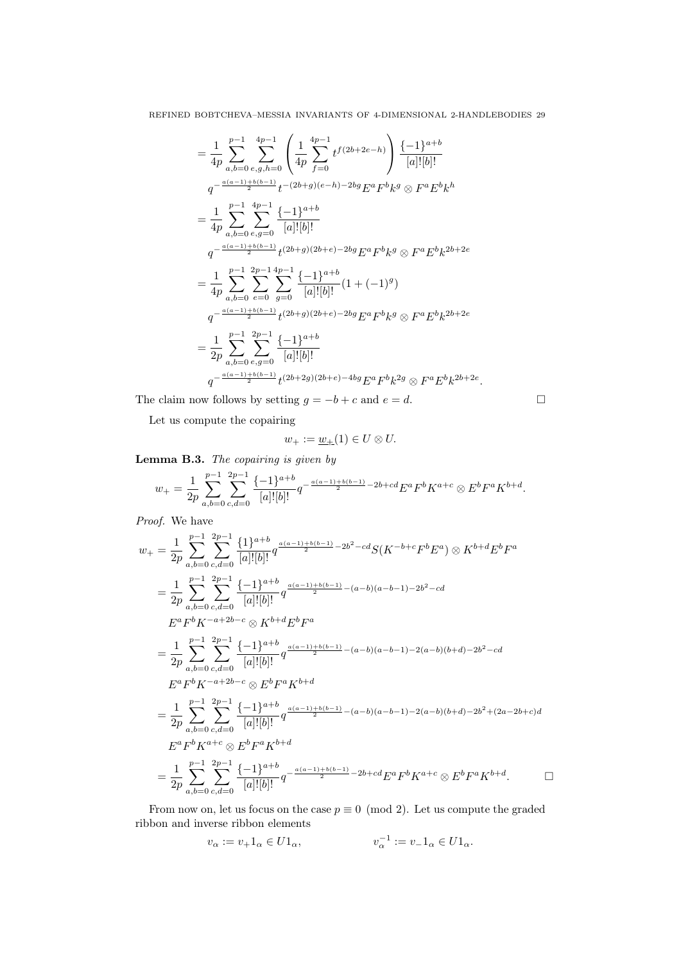$$
= \frac{1}{4p} \sum_{a,b=0}^{p-1} \sum_{e,g,h=0}^{4p-1} \left( \frac{1}{4p} \sum_{f=0}^{4p-1} t^{f(2b+2e-h)} \right) \frac{\{-1\}^{a+b}}{[a]![b]!}
$$
  
\n
$$
q^{-\frac{a(a-1)+b(b-1)}{4p}} t^{-(2b+g)(e-h)-2bg} E^a F^b k^g \otimes F^a E^b k^h
$$
  
\n
$$
= \frac{1}{4p} \sum_{a,b=0}^{p-1} \sum_{e,g=0}^{4p-1} \frac{\{-1\}^{a+b}}{[a]![b]!}
$$
  
\n
$$
q^{-\frac{a(a-1)+b(b-1)}{2}} t^{(2b+g)(2b+e)-2bg} E^a F^b k^g \otimes F^a E^b k^{2b+2e}
$$
  
\n
$$
= \frac{1}{4p} \sum_{a,b=0}^{p-1} \sum_{e=0}^{2p-1} \sum_{g=0}^{4p-1} \frac{\{-1\}^{a+b}}{[a]![b]!} (1 + (-1)^g)
$$
  
\n
$$
q^{-\frac{a(a-1)+b(b-1)}{2}} t^{(2b+g)(2b+e)-2bg} E^a F^b k^g \otimes F^a E^b k^{2b+2e}
$$
  
\n
$$
= \frac{1}{2p} \sum_{a,b=0}^{p-1} \sum_{e,g=0}^{2p-1} \frac{\{-1\}^{a+b}}{[a]![b]!}
$$
  
\n
$$
q^{-\frac{a(a-1)+b(b-1)}{2}} t^{(2b+2g)(2b+e)-4bg} E^a F^b k^{2g} \otimes F^a E^b k^{2b+2e}.
$$

The claim now follows by setting  $g = -b + c$  and  $e = d$ .

Let us compute the copairing

$$
w_+:=\underline{w}_+(1)\in U\otimes U.
$$

Lemma B.3. The copairing is given by

$$
w_{+} = \frac{1}{2p} \sum_{a,b=0}^{p-1} \sum_{c,d=0}^{2p-1} \frac{\{-1\}^{a+b}}{[a]![b]!} q^{-\frac{a(a-1)+b(b-1)}{2} - 2b + cd} E^{a} F^{b} K^{a+c} \otimes E^{b} F^{a} K^{b+d}.
$$

Proof. We have

$$
w_{+} = \frac{1}{2p} \sum_{a,b=0}^{p-1} \sum_{c,d=0}^{2p-1} \frac{\{1\}^{a+b}}{[a]![b]!} q^{\frac{a(a-1)+b(b-1)}{2} - 2b^{2} - cd} S(K^{-b+c}F^{b}E^{a}) \otimes K^{b+d}E^{b}F^{a}
$$
  
\n
$$
= \frac{1}{2p} \sum_{a,b=0}^{p-1} \sum_{c,d=0}^{2p-1} \frac{\{-1\}^{a+b}}{[a]![b]!} q^{\frac{a(a-1)+b(b-1)}{2} - (a-b)(a-b-1) - 2b^{2} - cd}
$$
  
\n
$$
E^{a}F^{b}K^{-a+2b-c} \otimes K^{b+d}E^{b}F^{a}
$$
  
\n
$$
= \frac{1}{2p} \sum_{a,b=0}^{p-1} \sum_{c,d=0}^{2p-1} \frac{\{-1\}^{a+b}}{[a]![b]!} q^{\frac{a(a-1)+b(b-1)}{2} - (a-b)(a-b-1) - 2(a-b)(b+d) - 2b^{2} - cd}
$$
  
\n
$$
E^{a}F^{b}K^{-a+2b-c} \otimes E^{b}F^{a}K^{b+d}
$$
  
\n
$$
= \frac{1}{2p} \sum_{a,b=0}^{p-1} \sum_{c,d=0}^{2p-1} \frac{\{-1\}^{a+b}}{[a]![b]!} q^{\frac{a(a-1)+b(b-1)}{2} - (a-b)(a-b-1) - 2(a-b)(b+d) - 2b^{2} + (2a-2b+c)d}
$$
  
\n
$$
E^{a}F^{b}K^{a+c} \otimes E^{b}F^{a}K^{b+d}
$$
  
\n
$$
= \frac{1}{2p} \sum_{a,b=0}^{p-1} \sum_{c,d=0}^{2p-1} \frac{\{-1\}^{a+b}}{[a]![b]!} q^{-\frac{a(a-1)+b(b-1)}{2} - 2b+c d} E^{a}F^{b}K^{a+c} \otimes E^{b}F^{a}K^{b+d}.
$$

From now on, let us focus on the case  $p \equiv 0 \pmod{2}$ . Let us compute the graded ribbon and inverse ribbon elements

$$
v_{\alpha} := v_{+} 1_{\alpha} \in U 1_{\alpha}, \qquad v_{\alpha}^{-1} := v_{-} 1_{\alpha} \in U 1_{\alpha}.
$$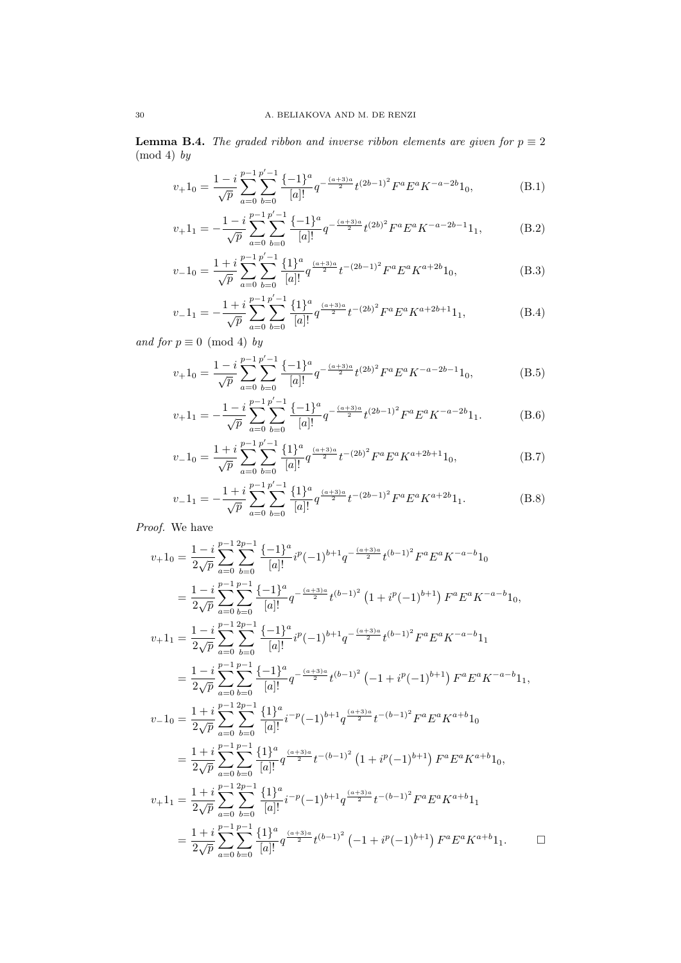**Lemma B.4.** The graded ribbon and inverse ribbon elements are given for  $p \equiv 2$  $(mod 4)$  by

<span id="page-29-0"></span>
$$
v_+ 1_0 = \frac{1 - i}{\sqrt{p}} \sum_{a=0}^{p-1} \sum_{b=0}^{p'-1} \frac{\{-1\}^a}{[a]!} q^{-\frac{(a+3)a}{2}} t^{(2b-1)^2} F^a E^a K^{-a-2b} 1_0,
$$
 (B.1)

<span id="page-29-5"></span><span id="page-29-4"></span>
$$
v_{+}1_{1} = -\frac{1-i}{\sqrt{p}} \sum_{a=0}^{p-1} \sum_{b=0}^{p'-1} \frac{\{-1\}^{a}}{[a]!} q^{-\frac{(a+3)a}{2}} t^{(2b)^{2}} F^{a} E^{a} K^{-a-2b-1} 1_{1},
$$
 (B.2)

$$
v_{-}1_{0} = \frac{1+i}{\sqrt{p}} \sum_{a=0}^{p-1} \sum_{b=0}^{p'-1} \frac{\{1\}^{a}}{[a]!} q^{\frac{(a+3)a}{2}} t^{-(2b-1)^{2}} F^{a} E^{a} K^{a+2b} 1_{0},
$$
 (B.3)

$$
v_{-}1_{1} = -\frac{1+i}{\sqrt{p}} \sum_{a=0}^{p-1} \sum_{b=0}^{p'-1} \frac{\{1\}^{a}}{[a]!} q^{\frac{(a+3)a}{2}} t^{-(2b)^{2}} F^{a} E^{a} K^{a+2b+1} 1_{1},
$$
 (B.4)

and for  $p \equiv 0 \pmod{4}$  by

<span id="page-29-1"></span>
$$
v_{+}1_{0} = \frac{1-i}{\sqrt{p}} \sum_{a=0}^{p-1} \sum_{b=0}^{p'-1} \frac{\{-1\}^{a}}{[a]!} q^{-\frac{(a+3)a}{2}} t^{(2b)^{2}} F^{a} E^{a} K^{-a-2b-1} 1_{0},
$$
 (B.5)

<span id="page-29-2"></span>
$$
v_+ 1_1 = -\frac{1 - i}{\sqrt{p}} \sum_{a=0}^{p-1} \sum_{b=0}^{p'-1} \frac{\{-1\}^a}{[a]!} q^{-\frac{(a+3)a}{2}} t^{(2b-1)^2} F^a E^a K^{-a-2b} 1_1.
$$
 (B.6)

$$
v_{-}1_{0} = \frac{1+i}{\sqrt{p}} \sum_{a=0}^{p-1} \sum_{b=0}^{p'-1} \frac{\{1\}^{a}}{[a]!} q^{\frac{(a+3)a}{2}} t^{-(2b)^{2}} F^{a} E^{a} K^{a+2b+1} 1_{0}, \tag{B.7}
$$

<span id="page-29-3"></span>
$$
v_{-}1_{1} = -\frac{1+i}{\sqrt{p}} \sum_{a=0}^{p-1} \sum_{b=0}^{p'-1} \frac{\{1\}^{a}}{[a]!} q^{\frac{(a+3)a}{2}} t^{-(2b-1)^{2}} F^{a} E^{a} K^{a+2b} 1_{1}.
$$
 (B.8)

Proof. We have

$$
v_{+}1_{0} = \frac{1-i}{2\sqrt{p}} \sum_{a=0}^{p-1} \sum_{b=0}^{2p-1} \frac{\{-1\}^{a}}{[a]!} i^{p}(-1)^{b+1} q^{-\frac{(a+3)a}{2}} t^{(b-1)^{2}} F^{a} E^{a} K^{-a-b} 1_{0}
$$
  
\n
$$
= \frac{1-i}{2\sqrt{p}} \sum_{a=0}^{p-1} \sum_{b=0}^{2p-1} \frac{\{-1\}^{a}}{[a]!} q^{-\frac{(a+3)a}{2}} t^{(b-1)^{2}} (1 + i^{p}(-1)^{b+1}) F^{a} E^{a} K^{-a-b} 1_{0},
$$
  
\n
$$
v_{+}1_{1} = \frac{1-i}{2\sqrt{p}} \sum_{a=0}^{2p-1} \sum_{b=0}^{2p-1} \frac{\{-1\}^{a}}{[a]!} i^{p}(-1)^{b+1} q^{-\frac{(a+3)a}{2}} t^{(b-1)^{2}} F^{a} E^{a} K^{-a-b} 1_{1}
$$
  
\n
$$
= \frac{1-i}{2\sqrt{p}} \sum_{a=0}^{2p-1} \sum_{b=0}^{2p-1} \frac{\{-1\}^{a}}{[a]!} q^{-\frac{(a+3)a}{2}} t^{(b-1)^{2}} (-1 + i^{p}(-1)^{b+1}) F^{a} E^{a} K^{-a-b} 1_{1},
$$
  
\n
$$
v_{-}1_{0} = \frac{1+i}{2\sqrt{p}} \sum_{a=0}^{2p-1} \sum_{b=0}^{2p-1} \frac{\{1\}^{a}}{[a]!} i^{-p}(-1)^{b+1} q^{\frac{(a+3)a}{2}} t^{-(b-1)^{2}} F^{a} E^{a} K^{a+b} 1_{0}
$$
  
\n
$$
= \frac{1+i}{2\sqrt{p}} \sum_{a=0}^{2p-1} \sum_{b=0}^{2p-1} \frac{\{1\}^{a}}{[a]!} q^{\frac{(a+3)a}{2}} t^{-(b-1)^{2}} (1 + i^{p}(-1)^{b+1}) F^{a} E^{a} K^{a+b} 1_{0},
$$
  
\n
$$
v_{+}1_{1} = \frac{1+i}{2\
$$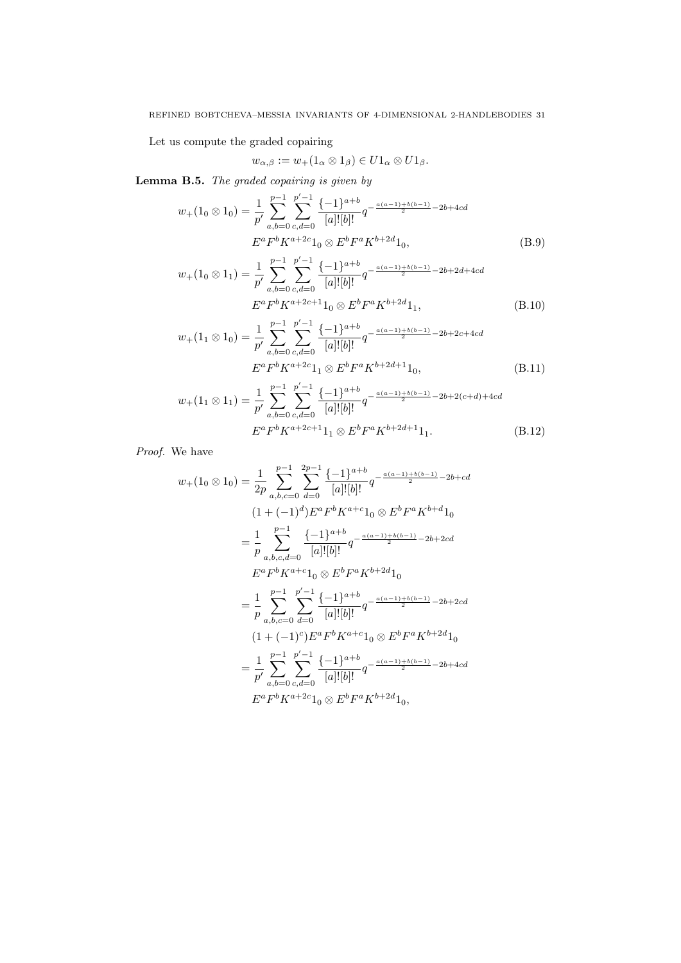Let us compute the graded copairing

<span id="page-30-3"></span><span id="page-30-1"></span><span id="page-30-0"></span>
$$
w_{\alpha,\beta} := w_+(1_\alpha \otimes 1_\beta) \in U1_\alpha \otimes U1_\beta.
$$

Lemma B.5. The graded copairing is given by

$$
w_{+}(1_{0} \otimes 1_{0}) = \frac{1}{p'} \sum_{a,b=0}^{p-1} \sum_{c,d=0}^{p'-1} \frac{\{-1\}^{a+b}}{[a]![b]!} q^{-\frac{a(a-1)+b(b-1)}{2} - 2b + 4cd}
$$

$$
E^{a} F^{b} K^{a+2c} 1_{0} \otimes E^{b} F^{a} K^{b+2d} 1_{0}, \tag{B.9}
$$

$$
w_{+}(1_{0} \otimes 1_{1}) = \frac{1}{p'} \sum_{a,b=0}^{p-1} \sum_{c,d=0}^{p'-1} \frac{\{-1\}^{a+b}}{[a]![b]!} q^{-\frac{a(a-1)+b(b-1)}{2} - 2b + 2d + 4cd}
$$

$$
E^{a} F^{b} K^{a+2c+1} 1_{0} \otimes E^{b} F^{a} K^{b+2d} 1_{1}, \qquad (B.10)
$$

$$
w_{+}(1_{1} \otimes 1_{0}) = \frac{1}{p'} \sum_{a,b=0}^{p-1} \sum_{c,d=0}^{p'-1} \frac{\{-1\}^{a+b}}{[a]![b]!} q^{-\frac{a(a-1)+b(b-1)}{2} - 2b + 2c + 4cd}
$$

$$
E^{a} F^{b} K^{a+2c} 1_{1} \otimes E^{b} F^{a} K^{b+2d+1} 1_{0}, \tag{B.11}
$$

<span id="page-30-2"></span>
$$
w_{+}(1_{1} \otimes 1_{1}) = \frac{1}{p'} \sum_{a,b=0}^{p-1} \sum_{c,d=0}^{p'-1} \frac{\{-1\}^{a+b}}{[a]![b]!} q^{-\frac{a(a-1)+b(b-1)}{2} - 2b + 2(c+d) + 4cd}
$$

$$
E^{a} F^{b} K^{a+2c+1} 1_{1} \otimes E^{b} F^{a} K^{b+2d+1} 1_{1}.
$$
 (B.12)

Proof. We have

$$
w_{+}(1_{0}\otimes 1_{0}) = \frac{1}{2p} \sum_{a,b,c=0}^{p-1} \sum_{d=0}^{2p-1} \frac{\{-1\}^{a+b}}{[a]![b]!} q^{-\frac{a(a-1)+b(b-1)}{2} - 2b + cd}
$$
  
\n
$$
(1 + (-1)^{d})E^{a}F^{b}K^{a+c}1_{0}\otimes E^{b}F^{a}K^{b+d}1_{0}
$$
  
\n
$$
= \frac{1}{p} \sum_{a,b,c,d=0}^{p-1} \frac{\{-1\}^{a+b}}{[a]![b]!} q^{-\frac{a(a-1)+b(b-1)}{2} - 2b + 2cd}
$$
  
\n
$$
E^{a}F^{b}K^{a+c}1_{0}\otimes E^{b}F^{a}K^{b+2d}1_{0}
$$
  
\n
$$
= \frac{1}{p} \sum_{a,b,c=0}^{p-1} \sum_{d=0}^{p'-1} \frac{\{-1\}^{a+b}}{[a]![b]!} q^{-\frac{a(a-1)+b(b-1)}{2} - 2b + 2cd}
$$
  
\n
$$
(1 + (-1)^{c})E^{a}F^{b}K^{a+c}1_{0}\otimes E^{b}F^{a}K^{b+2d}1_{0}
$$
  
\n
$$
= \frac{1}{p'} \sum_{a,b=0}^{p-1} \sum_{c,d=0}^{p'-1} \frac{\{-1\}^{a+b}}{[a]![b]!} q^{-\frac{a(a-1)+b(b-1)}{2} - 2b + 4cd}
$$
  
\n
$$
E^{a}F^{b}K^{a+2c}1_{0}\otimes E^{b}F^{a}K^{b+2d}1_{0},
$$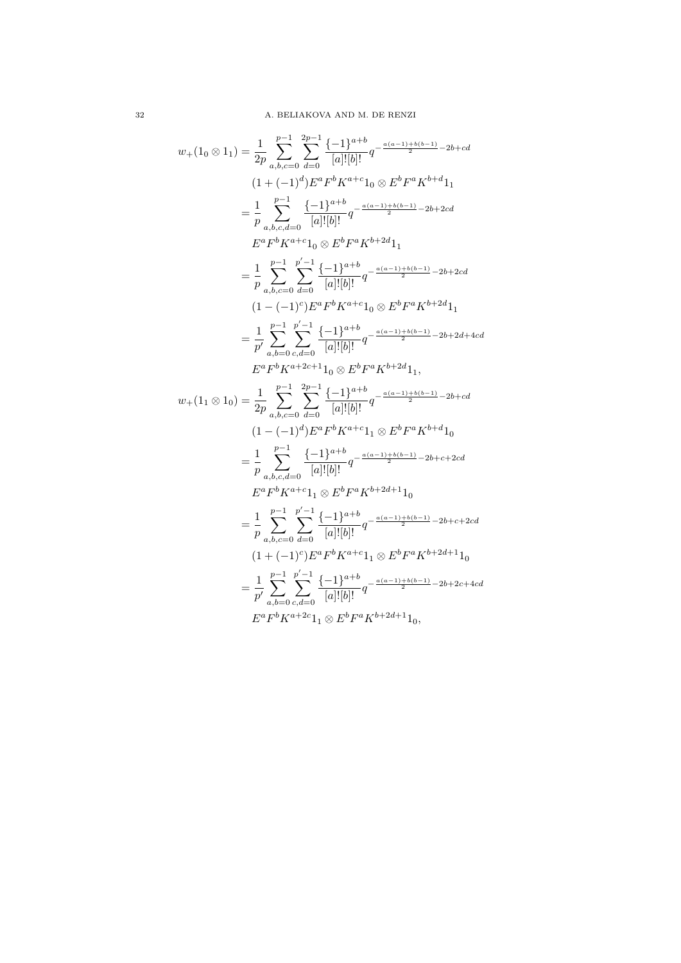$$
w_{+}(1_{0}\otimes 1_{1}) = \frac{1}{2p} \sum_{a,b,c=0}^{p-1} \sum_{d=0}^{2p-1} \frac{\{-1\}^{a+b}}{[a]![b]!} q^{-\frac{a(a-1)+b(b-1)}{2} - 2b + cd}
$$
  
\n
$$
(1 + (-1)^{d}) E^{a} F^{b} K^{a+c} 1_{0} \otimes E^{b} F^{a} K^{b+d} 1_{1}
$$
  
\n
$$
= \frac{1}{p} \sum_{a,b,c,d=0}^{p-1} \frac{\{-1\}^{a+b}}{[a]![b]!} q^{-\frac{a(a-1)+b(b-1)}{2} - 2b + 2cd}
$$
  
\n
$$
E^{a} F^{b} K^{a+c} 1_{0} \otimes E^{b} F^{a} K^{b+2d} 1_{1}
$$
  
\n
$$
= \frac{1}{p} \sum_{a,b,c=0}^{p-1} \sum_{d=0}^{p'-1} \frac{\{-1\}^{a+b}}{[a]![b]!} q^{-\frac{a(a-1)+b(b-1)}{2} - 2b + 2cd}
$$
  
\n
$$
(1 - (-1)^{c}) E^{a} F^{b} K^{a+c} 1_{0} \otimes E^{b} F^{a} K^{b+2d} 1_{1}
$$
  
\n
$$
= \frac{1}{p'} \sum_{a,b,c=0}^{p-1} \sum_{d=0}^{p'-1} \frac{\{-1\}^{a+b}}{[a]![b]!} q^{-\frac{a(a-1)+b(b-1)}{2} - 2b + 2d + 4cd}
$$
  
\n
$$
E^{a} F^{b} K^{a+2c+1} 1_{0} \otimes E^{b} F^{a} K^{b+2d} 1_{1},
$$
  
\n
$$
w_{+}(1_{1} \otimes 1_{0}) = \frac{1}{2p} \sum_{a,b,c=0}^{p-1} \sum_{d=0}^{2p-1} \frac{\{-1\}^{a+b}}{[a]![b]!} q^{-\frac{a(a-1)+b(b-1)}{2} - 2b + cd}
$$
  
\n
$$
(1 - (-1)^{d}) E^{a} F^{b} K^{a+c} 1_{1} \otimes E^{b} F^{a} K^{b+d} 1_{0}
$$

 $32\,$   $\,$  A. BELIAKOVA AND M. DE RENZI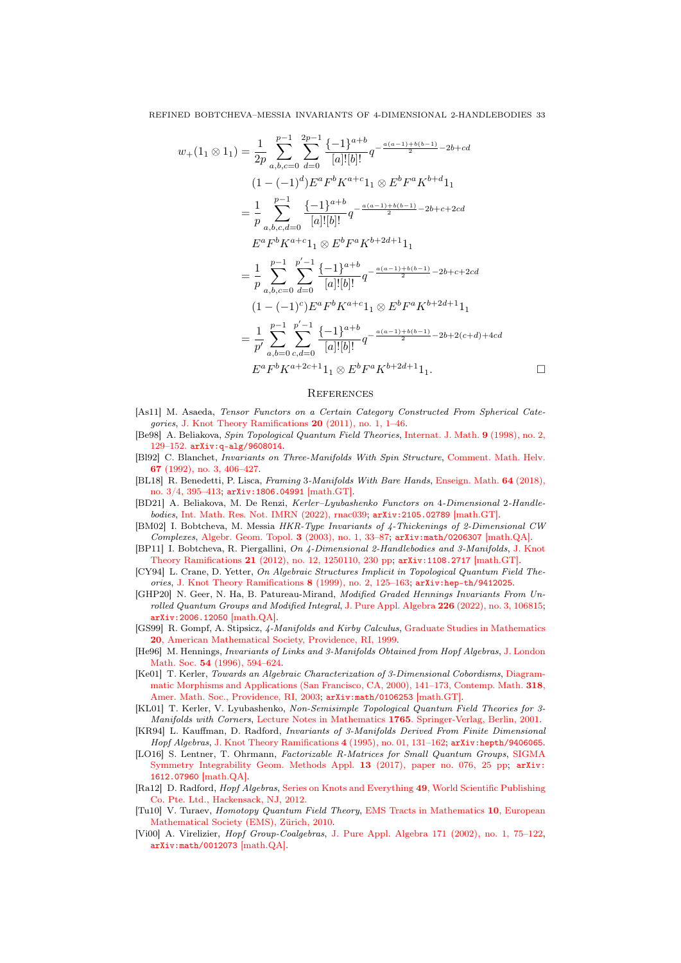$$
w_{+}(1_{1} \otimes 1_{1}) = \frac{1}{2p} \sum_{a,b,c=0}^{p-1} \sum_{d=0}^{2p-1} \frac{\{-1\}^{a+b}}{[a]![b]!} q^{-\frac{a(a-1)+b(b-1)}{2} - 2b + cd}
$$
  
\n
$$
(1 - (-1)^{d}) E^{a} F^{b} K^{a+c} 1_{1} \otimes E^{b} F^{a} K^{b+d} 1_{1}
$$
  
\n
$$
= \frac{1}{p} \sum_{a,b,c,d=0}^{p-1} \frac{\{-1\}^{a+b}}{[a]![b]!} q^{-\frac{a(a-1)+b(b-1)}{2} - 2b+c+2cd}
$$
  
\n
$$
E^{a} F^{b} K^{a+c} 1_{1} \otimes E^{b} F^{a} K^{b+2d+1} 1_{1}
$$
  
\n
$$
= \frac{1}{p} \sum_{a,b,c=0}^{p-1} \sum_{d=0}^{p'-1} \frac{\{-1\}^{a+b}}{[a]![b]!} q^{-\frac{a(a-1)+b(b-1)}{2} - 2b+c+2cd}
$$
  
\n
$$
(1 - (-1)^{c}) E^{a} F^{b} K^{a+c} 1_{1} \otimes E^{b} F^{a} K^{b+2d+1} 1_{1}
$$
  
\n
$$
= \frac{1}{p'} \sum_{a,b=0}^{p-1} \sum_{c,d=0}^{p'-1} \frac{\{-1\}^{a+b}}{[a]![b]!} q^{-\frac{a(a-1)+b(b-1)}{2} - 2b+2(c+d)+4cd}
$$
  
\n
$$
E^{a} F^{b} K^{a+2c+1} 1_{1} \otimes E^{b} F^{a} K^{b+2d+1} 1_{1}.
$$

#### **REFERENCES**

- <span id="page-32-4"></span>[As11] M. Asaeda, Tensor Functors on a Certain Category Constructed From Spherical Categories, [J. Knot Theory Ramifications](https://doi.org/10.1142/S0218216511008607) 20 (2011), no. 1, 1–46.
- <span id="page-32-7"></span>[Be98] A. Beliakova, Spin Topological Quantum Field Theories, [Internat. J. Math.](https://doi.org/10.1142/S0129167X98000099) 9 (1998), no. 2, [129–152.](https://doi.org/10.1142/S0129167X98000099) [arXiv:q-alg/9608014](https://arXiv.org/abs/q-alg/9608014).
- <span id="page-32-6"></span>[Bl92] C. Blanchet, Invariants on Three-Manifolds With Spin Structure, [Comment. Math. Helv.](https://doi.org/10.1007/BF02566511) 67 [\(1992\), no. 3, 406–427.](https://doi.org/10.1007/BF02566511)
- <span id="page-32-16"></span>[BL18] R. Benedetti, P. Lisca, Framing 3-Manifolds With Bare Hands, [Enseign. Math.](https://doi.org/10.4171/LEM/64-3/4-9) 64 (2018), [no. 3/4, 395–413;](https://doi.org/10.4171/LEM/64-3/4-9) [arXiv:1806.04991](https://arXiv.org/abs/1806.04991) [math.GT].
- <span id="page-32-0"></span>[BD21] A. Beliakova, M. De Renzi, Kerler–Lyubashenko Functors on 4-Dimensional 2-Handlebodies, [Int. Math. Res. Not. IMRN \(2022\), rnac039;](https://doi.org/10.1093/imrn/rnac039) [arXiv:2105.02789](https://arXiv.org/abs/2105.02789) [math.GT].
- <span id="page-32-5"></span>[BM02] I. Bobtcheva, M. Messia HKR-Type Invariants of 4-Thickenings of 2-Dimensional CW Complexes, [Algebr. Geom. Topol.](https://doi.org/10.2140/agt.2003.3.33) 3 (2003), no. 1, 33–87; [arXiv:math/0206307](https://arXiv.org/abs/math/0206307) [math.QA].
- <span id="page-32-1"></span>[BP11] I. Bobtcheva, R. Piergallini, On 4-Dimensional 2-Handlebodies and 3-Manifolds, [J. Knot](https://doi.org/10.1142/S0218216512501106) Theory Ramifications 21 [\(2012\), no. 12, 1250110, 230 pp;](https://doi.org/10.1142/S0218216512501106) [arXiv:1108.2717](https://arXiv.org/abs/1108.2717) [math.GT].
- <span id="page-32-2"></span>[CY94] L. Crane, D. Yetter, On Algebraic Structures Implicit in Topological Quantum Field Theories, [J. Knot Theory Ramifications](https://doi.org/10.1142/S0218216599000109) 8 (1999), no. 2, 125–163; [arXiv:hep-th/9412025](https://arXiv.org/abs/hep-th/9412025).
- <span id="page-32-11"></span>[GHP20] N. Geer, N. Ha, B. Patureau-Mirand, Modified Graded Hennings Invariants From Unrolled Quantum Groups and Modified Integral, [J. Pure Appl. Algebra](https://doi.org/10.1016/j.jpaa.2021.106815) 226 (2022), no. 3, 106815; [arXiv:2006.12050](https://arXiv.org/abs/2006.12050) [math.QA].
- <span id="page-32-15"></span>[GS99] R. Gompf, A. Stipsicz, 4-Manifolds and Kirby Calculus, [Graduate Studies in Mathematics](https://doi.org/10.1090/gsm/020) 20[, American Mathematical Society, Providence, RI, 1999.](https://doi.org/10.1090/gsm/020)
- <span id="page-32-12"></span>[He96] M. Hennings, Invariants of Links and 3-Manifolds Obtained from Hopf Algebras, [J. London](https://doi.org/10.1112/jlms/54.3.594) Math. Soc. 54 [\(1996\), 594–624.](https://doi.org/10.1112/jlms/54.3.594)
- <span id="page-32-3"></span>[Ke01] T. Kerler, Towards an Algebraic Characterization of 3-Dimensional Cobordisms, [Diagram](https://doi.org/10.1090/conm/318)[matic Morphisms and Applications \(San Francisco, CA, 2000\), 141–173, Contemp. Math.](https://doi.org/10.1090/conm/318) 318, [Amer. Math. Soc., Providence, RI, 2003;](https://doi.org/10.1090/conm/318) [arXiv:math/0106253](https://arXiv.org/abs/math/0106253) [math.GT].
- <span id="page-32-17"></span>[KL01] T. Kerler, V. Lyubashenko, Non-Semisimple Topological Quantum Field Theories for 3- Manifolds with Corners, Lecture Notes in Mathematics 1765[. Springer-Verlag, Berlin, 2001.](https://doi.org/10.1007/b82618)
- <span id="page-32-13"></span>[KR94] L. Kauffman, D. Radford, Invariants of 3-Manifolds Derived From Finite Dimensional Hopf Algebras, [J. Knot Theory Ramifications](https://doi.org/10.1142/S0218216595000077) 4 (1995), no. 01, 131–162; [arXiv:hepth/9406065](http://arXiv.org/abs/hep-th/9406065).
- <span id="page-32-8"></span>[LO16] S. Lentner, T. Ohrmann, Factorizable R-Matrices for Small Quantum Groups, [SIGMA](https://doi.org/10.3842/SIGMA.2017.076) [Symmetry Integrability Geom. Methods Appl.](https://doi.org/10.3842/SIGMA.2017.076) 13 (2017), paper no. 076, 25 pp; [arXiv:](https://arXiv.org/abs/1612.07960) [1612.07960](https://arXiv.org/abs/1612.07960) [math.QA].
- <span id="page-32-14"></span>[Ra12] D. Radford, Hopf Algebras, [Series on Knots and Everything](https://doi.org/10.1142/8055) 49, World Scientific Publishing [Co. Pte. Ltd., Hackensack, NJ, 2012.](https://doi.org/10.1142/8055)
- <span id="page-32-9"></span>[Tu10] V. Turaev, Homotopy Quantum Field Theory, [EMS Tracts in Mathematics](https://doi.org/10.4171/086) 10, European [Mathematical Society \(EMS\), Zürich, 2010.](https://doi.org/10.4171/086)
- <span id="page-32-10"></span>[Vi00] A. Virelizier, Hopf Group-Coalgebras, [J. Pure Appl. Algebra 171 \(2002\), no. 1, 75–122,](https://doi.org/10.1016/S0022-4049(01)00125-6) [arXiv:math/0012073](https://arXiv.org/abs/math/0012073) [math.QA].